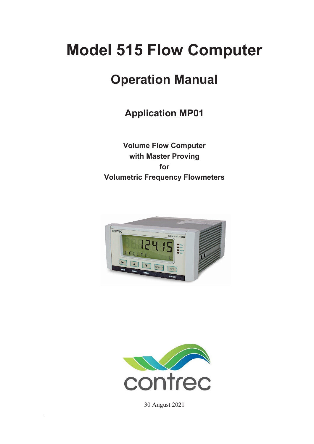# **Model 515 Flow Computer**

## **Operation Manual**

**Application MP01**

**Volume Flow Computer with Master Proving for Volumetric Frequency Flowmeters** 





30 August 2021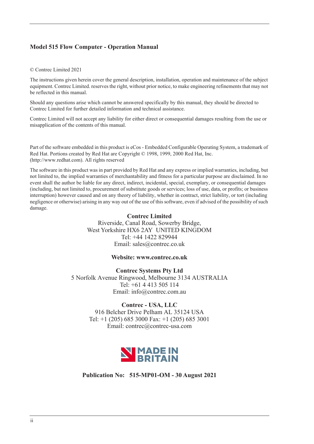### **Model 515 Flow Computer - Operation Manual**

#### © Contrec Limited 2021

The instructions given herein cover the general description, installation, operation and maintenance of the subject equipment. Contrec Limited. reserves the right, without prior notice, to make engineering refinements that may not be reflected in this manual.

Should any questions arise which cannot be answered specifically by this manual, they should be directed to Contrec Limited for further detailed information and technical assistance.

Contrec Limited will not accept any liability for either direct or consequential damages resulting from the use or misapplication of the contents of this manual.

Part of the software embedded in this product is eCos - Embedded Configurable Operating System, a trademark of Red Hat. Portions created by Red Hat are Copyright © 1998, 1999, 2000 Red Hat, Inc. (http://www.redhat.com). All rights reserved

The software in this product was in part provided by Red Hat and any express or implied warranties, including, but not limited to, the implied warranties of merchantability and fitness for a particular purpose are disclaimed. In no event shall the author be liable for any direct, indirect, incidental, special, exemplary, or consequential damages (including, but not limited to, procurement of substitute goods or services; loss of use, data, or profits; or business interruption) however caused and on any theory of liability, whether in contract, strict liability, or tort (including negligence or otherwise) arising in any way out of the use of this software, even if advised of the possibility of such damage.

#### **Contrec Limited**

Riverside, Canal Road, Sowerby Bridge, West Yorkshire HX6 2AY UNITED KINGDOM Tel: +44 1422 829944 Email: sales@contrec.co.uk

#### **Website: www.contrec.co.uk**

**Contrec Systems Pty Ltd** 5 Norfolk Avenue Ringwood, Melbourne 3134 AUSTRALIA Tel: +61 4 413 505 114 Email: info@contrec.com.au

#### **Contrec - USA, LLC**

916 Belcher Drive Pelham AL 35124 USA Tel: +1 (205) 685 3000 Fax: +1 (205) 685 3001 Email: contrec@contrec-usa.com



**Publication No: 515-MP01-OM - 30 August 2021**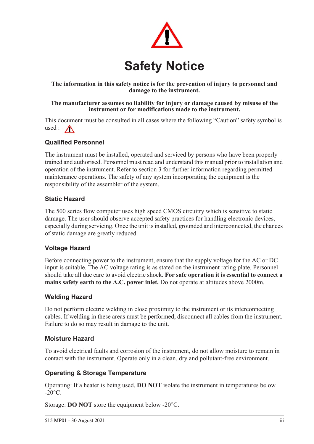

### **The information in this safety notice is for the prevention of injury to personnel and damage to the instrument.**

#### **The manufacturer assumes no liability for injury or damage caused by misuse of the instrument or for modifications made to the instrument.**

This document must be consulted in all cases where the following "Caution" safety symbol is used :  $\bigwedge$ 

### **Qualified Personnel**

The instrument must be installed, operated and serviced by persons who have been properly trained and authorised. Personnel must read and understand this manual prior to installation and operation of the instrument. Refer to section 3 for further information regarding permitted maintenance operations. The safety of any system incorporating the equipment is the responsibility of the assembler of the system.

### **Static Hazard**

The 500 series flow computer uses high speed CMOS circuitry which is sensitive to static damage. The user should observe accepted safety practices for handling electronic devices, especially during servicing. Once the unit is installed, grounded and interconnected, the chances of static damage are greatly reduced.

### **Voltage Hazard**

Before connecting power to the instrument, ensure that the supply voltage for the AC or DC input is suitable. The AC voltage rating is as stated on the instrument rating plate. Personnel should take all due care to avoid electric shock. **For safe operation it is essential to connect a mains safety earth to the A.C. power inlet.** Do not operate at altitudes above 2000m.

### **Welding Hazard**

Do not perform electric welding in close proximity to the instrument or its interconnecting cables. If welding in these areas must be performed, disconnect all cables from the instrument. Failure to do so may result in damage to the unit.

### **Moisture Hazard**

To avoid electrical faults and corrosion of the instrument, do not allow moisture to remain in contact with the instrument. Operate only in a clean, dry and pollutant-free environment.

### **Operating & Storage Temperature**

Operating: If a heater is being used, **DO NOT** isolate the instrument in temperatures below  $-20^{\circ}$ C.

Storage: **DO NOT** store the equipment below -20°C.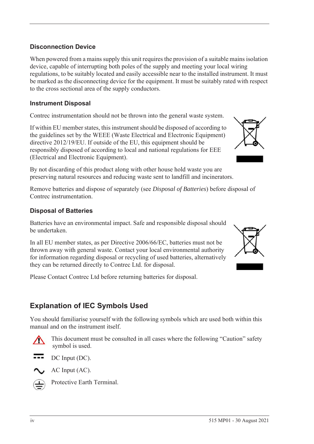### **Disconnection Device**

When powered from a mains supply this unit requires the provision of a suitable mains isolation device, capable of interrupting both poles of the supply and meeting your local wiring regulations, to be suitably located and easily accessible near to the installed instrument. It must be marked as the disconnecting device for the equipment. It must be suitably rated with respect to the cross sectional area of the supply conductors.

### **Instrument Disposal**

Contrec instrumentation should not be thrown into the general waste system.

If within EU member states, this instrument should be disposed of according to the guidelines set by the WEEE (Waste Electrical and Electronic Equipment) directive 2012/19/EU. If outside of the EU, this equipment should be responsibly disposed of according to local and national regulations for EEE (Electrical and Electronic Equipment).

By not discarding of this product along with other house hold waste you are preserving natural resources and reducing waste sent to landfill and incinerators.

Remove batteries and dispose of separately (see *Disposal of Batteries*) before disposal of Contrec instrumentation.

### **Disposal of Batteries**

Batteries have an environmental impact. Safe and responsible disposal should be undertaken.

In all EU member states, as per Directive 2006/66/EC, batteries must not be thrown away with general waste. Contact your local environmental authority for information regarding disposal or recycling of used batteries, alternatively they can be returned directly to Contrec Ltd. for disposal.

Please Contact Contrec Ltd before returning batteries for disposal.

### **Explanation of IEC Symbols Used**

You should familiarise yourself with the following symbols which are used both within this manual and on the instrument itself.



 This document must be consulted in all cases where the following "Caution" safety symbol is used.



AC Input (AC).



Protective Earth Terminal.



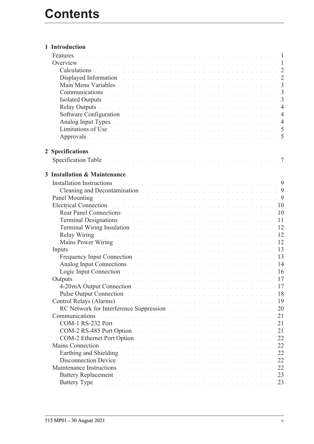|   | 1 Introduction                                                                                                                                                                                                                      |  |  |  |  |  |  |  |  |    |
|---|-------------------------------------------------------------------------------------------------------------------------------------------------------------------------------------------------------------------------------------|--|--|--|--|--|--|--|--|----|
|   | Features<br>. The contract of the contract of the contract of the contract of the contract of $\mathbb{C}^2$                                                                                                                        |  |  |  |  |  |  |  |  |    |
|   |                                                                                                                                                                                                                                     |  |  |  |  |  |  |  |  |    |
|   | Calculations de la communication de la communication de la communication de la communication de la communication                                                                                                                    |  |  |  |  |  |  |  |  |    |
|   | Displayed Information and the community of the community of the community of the community of the community of                                                                                                                      |  |  |  |  |  |  |  |  |    |
|   |                                                                                                                                                                                                                                     |  |  |  |  |  |  |  |  |    |
|   | Communications research and contract the contract of the contract of the contract of the 3                                                                                                                                          |  |  |  |  |  |  |  |  |    |
|   | Isolated Outputs and a contract the contract of the contract of the contract of the contract of the 3                                                                                                                               |  |  |  |  |  |  |  |  |    |
|   |                                                                                                                                                                                                                                     |  |  |  |  |  |  |  |  |    |
|   |                                                                                                                                                                                                                                     |  |  |  |  |  |  |  |  |    |
|   |                                                                                                                                                                                                                                     |  |  |  |  |  |  |  |  |    |
|   | Limitations of Use de la communication de la communication de la communication de 5                                                                                                                                                 |  |  |  |  |  |  |  |  |    |
|   | Approvals received a construction of the contract of the construction of 5                                                                                                                                                          |  |  |  |  |  |  |  |  |    |
|   |                                                                                                                                                                                                                                     |  |  |  |  |  |  |  |  |    |
|   | 2 Specifications                                                                                                                                                                                                                    |  |  |  |  |  |  |  |  |    |
|   |                                                                                                                                                                                                                                     |  |  |  |  |  |  |  |  |    |
|   |                                                                                                                                                                                                                                     |  |  |  |  |  |  |  |  |    |
| 3 | <b>Installation &amp; Maintenance</b>                                                                                                                                                                                               |  |  |  |  |  |  |  |  |    |
|   | Installation Instructions and a contract of the contract of the contract of the contract of the set of the set of the set of the set of the set of the set of the set of the set of the set of the set of the set of the set o      |  |  |  |  |  |  |  |  |    |
|   | Cleaning and Decontamination and a substitution of the contract of the contract of the September of the September of the September of the September of the September of the September of the September of the September of the      |  |  |  |  |  |  |  |  |    |
|   | Panel Mounting received a contract of the contract of the contract of the contract of the P                                                                                                                                         |  |  |  |  |  |  |  |  |    |
|   | Electrical Connection and a construction of the contract of the contract of the contract of the contract of the contract of the contract of the contract of the contract of the contract of the contract of the contract of th      |  |  |  |  |  |  |  |  |    |
|   | Rear Panel Connections and a contract the contract of the contract of the contract of the contract of the contract of the contract of the contract of the contract of the contract of the contract of the contract of the cont      |  |  |  |  |  |  |  |  |    |
|   | <b>Terminal Designations</b> and a contract the contract of the contract of the contract of the contract of the contract of the contract of the contract of the contract of the contract of the contract of the contract of the con |  |  |  |  |  |  |  |  | 11 |
|   | Terminal Wiring Insulation and a contract the contract of the contract of the contract of                                                                                                                                           |  |  |  |  |  |  |  |  | 12 |
|   |                                                                                                                                                                                                                                     |  |  |  |  |  |  |  |  | 12 |
|   | Mains Power Wiring Mathews and the company of the company of the Minister of the Company of the Company of the Company of the Company of the Company of the Company of the Company of the Company of the Company of the Compan      |  |  |  |  |  |  |  |  | 12 |
|   | .<br>In the second complete the second complete second complete the second complete second complete second complete<br>Inputs                                                                                                       |  |  |  |  |  |  |  |  | 13 |
|   | Frequency Input Connection and a construction of the contract of the contract of the contract of the contract of the contract of the contract of the contract of the contract of the contract of the contract of the contract       |  |  |  |  |  |  |  |  | 13 |
|   | Analog Input Connections and a contract the contract of the contract of the contract of the contract of the contract of the contract of the contract of the contract of the contract of the contract of the contract of the co      |  |  |  |  |  |  |  |  | 14 |
|   | Logic Input Connection and a construction of the contract of the contract of the state of the state of the state of the state of the state of the state of the state of the state of the state of the state of the state of th      |  |  |  |  |  |  |  |  |    |
|   |                                                                                                                                                                                                                                     |  |  |  |  |  |  |  |  |    |
|   | 4-20 mA Output Connection and a construction of the contract of the contract of the contract of the contract of the contract of the contract of the contract of the contract of the contract of the contract of the contract o      |  |  |  |  |  |  |  |  | 17 |
|   |                                                                                                                                                                                                                                     |  |  |  |  |  |  |  |  | 18 |
|   | Pulse Output Connection and a constant of the contract of the contract of the contract of the contract of the contract of the contract of the contract of the contract of the contract of the contract of the contract of the       |  |  |  |  |  |  |  |  | 19 |
|   | Control Relays (Alarms) and a subsequently served by the server of the server of the server of the server of the server of the server of the server of the server of the server of the server of the server of the server of t      |  |  |  |  |  |  |  |  |    |
|   | RC Network for Interference Suppression and a substantial contract the settlement of                                                                                                                                                |  |  |  |  |  |  |  |  | 20 |
|   | Communications<br>a de la caractería de la caractería de la caractería de la caractería de la caractería de la caractería de la                                                                                                     |  |  |  |  |  |  |  |  | 21 |
|   | COM-1 RS-232 Port<br>.<br>The contract of the contract of the contract of the contract of the contract of the contract of the contract o                                                                                            |  |  |  |  |  |  |  |  | 21 |
|   | COM-2 RS-485 Port Option                                                                                                                                                                                                            |  |  |  |  |  |  |  |  | 21 |
|   | COM-2 Ethernet Port Option                                                                                                                                                                                                          |  |  |  |  |  |  |  |  | 22 |
|   | <b>Mains Connection</b><br>.<br>In the second contract of the second contract of the second contract of the second contract of the second contr                                                                                     |  |  |  |  |  |  |  |  | 22 |
|   | Earthing and Shielding Theorem and the community of the community of the community of the community of the community of the community of the community of the community of the community of the community of the community of       |  |  |  |  |  |  |  |  | 22 |
|   | Disconnection Device<br>.<br>In the company of the company of the company of the company of the company of the company of the company of th                                                                                         |  |  |  |  |  |  |  |  | 22 |
|   | Maintenance Instructions<br>.<br>In the company of the company of the company of the company of the company of the company of the company of th                                                                                     |  |  |  |  |  |  |  |  | 22 |
|   | Battery Replacement and a substitution of the contract of the contract of the contract of the contract of the contract of the contract of the contract of the contract of the contract of the contract of the contract of the       |  |  |  |  |  |  |  |  | 23 |
|   | Battery Type and a contract the contract of the contract of the contract of the contract of the contract of the                                                                                                                     |  |  |  |  |  |  |  |  | 23 |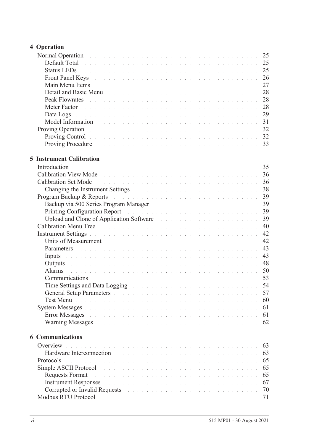### **[4 Operation](#page-34-0)**

| Normal Operation and a contract the contract of the contract of the contract of the contract of the contract of                                                                                                                                   | 25 |
|---------------------------------------------------------------------------------------------------------------------------------------------------------------------------------------------------------------------------------------------------|----|
| Default Total de la commune de la commune de la commune de la commune de la commune de 25                                                                                                                                                         |    |
| Status LEDs <b>Election</b> 25                                                                                                                                                                                                                    |    |
| Front Panel Keys and a construction of the construction of the construction of 26                                                                                                                                                                 |    |
| Main Menu Items received and contract the contract of the contract of the contract of                                                                                                                                                             | 27 |
| Detail and Basic Menu enterprise and the contract of the contract of the contract of the contract of the contract of the contract of the contract of the contract of the contract of the contract of the contract of the contr                    | 28 |
| Peak Flowrates<br>.<br>The company of the company of the company of the company of the company of the company of the company of the c                                                                                                             | 28 |
| Meter Factor<br>in de la caractería de la caractería de la caractería de la caractería de la caractería de la caractería de la                                                                                                                    | 28 |
| Data Logs enterprise to the contract of the contract of the contract of the contract of the contract of the contract of the contract of the contract of the contract of the contract of the contract of the contract of the co                    | 29 |
| Model Information and a contract the contract of the contract of the contract of the contract of the contract of the contract of the contract of the contract of the contract of the contract of the contract of the contract                     | 31 |
| Proving Operation et al., and a construction of the construction of the construction of 32                                                                                                                                                        |    |
| <b>Proving Control</b> by the control of the control of the control of the control of the control of the control of the control of the control of the control of the control of the control of the control of the control of the co               |    |
|                                                                                                                                                                                                                                                   |    |
|                                                                                                                                                                                                                                                   |    |
| <b>5 Instrument Calibration</b>                                                                                                                                                                                                                   |    |
|                                                                                                                                                                                                                                                   |    |
| Introduction                                                                                                                                                                                                                                      |    |
| <b>Calibration View Mode</b>                                                                                                                                                                                                                      | 36 |
| Calibration Set Mode and a construction of the construction of the construction of the construction of the construction of the construction of the construction of the construction of the construction of the construction of                    | 36 |
| Changing the Instrument Settings and a contract of the contract of the contract of the contract of the contract of the contract of the contract of the contract of the contract of the contract of the contract of the contrac                    | 38 |
| Program Backup & Reports and a contract to the contract of the contract of the contract of the contract of the                                                                                                                                    | 39 |
| Backup via 500 Series Program Manager and a construction of the construction of the Backup via Solomon Manager                                                                                                                                    | 39 |
| Printing Configuration Report environment and continued and continued and continued and                                                                                                                                                           | 39 |
| Upload and Clone of Application Software Marian and an anti-service contract to the contract of Application Software                                                                                                                              | 39 |
| Calibration Menu Tree de la communicación de la communicación de la communicación de la communicación de la com                                                                                                                                   | 40 |
| Instrument Settings and a construction of the construction of the construction of the construction of the construction of the construction of the construction of the construction of the construction of the construction of                     | 42 |
| Units of Measurement                                                                                                                                                                                                                              | 42 |
| Parameters and a communication of the communication of the communication of the communication of the communication of the communication of the communication of the communication of the communication of the communication of                    | 43 |
| Inputs and a construction of the construction of the construction of the construction of the construction of the construction of the construction of the construction of the construction of the construction of the construct                    | 43 |
| Outputs and a communication of the communication of the communication of the communication of the communication                                                                                                                                   | 48 |
| Alarms                                                                                                                                                                                                                                            | 50 |
| Communications and and an annual contract the contract of the contract of the contract of the contract of the                                                                                                                                     | 53 |
| Time Settings and Data Logging The Contract of the Contract of the Settings and Data Logging                                                                                                                                                      | 54 |
| <b>General Setup Parameters</b> entering the contract of the contract the contract of the contract of the contract of the contract of the contract of the contract of the contract of the contract of the contract of the contract                | 57 |
| Test Menu de la componencia de la componencia de la componencia de la componencia de la componencia de la compo                                                                                                                                   | 60 |
| System Messages the community of the community of the set of the set of the set of the set of the set of the set of the set of the set of the set of the set of the set of the set of the set of the set of the set of the set                    | 61 |
|                                                                                                                                                                                                                                                   | 61 |
| Warning Messages entertainment and the contract of the contract of the contract of the contract of the contract of the contract of the contract of the contract of the contract of the contract of the contract of the contrac                    | 62 |
|                                                                                                                                                                                                                                                   |    |
| <b>6 Communications</b>                                                                                                                                                                                                                           |    |
| Overview                                                                                                                                                                                                                                          |    |
| and the company of the company of the company of the company of the company of the company of the company of the                                                                                                                                  | 63 |
| Hardware Interconnection and a construction of the contract of the contract of the contract of the contract of                                                                                                                                    | 63 |
| Protocols<br><u>. In the second contract of the second contract of the second contract of the second contract of the second contract of the second contract of the second contract of the second contract of the second contract of the secon</u> | 65 |
| Simple ASCII Protocol<br>.<br>In de la caractería de la caractería de la caractería de la caractería de la caractería de la caractería de la                                                                                                      | 65 |
| <b>Requests Format</b><br>.<br>The contract of the contract of the contract of the contract of the contract of the contract of the contract of                                                                                                    | 65 |
| Instrument Responses and a construction of the construction of the construction of the construction                                                                                                                                               | 67 |
| Corrupted or Invalid Requests and a contract the contract of the contract of the contract of the contract of the contract of the contract of the contract of the contract of the contract of the contract of the contract of t                    | 70 |
| <b>Modbus RTU Protocol</b><br>.<br>The companion of the companion of the companion of the companion of the companion of the companion of the companion                                                                                            | 71 |
|                                                                                                                                                                                                                                                   |    |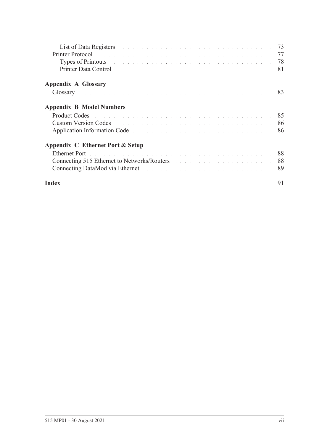| Printer Protocol and a construction of the construction of the construction of the construction of the construction of the construction of the construction of the construction of the construction of the construction of the      |  |
|-------------------------------------------------------------------------------------------------------------------------------------------------------------------------------------------------------------------------------------|--|
| Types of Printouts and a contract the contract of the contract of the contract of the 78                                                                                                                                            |  |
| Printer Data Control <b>Exploration Control</b> to the control of the control of the control of the control of the control of the control of the control of the control of the control of the control of the control of the control |  |
| <b>Appendix A Glossary</b>                                                                                                                                                                                                          |  |
| Glossary received a received and construction of the construction of the 83                                                                                                                                                         |  |
| <b>Appendix B Model Numbers</b>                                                                                                                                                                                                     |  |
|                                                                                                                                                                                                                                     |  |
| Custom Version Codes and the contract of the contract of the contract of the contract of the contract of the contract of the contract of the contract of the contract of the contract of the contract of the contract of the c      |  |
| Application Information Code entrances and a series are a series and series and the series of the S6                                                                                                                                |  |
| Appendix C Ethernet Port & Setup                                                                                                                                                                                                    |  |
| Ethernet Port de la communicación de la communicación de la communicación de 88                                                                                                                                                     |  |
| Connecting 515 Ethernet to Networks/Routers and a substitution of the 1988                                                                                                                                                          |  |
|                                                                                                                                                                                                                                     |  |
| Index resources a consequence of the contract of the consequence of the consequence of $91$                                                                                                                                         |  |
|                                                                                                                                                                                                                                     |  |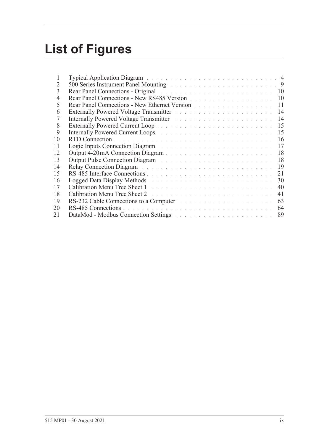## **List of Figures**

| 1  | Typical Application Diagram and a contract of the contract of the contract of the 4                                                                                                                                            |    |
|----|--------------------------------------------------------------------------------------------------------------------------------------------------------------------------------------------------------------------------------|----|
| 2  | 500 Series Instrument Panel Mounting and a contract of the series of the series of 9                                                                                                                                           |    |
| 3  | Rear Panel Connections - Original                                                                                                                                                                                              |    |
| 4  | Rear Panel Connections - New RS485 Version                                                                                                                                                                                     | 10 |
| 5  | Rear Panel Connections - New Ethernet Version                                                                                                                                                                                  | 11 |
| 6  | Externally Powered Voltage Transmitter Marshall and Alexandre and Alexandre and Alexandre and Alexandre and Alexandre and Alexandre and Alexandre and Alexandre and Alexandre and Alexandre and Alexandre and Alexandre and Al | 14 |
| 7  | Internally Powered Voltage Transmitter March 2014 and State and State and State and                                                                                                                                            | 14 |
| 8  |                                                                                                                                                                                                                                | 15 |
| 9  | Internally Powered Current Loops and a contract of the contract of the 15                                                                                                                                                      |    |
| 10 |                                                                                                                                                                                                                                | 16 |
| 11 | Logic Inputs Connection Diagram and the contract of the contract of the contract of the contract of the contract of the contract of the contract of the contract of the contract of the contract of the contract of the contra | 17 |
| 12 |                                                                                                                                                                                                                                | 18 |
| 13 | Output Pulse Connection Diagram and a connection of the Connection of the Connection of the Connection of the Connection of the Connection of the Connection of the Connection of the Connection of the Connection of the Conn | 18 |
| 14 | Relay Connection Diagram and a construction of the contract of the state of the 19                                                                                                                                             |    |
| 15 |                                                                                                                                                                                                                                | 21 |
| 16 | Logged Data Display Methods and a contract the contract of the contract of the contract of the contract of the contract of the contract of the contract of the contract of the contract of the contract of the contract of the | 30 |
| 17 |                                                                                                                                                                                                                                | 40 |
| 18 |                                                                                                                                                                                                                                | 41 |
| 19 | RS-232 Cable Connections to a Computer and a substitution of the connection of the Connection of the Connection of the Connection of the Connection of the Connection of the Connection of the Connection of the Connection of | 63 |
| 20 | RS-485 Connections                                                                                                                                                                                                             | 64 |
| 21 | DataMod - Modbus Connection Settings and the connection of the connection of the connection of the connection of the connection of the connection of the connection of the connection of the connection of the connection of t | 89 |
|    |                                                                                                                                                                                                                                |    |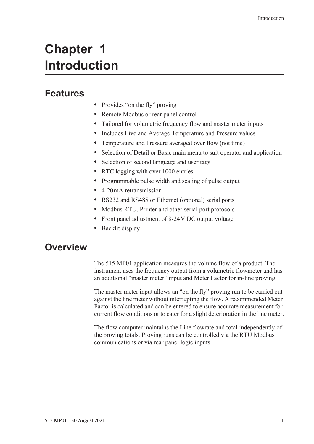## <span id="page-10-0"></span>**Chapter 1 Introduction**

### <span id="page-10-1"></span>**Features**

- Provides "on the fly" proving
- **•** Remote Modbus or rear panel control
- **•** Tailored for volumetric frequency flow and master meter inputs
- **•** Includes Live and Average Temperature and Pressure values
- **•** Temperature and Pressure averaged over flow (not time)
- **•** Selection of Detail or Basic main menu to suit operator and application
- **•** Selection of second language and user tags
- RTC logging with over 1000 entries.
- **•** Programmable pulse width and scaling of pulse output
- **•** 4-20 mA retransmission
- **•** RS232 and RS485 or Ethernet (optional) serial ports
- **•** Modbus RTU, Printer and other serial port protocols
- **•** Front panel adjustment of 8-24 V DC output voltage
- **•** Backlit display

### <span id="page-10-2"></span>**Overview**

The 515 MP01 application measures the volume flow of a product. The instrument uses the frequency output from a volumetric flowmeter and has an additional "master meter" input and Meter Factor for in-line proving.

The master meter input allows an "on the fly" proving run to be carried out against the line meter without interrupting the flow. A recommended Meter Factor is calculated and can be entered to ensure accurate measurement for current flow conditions or to cater for a slight deterioration in the line meter.

The flow computer maintains the Line flowrate and total independently of the proving totals. Proving runs can be controlled via the RTU Modbus communications or via rear panel logic inputs.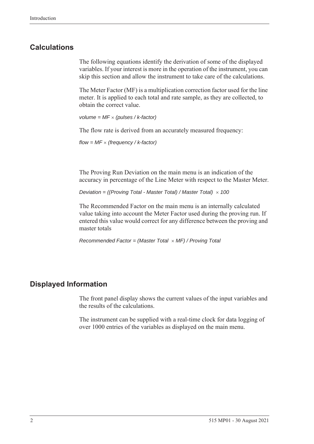### <span id="page-11-0"></span>**Calculations**

The following equations identify the derivation of some of the displayed variables. If your interest is more in the operation of the instrument, you can skip this section and allow the instrument to take care of the calculations.

The Meter Factor (MF) is a multiplication correction factor used for the line meter. It is applied to each total and rate sample, as they are collected, to obtain the correct value.

*volume = MF (pulses / k-factor)*

The flow rate is derived from an accurately measured frequency:

*flow = MF (frequency / k-factor)*

The Proving Run Deviation on the main menu is an indication of the accuracy in percentage of the Line Meter with respect to the Master Meter.

*Deviation = ((Proving Total - Master Total) / Master Total) 100*

The Recommended Factor on the main menu is an internally calculated value taking into account the Meter Factor used during the proving run. If entered this value would correct for any difference between the proving and master totals

*Recommended Factor = (Master Total MF) / Proving Total*

### <span id="page-11-1"></span>**Displayed Information**

The front panel display shows the current values of the input variables and the results of the calculations.

The instrument can be supplied with a real-time clock for data logging of over 1000 entries of the variables as displayed on the main menu.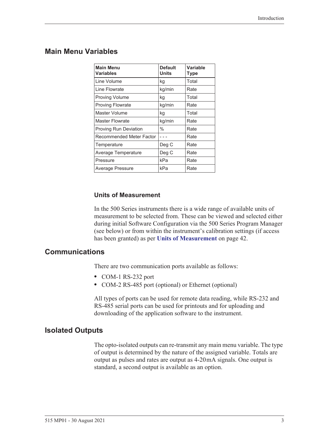### <span id="page-12-0"></span>**Main Menu Variables**

| <b>Main Menu</b><br><b>Variables</b> | <b>Default</b><br><b>Units</b> | <b>Variable</b><br><b>Type</b> |
|--------------------------------------|--------------------------------|--------------------------------|
| Line Volume                          | kg                             | Total                          |
| Line Flowrate                        | kg/min                         | Rate                           |
| <b>Proving Volume</b>                | kg                             | Total                          |
| <b>Proving Flowrate</b>              | kg/min                         | Rate                           |
| Master Volume                        | kg                             | Total                          |
| Master Flowrate                      | kg/min                         | Rate                           |
| <b>Proving Run Deviation</b>         | $\%$                           | Rate                           |
| Recommended Meter Factor             |                                | Rate                           |
| Temperature                          | Deg C                          | Rate                           |
| Average Temperature                  | Deg C                          | Rate                           |
| Pressure                             | kPa                            | Rate                           |
| Average Pressure                     | kPa                            | Rate                           |

#### **Units of Measurement**

In the 500 Series instruments there is a wide range of available units of measurement to be selected from. These can be viewed and selected either during initial Software Configuration via the 500 Series Program Manager (see below) or from within the instrument's calibration settings (if access has been granted) as per **[Units of Measurement](#page-51-2)** on page 42.

### <span id="page-12-1"></span>**Communications**

There are two communication ports available as follows:

- **•** COM-1 RS-232 port
- **•** COM-2 RS-485 port (optional) or Ethernet (optional)

All types of ports can be used for remote data reading, while RS-232 and RS-485 serial ports can be used for printouts and for uploading and downloading of the application software to the instrument.

### <span id="page-12-2"></span>**Isolated Outputs**

The opto-isolated outputs can re-transmit any main menu variable. The type of output is determined by the nature of the assigned variable. Totals are output as pulses and rates are output as 4-20 mA signals. One output is standard, a second output is available as an option.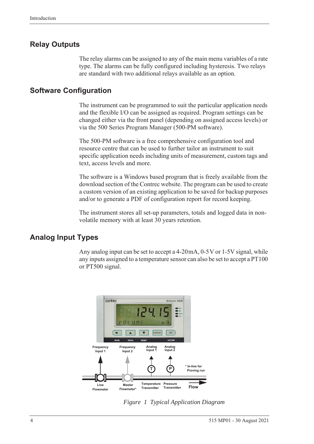### <span id="page-13-0"></span>**Relay Outputs**

The relay alarms can be assigned to any of the main menu variables of a rate type. The alarms can be fully configured including hysteresis. Two relays are standard with two additional relays available as an option.

### <span id="page-13-1"></span>**Software Configuration**

The instrument can be programmed to suit the particular application needs and the flexible I/O can be assigned as required. Program settings can be changed either via the front panel (depending on assigned access levels) or via the 500 Series Program Manager (500-PM software).

The 500-PM software is a free comprehensive configuration tool and resource centre that can be used to further tailor an instrument to suit specific application needs including units of measurement, custom tags and text, access levels and more.

The software is a Windows based program that is freely available from the download section of the Contrec website. The program can be used to create a custom version of an existing application to be saved for backup purposes and/or to generate a PDF of configuration report for record keeping.

The instrument stores all set-up parameters, totals and logged data in nonvolatile memory with at least 30 years retention.

### <span id="page-13-2"></span>**Analog Input Types**

Any analog input can be set to accept a 4-20 mA, 0-5 V or 1-5 V signal, while any inputs assigned to a temperature sensor can also be set to accept a PT100 or PT500 signal.

<span id="page-13-3"></span>

*Figure 1 Typical Application Diagram*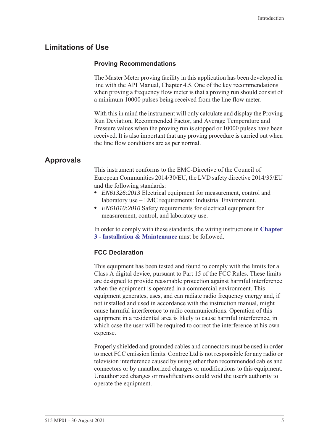### <span id="page-14-0"></span>**Limitations of Use**

### **Proving Recommendations**

The Master Meter proving facility in this application has been developed in line with the API Manual, Chapter 4.5. One of the key recommendations when proving a frequency flow meter is that a proving run should consist of a minimum 10000 pulses being received from the line flow meter.

With this in mind the instrument will only calculate and display the Proving Run Deviation, Recommended Factor, and Average Temperature and Pressure values when the proving run is stopped or 10000 pulses have been received. It is also important that any proving procedure is carried out when the line flow conditions are as per normal.

### <span id="page-14-1"></span>**Approvals**

This instrument conforms to the EMC-Directive of the Council of European Communities 2014/30/EU, the LVD safety directive 2014/35/EU and the following standards:

- **•** *EN61326:2013* Electrical equipment for measurement, control and laboratory use – EMC requirements: Industrial Environment.
- **•** *EN61010:2010* Safety requirements for electrical equipment for measurement, control, and laboratory use.

In order to comply with these standards, the wiring instructions in **[Chapter](#page-18-5)  [3 - Installation & Maintenance](#page-18-5)** must be followed.

### **FCC Declaration**

This equipment has been tested and found to comply with the limits for a Class A digital device, pursuant to Part 15 of the FCC Rules. These limits are designed to provide reasonable protection against harmful interference when the equipment is operated in a commercial environment. This equipment generates, uses, and can radiate radio frequency energy and, if not installed and used in accordance with the instruction manual, might cause harmful interference to radio communications. Operation of this equipment in a residential area is likely to cause harmful interference, in which case the user will be required to correct the interference at his own expense.

Properly shielded and grounded cables and connectors must be used in order to meet FCC emission limits. Contrec Ltd is not responsible for any radio or television interference caused by using other than recommended cables and connectors or by unauthorized changes or modifications to this equipment. Unauthorized changes or modifications could void the user's authority to operate the equipment.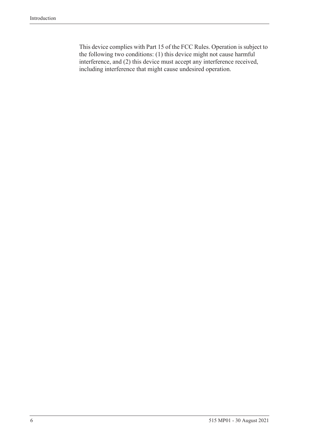This device complies with Part 15 of the FCC Rules. Operation is subject to the following two conditions: (1) this device might not cause harmful interference, and (2) this device must accept any interference received, including interference that might cause undesired operation.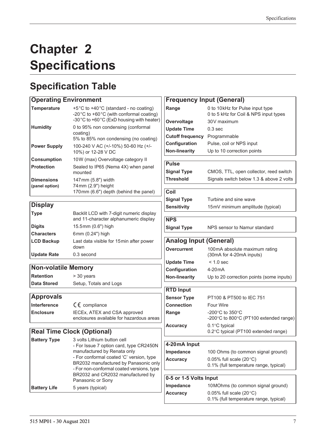## <span id="page-16-0"></span>**Chapter 2 Specifications**

## <span id="page-16-1"></span>**Specification Table**

### **Operating Environment**

| <b>Temperature</b>                  | +5°C to +40°C (standard - no coating)<br>-20°C to +60°C (with conformal coating)<br>-30°C to +60°C (ExD housing with heater) |
|-------------------------------------|------------------------------------------------------------------------------------------------------------------------------|
| <b>Humidity</b>                     | 0 to 95% non condensing (conformal<br>coating)<br>5% to 85% non condensing (no coating)                                      |
| <b>Power Supply</b>                 | 100-240 V AC (+/-10%) 50-60 Hz (+/-<br>10%) or 12-28 V DC                                                                    |
| <b>Consumption</b>                  | 10W (max) Overvoltage category II                                                                                            |
| <b>Protection</b>                   | Sealed to IP65 (Nema 4X) when panel<br>mounted                                                                               |
| <b>Dimensions</b><br>(panel option) | 147 mm (5.8") width<br>74 mm (2.9") height<br>170mm (6.6") depth (behind the panel)                                          |

### **Display**

| <b>Type</b>        | Backlit LCD with 7-digit numeric display<br>and 11-character alphanumeric display |
|--------------------|-----------------------------------------------------------------------------------|
| <b>Digits</b>      | 15.5mm (0.6") high                                                                |
| <b>Characters</b>  | 6mm (0.24") high                                                                  |
| <b>LCD Backup</b>  | Last data visible for 15 min after power<br>down                                  |
| <b>Update Rate</b> | 0.3 second                                                                        |

### **Non-volatile Memory**

**Retention** > 30 years **Data Stored** Setup, Totals and Logs

### **Approvals**

| <b>Interference</b> | $C \in \mathbb{C}$ compliance                                            |
|---------------------|--------------------------------------------------------------------------|
| <b>Enclosure</b>    | IECEx, ATEX and CSA approved<br>enclosures available for hazardous areas |

### **Real Time Clock (Optional)**

| <b>Battery Type</b> | 3 volts Lithium button cell<br>- For Issue 7 option card, type CR2450N<br>manufactured by Renata only<br>- For conformal coated 'C' version, type<br>BR2032 manufactured by Panasonic only<br>- For non-conformal coated versions, type<br>BR2032 and CR2032 manufactured by |
|---------------------|------------------------------------------------------------------------------------------------------------------------------------------------------------------------------------------------------------------------------------------------------------------------------|
|                     | Panasonic or Sony                                                                                                                                                                                                                                                            |
| <b>Battery Life</b> | 5 years (typical)                                                                                                                                                                                                                                                            |

| <b>Frequency Input (General)</b>     |                                                           |  |  |  |
|--------------------------------------|-----------------------------------------------------------|--|--|--|
| Range                                | 0 to 10kHz for Pulse input type                           |  |  |  |
|                                      | 0 to 5 kHz for Coil & NPS input types                     |  |  |  |
| Overvoltage                          | 30V maximum                                               |  |  |  |
| <b>Update Time</b>                   | $0.3$ sec                                                 |  |  |  |
| <b>Cutoff frequency</b> Programmable |                                                           |  |  |  |
| Configuration                        | Pulse, coil or NPS input                                  |  |  |  |
| <b>Non-linearity</b>                 | Up to 10 correction points                                |  |  |  |
|                                      |                                                           |  |  |  |
| <b>Pulse</b>                         |                                                           |  |  |  |
| <b>Signal Type</b>                   | CMOS, TTL, open collector, reed switch                    |  |  |  |
| <b>Threshold</b>                     | Signals switch below 1.3 & above 2 volts                  |  |  |  |
| Coil                                 |                                                           |  |  |  |
| <b>Signal Type</b>                   | Turbine and sine wave                                     |  |  |  |
| <b>Sensitivity</b>                   | 15mV minimum amplitude (typical)                          |  |  |  |
|                                      |                                                           |  |  |  |
| <b>NPS</b>                           |                                                           |  |  |  |
| <b>Signal Type</b>                   | NPS sensor to Namur standard                              |  |  |  |
|                                      |                                                           |  |  |  |
| <b>Analog Input (General)</b>        |                                                           |  |  |  |
| <b>Overcurrent</b>                   | 100mA absolute maximum rating<br>(30mA for 4-20mA inputs) |  |  |  |
| <b>Update Time</b>                   | $< 1.0$ sec                                               |  |  |  |
| Configuration                        | 4-20 <sub>m</sub> A                                       |  |  |  |
| <b>Non-linearity</b>                 | Up to 20 correction points (some inputs)                  |  |  |  |
|                                      |                                                           |  |  |  |
| <b>RTD Input</b>                     |                                                           |  |  |  |
| <b>Sensor Type</b>                   | PT100 & PT500 to IEC 751                                  |  |  |  |
| <b>Connection</b>                    | <b>Four Wire</b>                                          |  |  |  |
| Range                                | -200°C to 350°C<br>-200°C to 800°C (PT100 extended range) |  |  |  |
| <b>Accuracy</b>                      | $0.1^{\circ}$ C typical                                   |  |  |  |
|                                      | 0.2°C typical (PT100 extended range)                      |  |  |  |
| 4-20mA Input                         |                                                           |  |  |  |
| Impedance                            | 100 Ohms (to common signal ground)                        |  |  |  |
| <b>Accuracy</b>                      | 0.05% full scale $(20^{\circ}C)$                          |  |  |  |
|                                      | 0.1% (full temperature range, typical)                    |  |  |  |
|                                      |                                                           |  |  |  |
| 0-5 or 1-5 Volts Input               |                                                           |  |  |  |
| Impedance                            | 10MOhms (to common signal ground)                         |  |  |  |
| Accuracy                             | 0.05% full scale $(20^{\circ}C)$                          |  |  |  |

0.1% (full temperature range, typical)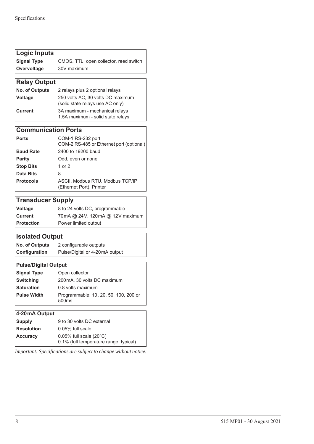| Logic Inputs        |                                        |  |  |  |
|---------------------|----------------------------------------|--|--|--|
| Signal Type         | CMOS, TTL, open collector, reed switch |  |  |  |
| <b>Overvoltage</b>  | 30V maximum                            |  |  |  |
|                     |                                        |  |  |  |
| <b>Relay Output</b> |                                        |  |  |  |

| $\mu$ ingiay Uulpul   |                                                                       |  |  |
|-----------------------|-----------------------------------------------------------------------|--|--|
| <b>No. of Outputs</b> | 2 relays plus 2 optional relays                                       |  |  |
| <i><b>Voltage</b></i> | 250 volts AC, 30 volts DC maximum<br>(solid state relays use AC only) |  |  |
| <b>Current</b>        | 3A maximum - mechanical relays<br>1.5A maximum - solid state relays   |  |  |

### **Communication Ports**

| ∣ Ports          | COM-1 RS-232 port<br>COM-2 RS-485 or Ethernet port (optional) |
|------------------|---------------------------------------------------------------|
| <b>Baud Rate</b> | 2400 to 19200 baud                                            |
| Parity           | Odd, even or none                                             |
| <b>Stop Bits</b> | 1 or $2$                                                      |
| Data Bits        | 8                                                             |
| <b>Protocols</b> | ASCII, Modbus RTU, Modbus TCP/IP<br>(Ethernet Port), Printer  |

### **Transducer Supply**

| <b>Voltage</b>    | 8 to 24 volts DC, programmable  |
|-------------------|---------------------------------|
| l Current l       | 70mA @ 24V, 120mA @ 12V maximum |
| <b>Protection</b> | Power limited output            |

### **Isolated Output**

| <b>No. of Outputs</b> | 2 configurable outputs         |
|-----------------------|--------------------------------|
| Configuration         | Pulse/Digital or 4-20mA output |

### **Pulse/Digital Output**

| <b>Signal Type</b> | Open collector                                             |  |  |
|--------------------|------------------------------------------------------------|--|--|
| <b>Switching</b>   | 200 mA, 30 volts DC maximum                                |  |  |
| <b>Saturation</b>  | 0.8 volts maximum                                          |  |  |
| <b>Pulse Width</b> | Programmable: 10, 20, 50, 100, 200 or<br>500 <sub>ms</sub> |  |  |
|                    |                                                            |  |  |

| 4-20mA Output     |                                                                                |
|-------------------|--------------------------------------------------------------------------------|
| <b>Supply</b>     | 9 to 30 volts DC external                                                      |
| <b>Resolution</b> | $0.05\%$ full scale                                                            |
| <b>Accuracy</b>   | $0.05\%$ full scale (20 $\degree$ C)<br>0.1% (full temperature range, typical) |

*Important: Specifications are subject to change without notice.*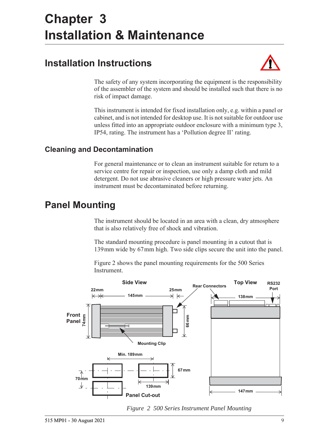## <span id="page-18-5"></span><span id="page-18-0"></span>**Chapter 3 Installation & Maintenance**

### <span id="page-18-1"></span>**Installation Instructions**



The safety of any system incorporating the equipment is the responsibility of the assembler of the system and should be installed such that there is no risk of impact damage.

This instrument is intended for fixed installation only, e.g. within a panel or cabinet, and is not intended for desktop use. It is not suitable for outdoor use unless fitted into an appropriate outdoor enclosure with a minimum type 3, IP54, rating. The instrument has a 'Pollution degree II' rating.

### <span id="page-18-2"></span>**Cleaning and Decontamination**

For general maintenance or to clean an instrument suitable for return to a service centre for repair or inspection, use only a damp cloth and mild detergent. Do not use abrasive cleaners or high pressure water jets. An instrument must be decontaminated before returning.

### <span id="page-18-3"></span>**Panel Mounting**

The instrument should be located in an area with a clean, dry atmosphere that is also relatively free of shock and vibration.

The standard mounting procedure is panel mounting in a cutout that is 139 mm wide by 67 mm high. Two side clips secure the unit into the panel.

[Figure 2](#page-18-4) shows the panel mounting requirements for the 500 Series Instrument.



<span id="page-18-4"></span>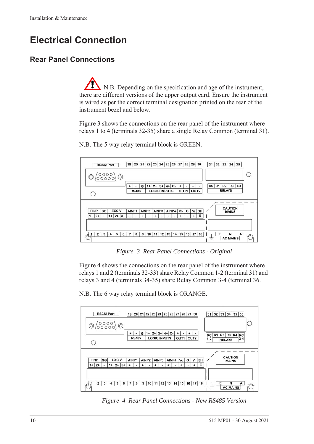### <span id="page-19-0"></span>**Electrical Connection**

### <span id="page-19-1"></span>**Rear Panel Connections**

N.B. Depending on the specification and age of the instrument, there are different versions of the upper output card. Ensure the instrument is wired as per the correct terminal designation printed on the rear of the instrument bezel and below.

[Figure 3](#page-19-2) shows the connections on the rear panel of the instrument where relays 1 to 4 (terminals 32-35) share a single Relay Common (terminal 31).



N.B. The 5 way relay terminal block is GREEN.

*Figure 3 Rear Panel Connections - Original*

<span id="page-19-2"></span>[Figure 4](#page-19-3) shows the connections on the rear panel of the instrument where relays 1 and 2 (terminals 32-33) share Relay Common 1-2 (terminal 31) and relays 3 and 4 (terminals 34-35) share Relay Common 3-4 (terminal 36.

N.B. The 6 way relay terminal block is ORANGE.



<span id="page-19-3"></span>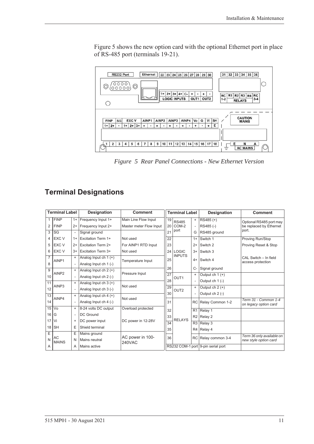[Figure 5](#page-20-1) shows the new option card with the optional Ethernet port in place of RS-485 port (terminals 19-21).



<span id="page-20-1"></span>*Figure 5 Rear Panel Connections - New Ethernet Version*

### <span id="page-20-0"></span>**Terminal Designations**

| <b>Terminal Label</b> |                    |                          | Designation               | <b>Comment</b>                    | <b>Terminal Label</b> |                  |                | <b>Designation</b>                 | <b>Comment</b>            |
|-----------------------|--------------------|--------------------------|---------------------------|-----------------------------------|-----------------------|------------------|----------------|------------------------------------|---------------------------|
|                       | <b>FINP</b>        | $1+$                     | Frequency Input 1+        | Main Line Flow Input              | 19                    | <b>RS485</b>     | $\ddot{}$      | RS485 (+)                          | Optional RS485 port may   |
| 2                     | <b>FINP</b>        | $2+$                     | Frequency Input 2+        | Master meter Flow Input           |                       | 20 COM-2         |                | RS485 (-)                          | be replaced by Ethernet   |
| 3                     | SG                 | $\overline{\phantom{a}}$ | Signal ground             |                                   | 21                    | port             | G              | RS485 ground                       | port.                     |
| 4                     | <b>EXC V</b>       | $1+$                     | <b>Excitation Term 1+</b> | Not used                          | 22                    |                  | $1+$           | Switch 1                           | Proving Run/Stop          |
| 5                     | EXC V              | $2+$                     | <b>Excitation Term 2+</b> | For AINP1 RTD Input               | 23                    |                  | $2+$           | Switch 2                           | Proving Reset & Stop      |
| 6                     | EXC V              | $3+$                     | Excitation Term 3+        | Not used                          |                       | 24 LOGIC         | $3+$           | Switch 3                           |                           |
| $\overline{7}$        | AINP1              | $\ddot{}$                | Analog Input ch $1 (+)$   |                                   | 25                    | <b>INPUTS</b>    | $4+$           | Switch 4                           | CAL Switch - In field     |
| 8                     |                    |                          | Analog Input ch 1 (-)     | Temperature Input                 |                       |                  |                |                                    | access protection         |
| 9                     |                    | $\ddot{}$                | Analog Input ch $2 (+)$   |                                   | 26                    |                  | $C-$           | Signal ground                      |                           |
| 10                    | AINP <sub>2</sub>  |                          | Analog Input ch 2 (-)     | Pressure Input                    | $\overline{27}$       | OUT <sub>1</sub> | $\ddot{}$      | Output ch $1 (+)$                  |                           |
| 11                    |                    | $\ddot{}$                | Analog Input ch $3 (+)$   |                                   | 28                    |                  |                | Output ch 1 (-)                    |                           |
| 12                    | AINP3              |                          | Analog Input ch 3 (-)     | Not used                          | 29                    | OUT <sub>2</sub> | $\ddot{}$      | Output ch $2 (+)$                  |                           |
| 13                    |                    | $\ddot{}$                | Analog Input ch $4 (+)$   |                                   | 30                    |                  |                | Output ch 2 (-)                    |                           |
| 14                    | AINP4              | $\overline{\phantom{a}}$ | Analog Input ch 4 (-)     | Not used                          |                       |                  | <b>RC</b>      | Relay Common 1-2                   | Term 31 - Common 1-4      |
| 15                    | Vo                 | $\ddot{}$                | 8-24 volts DC output      | Overload protected                |                       |                  |                |                                    | on legacy option card     |
| 16                    | G                  | $\overline{\phantom{a}}$ | <b>DC</b> Ground          |                                   | 32                    |                  | R <sub>1</sub> | Relay 1                            |                           |
| 17                    | Vi                 | $\ddot{}$                | DC power input            | DC power in 12-28V                | 33                    | <b>RELAYS</b>    | R <sub>2</sub> | Relay 2                            |                           |
|                       |                    |                          |                           |                                   | $\overline{34}$       |                  | R3             | Relay 3                            |                           |
| 18                    | <b>SH</b>          | Е                        | Shield terminal           |                                   | 35                    |                  | R4             | Relay 4                            |                           |
|                       | Ε                  | E                        | Mains ground              | AC power in 100-<br><b>240VAC</b> | 36                    |                  | RC             | Relay common 3-4                   | Term 36 only available on |
| N                     | AC<br><b>MAINS</b> | Ν                        | Mains neutral             |                                   |                       |                  |                |                                    | new style option card     |
| A                     |                    | Α                        | Mains active              |                                   |                       |                  |                | RS232 COM-1 port 9-pin serial port |                           |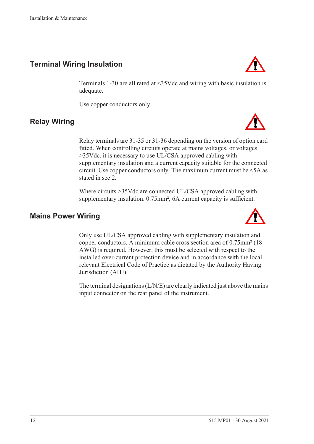### <span id="page-21-0"></span>**Terminal Wiring Insulation**

Terminals 1-30 are all rated at <35Vdc and wiring with basic insulation is adequate.

Use copper conductors only.

### <span id="page-21-1"></span>**Relay Wiring**

Relay terminals are 31-35 or 31-36 depending on the version of option card fitted. When controlling circuits operate at mains voltages, or voltages >35Vdc, it is necessary to use UL/CSA approved cabling with supplementary insulation and a current capacity suitable for the connected circuit. Use copper conductors only. The maximum current must be <5A as stated in sec 2.

Where circuits >35Vdc are connected UL/CSA approved cabling with supplementary insulation. 0.75mm<sup>2</sup>, 6A current capacity is sufficient.

### <span id="page-21-2"></span>**Mains Power Wiring**

Only use UL/CSA approved cabling with supplementary insulation and copper conductors. A minimum cable cross section area of 0.75mm² (18 AWG) is required. However, this must be selected with respect to the installed over-current protection device and in accordance with the local relevant Electrical Code of Practice as dictated by the Authority Having Jurisdiction (AHJ).

The terminal designations (L/N/E) are clearly indicated just above the mains input connector on the rear panel of the instrument.





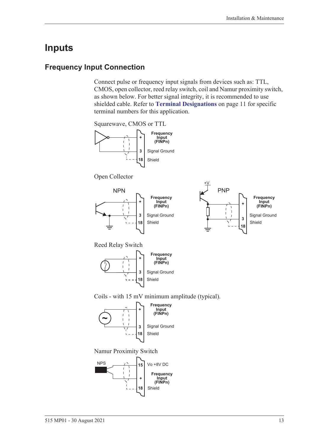### <span id="page-22-0"></span>**Inputs**

### <span id="page-22-1"></span>**Frequency Input Connection**

Connect pulse or frequency input signals from devices such as: TTL, CMOS, open collector, reed relay switch, coil and Namur proximity switch, as shown below. For better signal integrity, it is recommended to use shielded cable. Refer to **[Terminal Designations](#page-20-0)** on page 11 for specific terminal numbers for this application.

Squarewave, CMOS or TTL



Open Collector





Reed Relay Switch



Coils - with 15 mV minimum amplitude (typical).



Namur Proximity Switch

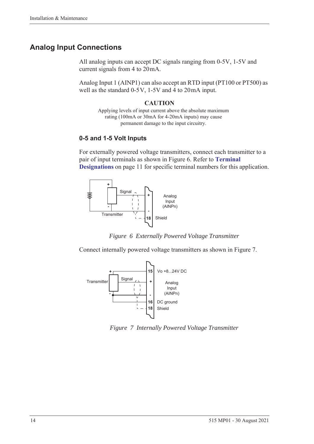### <span id="page-23-0"></span>**Analog Input Connections**

All analog inputs can accept DC signals ranging from 0-5V, 1-5V and current signals from 4 to 20 mA.

Analog Input 1 (AINP1) can also accept an RTD input (PT100 or PT500) as well as the standard  $0-5V$ ,  $1-5V$  and  $4$  to  $20mA$  input.

#### **CAUTION**

Applying levels of input current above the absolute maximum rating (100mA or 30mA for 4-20mA inputs) may cause permanent damage to the input circuitry.

### **0-5 and 1-5 Volt Inputs**

For externally powered voltage transmitters, connect each transmitter to a pair of input terminals as shown in [Figure 6](#page-23-1). Refer to **[Terminal](#page-20-0)  [Designations](#page-20-0)** on page 11 for specific terminal numbers for this application.





<span id="page-23-1"></span>Connect internally powered voltage transmitters as shown in [Figure 7.](#page-23-2)



<span id="page-23-2"></span>*Figure 7 Internally Powered Voltage Transmitter*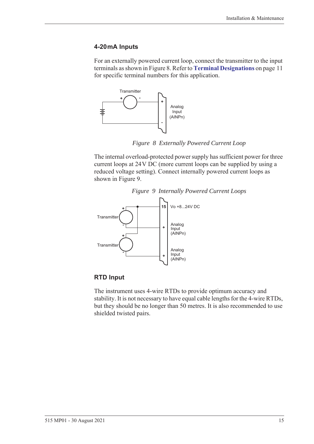#### **4-20 mA Inputs**

For an externally powered current loop, connect the transmitter to the input terminals as shown in [Figure 8.](#page-24-0) Refer to **[Terminal Designations](#page-20-0)** on page 11 for specific terminal numbers for this application.



*Figure 8 Externally Powered Current Loop*

<span id="page-24-0"></span>The internal overload-protected power supply has sufficient power for three current loops at 24 V DC (more current loops can be supplied by using a reduced voltage setting). Connect internally powered current loops as shown in [Figure 9.](#page-24-1)

<span id="page-24-1"></span>

### *Figure 9 Internally Powered Current Loops*

#### **RTD Input**

The instrument uses 4-wire RTDs to provide optimum accuracy and stability. It is not necessary to have equal cable lengths for the 4-wire RTDs, but they should be no longer than 50 metres. It is also recommended to use shielded twisted pairs.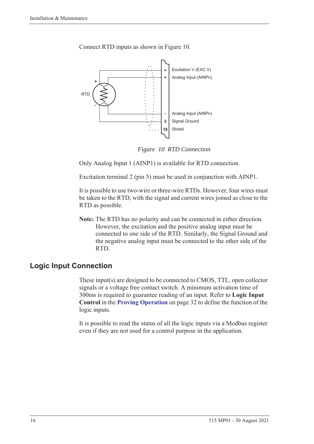

Connect RTD inputs as shown in [Figure 10.](#page-25-1)

*Figure 10 RTD Connection*

<span id="page-25-1"></span>Only Analog Input 1 (AINP1) is available for RTD connection.

Excitation terminal 2 (pin 5) must be used in conjunction with AINP1.

It is possible to use two-wire or three-wire RTDs. However, four wires must be taken to the RTD, with the signal and current wires joined as close to the RTD as possible.

**Note:** The RTD has no polarity and can be connected in either direction. However, the excitation and the positive analog input must be connected to one side of the RTD. Similarly, the Signal Ground and the negative analog input must be connected to the other side of the RTD.

### <span id="page-25-0"></span>**Logic Input Connection**

These input(s) are designed to be connected to CMOS, TTL, open collector signals or a voltage free contact switch. A minimum activation time of 300ms is required to guarantee reading of an input. Refer to **Logic Input Control** in the **[Proving Operation](#page-41-2)** on page 32 to define the function of the logic inputs.

It is possible to read the status of all the logic inputs via a Modbus register even if they are not used for a control purpose in the application.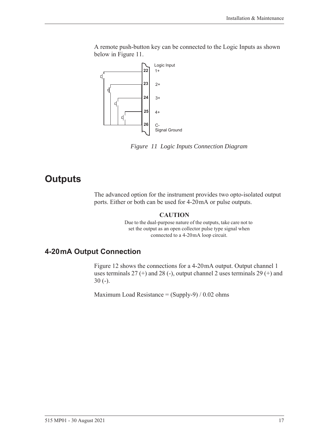A remote push-button key can be connected to the Logic Inputs as shown below in [Figure 11.](#page-26-2)



<span id="page-26-2"></span>*Figure 11 Logic Inputs Connection Diagram*

### <span id="page-26-0"></span>**Outputs**

The advanced option for the instrument provides two opto-isolated output ports. Either or both can be used for 4-20 mA or pulse outputs.

#### **CAUTION**

Due to the dual-purpose nature of the outputs, take care not to set the output as an open collector pulse type signal when connected to a 4-20mA loop circuit.

### <span id="page-26-1"></span>**4-20 mA Output Connection**

[Figure 12](#page-27-1) shows the connections for a 4-20 mA output. Output channel 1 uses terminals  $27 (+)$  and  $28 (-)$ , output channel 2 uses terminals  $29 (+)$  and 30 (-).

Maximum Load Resistance =  $(Supply-9) / 0.02$  ohms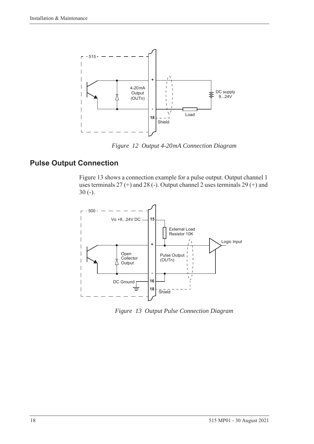

*Figure 12 Output 4-20 mA Connection Diagram*

### <span id="page-27-0"></span>**Pulse Output Connection**

<span id="page-27-1"></span>[Figure 13](#page-27-2) shows a connection example for a pulse output. Output channel 1 uses terminals 27 (+) and 28 (-). Output channel 2 uses terminals 29 (+) and 30 (-).



<span id="page-27-2"></span>*Figure 13 Output Pulse Connection Diagram*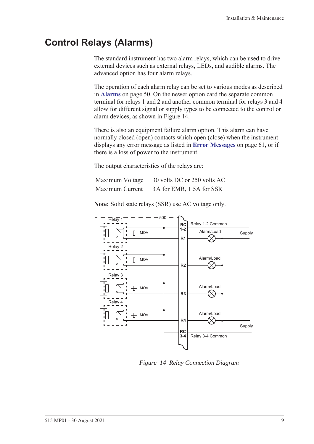### <span id="page-28-0"></span>**Control Relays (Alarms)**

The standard instrument has two alarm relays, which can be used to drive external devices such as external relays, LEDs, and audible alarms. The advanced option has four alarm relays.

The operation of each alarm relay can be set to various modes as described in **Alarms** [on page 50.](#page-59-1) On the newer option card the separate common terminal for relays 1 and 2 and another common terminal for relays 3 and 4 allow for different signal or supply types to be connected to the control or alarm devices, as shown in [Figure 14.](#page-28-1)

There is also an equipment failure alarm option. This alarm can have normally closed (open) contacts which open (close) when the instrument displays any error message as listed in **[Error Messages](#page-70-2)** on page 61, or if there is a loss of power to the instrument.

The output characteristics of the relays are:

| Maximum Voltage | 30 volts DC or 250 volts AC |
|-----------------|-----------------------------|
| Maximum Current | 3A for EMR, 1.5A for SSR    |

500  $\overline{Relav}$ RC Relay 1-2 Common **1-2** Alarm/Load Supply MOV **R1** Relay 2  $\overline{\phantom{a}}$ Alarm/Load MOV  $\overline{\phantom{a}}$ **R2**  $\otimes$  $\overline{\phantom{a}}$ Relay 3  $\overline{\phantom{a}}$  $\overline{\phantom{a}}$ Alarm/Load MOV  $\overline{\phantom{a}}$ **R3** Relay 4 Alarm/Load MOV  $\overline{\phantom{a}}$ **R4** Supply  $\overline{\phantom{a}}$ **RC**  $\overline{\phantom{a}}$ Relay 3-4 Common**3-4**

**Note:** Solid state relays (SSR) use AC voltage only.

<span id="page-28-1"></span>*Figure 14 Relay Connection Diagram*

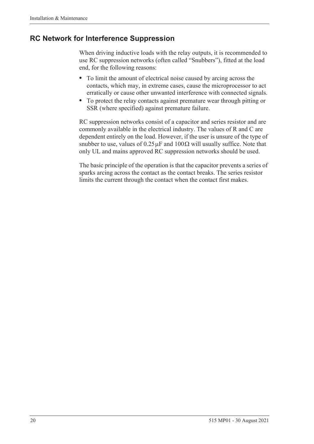### <span id="page-29-0"></span>**RC Network for Interference Suppression**

When driving inductive loads with the relay outputs, it is recommended to use RC suppression networks (often called "Snubbers"), fitted at the load end, for the following reasons:

- **•** To limit the amount of electrical noise caused by arcing across the contacts, which may, in extreme cases, cause the microprocessor to act erratically or cause other unwanted interference with connected signals.
- **•** To protect the relay contacts against premature wear through pitting or SSR (where specified) against premature failure.

RC suppression networks consist of a capacitor and series resistor and are commonly available in the electrical industry. The values of R and C are dependent entirely on the load. However, if the user is unsure of the type of snubber to use, values of  $0.25 \mu$ F and  $100 \Omega$  will usually suffice. Note that only UL and mains approved RC suppression networks should be used.

The basic principle of the operation is that the capacitor prevents a series of sparks arcing across the contact as the contact breaks. The series resistor limits the current through the contact when the contact first makes.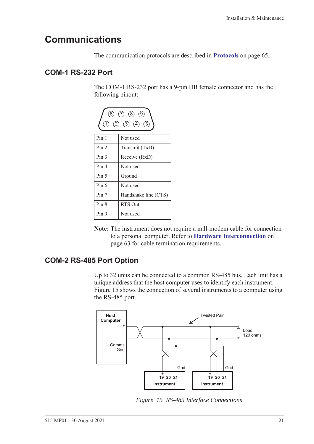### <span id="page-30-0"></span>**Communications**

The communication protocols are described in **Protocols** [on page 65](#page-74-3).

### <span id="page-30-1"></span>**COM-1 RS-232 Port**

The COM-1 RS-232 port has a 9-pin DB female connector and has the following pinout:

| $(6)$ (7) (8) (9)<br>$(2)$ $(3)$ $(4)$ $(5)$<br>(1) |                      |  |  |  |
|-----------------------------------------------------|----------------------|--|--|--|
| Pin 1                                               | Not used             |  |  |  |
| Pin <sub>2</sub>                                    | Transmit (TxD)       |  |  |  |
| Pin <sub>3</sub>                                    | Receive (RxD)        |  |  |  |
| Pin <sub>4</sub>                                    | Not used             |  |  |  |
| Pin <sub>5</sub>                                    | Ground               |  |  |  |
| Pin 6                                               | Not used             |  |  |  |
| Pin 7                                               | Handshake line (CTS) |  |  |  |
| Pin 8                                               | RTS Out              |  |  |  |
| Pin 9                                               | Not used             |  |  |  |

**Note:** The instrument does not require a null-modem cable for connection to a personal computer. Refer to **[Hardware Interconnection](#page-72-4)** on [page 63](#page-72-4) for cable termination requirements.

### <span id="page-30-2"></span>**COM-2 RS-485 Port Option**

Up to 32 units can be connected to a common RS-485 bus. Each unit has a unique address that the host computer uses to identify each instrument. [Figure 15](#page-30-3) shows the connection of several instruments to a computer using the RS-485 port.



<span id="page-30-3"></span>*Figure 15 RS-485 Interface Connections*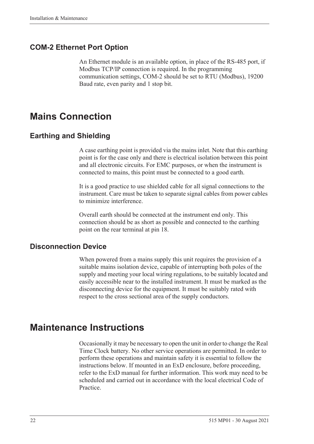### <span id="page-31-0"></span>**COM-2 Ethernet Port Option**

An Ethernet module is an available option, in place of the RS-485 port, if Modbus TCP/IP connection is required. In the programming communication settings, COM-2 should be set to RTU (Modbus), 19200 Baud rate, even parity and 1 stop bit.

### <span id="page-31-1"></span>**Mains Connection**

### <span id="page-31-2"></span>**Earthing and Shielding**

A case earthing point is provided via the mains inlet. Note that this earthing point is for the case only and there is electrical isolation between this point and all electronic circuits. For EMC purposes, or when the instrument is connected to mains, this point must be connected to a good earth.

It is a good practice to use shielded cable for all signal connections to the instrument. Care must be taken to separate signal cables from power cables to minimize interference.

Overall earth should be connected at the instrument end only. This connection should be as short as possible and connected to the earthing point on the rear terminal at pin 18.

### <span id="page-31-3"></span>**Disconnection Device**

When powered from a mains supply this unit requires the provision of a suitable mains isolation device, capable of interrupting both poles of the supply and meeting your local wiring regulations, to be suitably located and easily accessible near to the installed instrument. It must be marked as the disconnecting device for the equipment. It must be suitably rated with respect to the cross sectional area of the supply conductors.

### <span id="page-31-4"></span>**Maintenance Instructions**

Occasionally it may be necessary to open the unit in order to change the Real Time Clock battery. No other service operations are permitted. In order to perform these operations and maintain safety it is essential to follow the instructions below. If mounted in an ExD enclosure, before proceeding, refer to the ExD manual for further information. This work may need to be scheduled and carried out in accordance with the local electrical Code of Practice.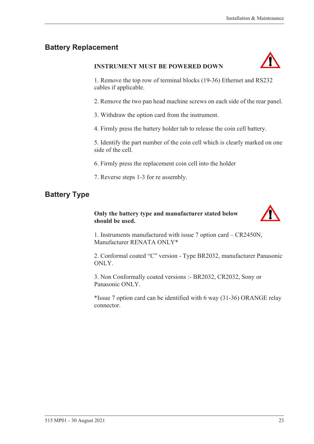### <span id="page-32-0"></span>**Battery Replacement**

### **INSTRUMENT MUST BE POWERED DOWN**



1. Remove the top row of terminal blocks (19-36) Ethernet and RS232 cables if applicable.

2. Remove the two pan head machine screws on each side of the rear panel.

3. Withdraw the option card from the instrument.

4. Firmly press the battery holder tab to release the coin cell battery.

5. Identify the part number of the coin cell which is clearly marked on one side of the cell.

6. Firmly press the replacement coin cell into the holder

7. Reverse steps 1-3 for re assembly.

### <span id="page-32-1"></span>**Battery Type**

### **Only the battery type and manufacturer stated below should be used.**



1. Instruments manufactured with issue 7 option card – CR2450N, Manufacturer RENATA ONLY\*

2. Conformal coated "C" version - Type BR2032, manufacturer Panasonic ONLY.

3. Non Conformally coated versions :- BR2032, CR2032, Sony or Panasonic ONLY.

\*Issue 7 option card can be identified with 6 way (31-36) ORANGE relay connector.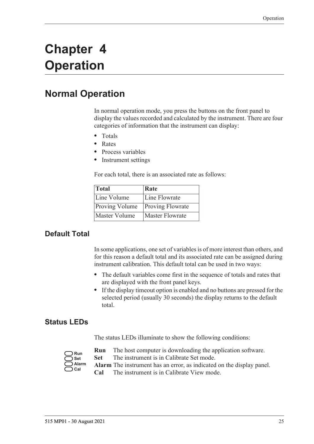## <span id="page-34-0"></span>**Chapter 4 Operation**

### <span id="page-34-1"></span>**Normal Operation**

In normal operation mode, you press the buttons on the front panel to display the values recorded and calculated by the instrument. There are four categories of information that the instrument can display:

- **•** Totals
- **•** Rates
- **•** Process variables
- **•** Instrument settings

For each total, there is an associated rate as follows:

| Total                 | Rate                    |
|-----------------------|-------------------------|
| Line Volume           | Line Flowrate           |
| <b>Proving Volume</b> | <b>Proving Flowrate</b> |
| Master Volume         | <b>Master Flowrate</b>  |

### <span id="page-34-2"></span>**Default Total**

In some applications, one set of variables is of more interest than others, and for this reason a default total and its associated rate can be assigned during instrument calibration. This default total can be used in two ways:

- **•** The default variables come first in the sequence of totals and rates that are displayed with the front panel keys.
- **•** If the display timeout option is enabled and no buttons are pressed for the selected period (usually 30 seconds) the display returns to the default total.

### <span id="page-34-3"></span>**Status LEDs**

The status LEDs illuminate to show the following conditions:

| Run   |
|-------|
| Set   |
| Alarm |
| :al   |

- **Run** The host computer is downloading the application software.
- **Set** The instrument is in Calibrate Set mode.
- **Alarm** The instrument has an error, as indicated on the display panel.
- **Cal** The instrument is in Calibrate View mode.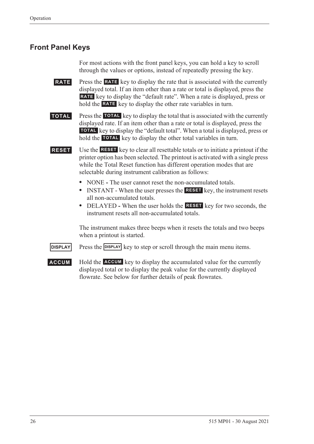### <span id="page-35-0"></span>**Front Panel Keys**

For most actions with the front panel keys, you can hold a key to scroll through the values or options, instead of repeatedly pressing the key.

**RATE** Press the **RATE** key to display the rate that is associated with the currently displayed total. If an item other than a rate or total is displayed, press the RATE key to display the "default rate". When a rate is displayed, press or hold the **RATE** key to display the other rate variables in turn.

**TOTAL** Press the TOTAL key to display the total that is associated with the currently displayed rate. If an item other than a rate or total is displayed, press the **TOTAL** key to display the "default total". When a total is displayed, press or hold the **TOTAL** key to display the other total variables in turn.

**RESET** Use the **RESET** key to clear all resettable totals or to initiate a printout if the printer option has been selected. The printout is activated with a single press while the Total Reset function has different operation modes that are selectable during instrument calibration as follows:

- NONE The user cannot reset the non-accumulated totals.
- INSTANT When the user presses the **RESET** key, the instrument resets all non-accumulated totals.
- DELAYED When the user holds the **RESET** key for two seconds, the instrument resets all non-accumulated totals.

The instrument makes three beeps when it resets the totals and two beeps when a printout is started.

**DISPLAY** Press the **DISPLAY** key to step or scroll through the main menu items.

**ACCUM** Hold the **ACCUM** key to display the accumulated value for the currently displayed total or to display the peak value for the currently displayed flowrate. See below for further details of peak flowrates.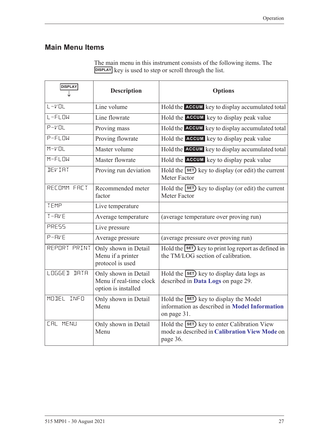### **Main Menu Items**

| <b>DISPLAY</b>  | <b>Description</b>                                                     | <b>Options</b>                                                                                                 |
|-----------------|------------------------------------------------------------------------|----------------------------------------------------------------------------------------------------------------|
| $L - VOL$       | Line volume                                                            | Hold the ACCUM key to display accumulated total                                                                |
| L-FLOW          | Line flowrate                                                          | Hold the <b>ACCUM</b> key to display peak value                                                                |
| $P-VDL$         | Proving mass                                                           | Hold the ACCUM key to display accumulated total                                                                |
| $P-FLM$         | Proving flowrate                                                       | Hold the <b>ACCUM</b> key to display peak value                                                                |
| $M-V$ $DL$      | Master volume                                                          | Hold the ACCUM key to display accumulated total                                                                |
| $M-FLDW$        | Master flowrate                                                        | Hold the ACCUM key to display peak value                                                                       |
| <b>JEVIAT</b>   | Proving run deviation                                                  | Hold the SET key to display (or edit) the current<br>Meter Factor                                              |
| RECOMM FACT     | Recommended meter<br>factor                                            | Hold the SET key to display (or edit) the current<br>Meter Factor                                              |
| TEMP            | Live temperature                                                       |                                                                                                                |
| $T - FVE$       | Average temperature                                                    | (average temperature over proving run)                                                                         |
| <b>PRESS</b>    | Live pressure                                                          |                                                                                                                |
| $P - FVP$       | Average pressure                                                       | (average pressure over proving run)                                                                            |
| REPORT PRINT    | Only shown in Detail<br>Menu if a printer<br>protocol is used          | Hold the SET key to print log report as defined in<br>the TM/LOG section of calibration.                       |
| LOGGED DATA     | Only shown in Detail<br>Menu if real-time clock<br>option is installed | Hold the SET key to display data logs as<br>described in Data Logs on page 29.                                 |
| MODEL INFO      | Only shown in Detail<br>Menu                                           | Hold the <b>SET</b> ) key to display the Model<br>information as described in Model Information<br>on page 31. |
| <b>CAL MENU</b> | Only shown in Detail<br>Menu                                           | Hold the SET key to enter Calibration View<br>mode as described in Calibration View Mode on<br>page 36.        |

The main menu in this instrument consists of the following items. The **DISPLAY** key is used to step or scroll through the list.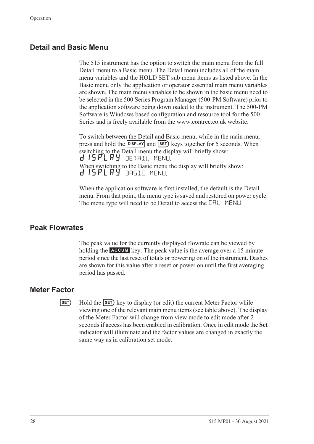### **Detail and Basic Menu**

The 515 instrument has the option to switch the main menu from the full Detail menu to a Basic menu. The Detail menu includes all of the main menu variables and the HOLD SET sub menu items as listed above. In the Basic menu only the application or operator essential main menu variables are shown. The main menu variables to be shown in the basic menu need to be selected in the 500 Series Program Manager (500-PM Software) prior to the application software being downloaded to the instrument. The 500-PM Software is Windows based configuration and resource tool for the 500 Series and is freely available from the www.contrec.co.uk website.

To switch between the Detail and Basic menu, while in the main menu, press and hold the **DISPLAY** and **SET**) keys together for 5 seconds. When switching to the Detail menu the display will briefly show: d 15 PL A Y DETAIL MENU. When switching to the Basic menu the display will briefly show: d 15PLAY BASIC MENU.

When the application software is first installed, the default is the Detail menu. From that point, the menu type is saved and restored on power cycle. The menu type will need to be Detail to access the CAL MENU

### **Peak Flowrates**

The peak value for the currently displayed flowrate can be viewed by holding the **ACCUM** key. The peak value is the average over a 15 minute period since the last reset of totals or powering on of the instrument. Dashes are shown for this value after a reset or power on until the first averaging period has passed.

#### **Meter Factor**

**EXECUTE:** Hold the **SET** key to display (or edit) the current Meter Factor while viewing one of the relevant main menu items (see table above). The display of the Meter Factor will change from view mode to edit mode after 2 seconds if access has been enabled in calibration. Once in edit mode the **Set** indicator will illuminate and the factor values are changed in exactly the same way as in calibration set mode.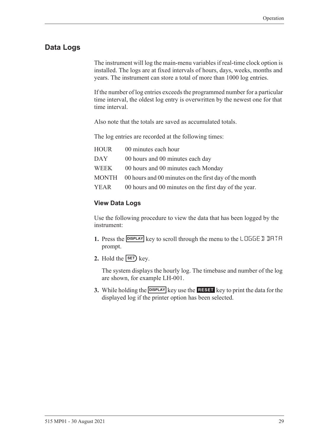### <span id="page-38-0"></span>**Data Logs**

The instrument will log the main-menu variables if real-time clock option is installed. The logs are at fixed intervals of hours, days, weeks, months and years. The instrument can store a total of more than 1000 log entries.

If the number of log entries exceeds the programmed number for a particular time interval, the oldest log entry is overwritten by the newest one for that time interval.

Also note that the totals are saved as accumulated totals.

The log entries are recorded at the following times:

| HOUR | 00 minutes each hour                                        |
|------|-------------------------------------------------------------|
| DAY  | 00 hours and 00 minutes each day                            |
| WEEK | 00 hours and 00 minutes each Monday                         |
|      | MONTH 00 hours and 00 minutes on the first day of the month |
| YEAR | 00 hours and 00 minutes on the first day of the year.       |

#### **View Data Logs**

Use the following procedure to view the data that has been logged by the instrument:

- **1.** Press the **DISPLAY** key to scroll through the menu to the LOGGE D DATA prompt.
- **2.** Hold the  $\overline{\text{SET}}$  key.

The system displays the hourly log. The timebase and number of the log are shown, for example LH-001.

**3.** While holding the **DISPLAY** key use the **RESET** key to print the data for the displayed log if the printer option has been selected.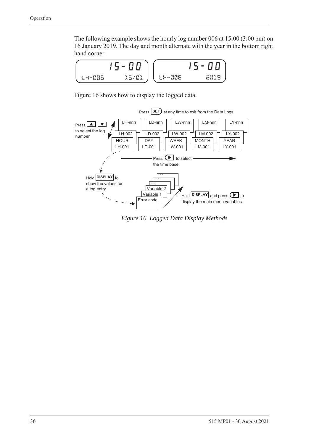The following example shows the hourly log number 006 at 15:00 (3:00 pm) on 16 January 2019. The day and month alternate with the year in the bottom right hand corner.



[Figure 16](#page-39-0) shows how to display the logged data.



<span id="page-39-0"></span>*Figure 16 Logged Data Display Methods*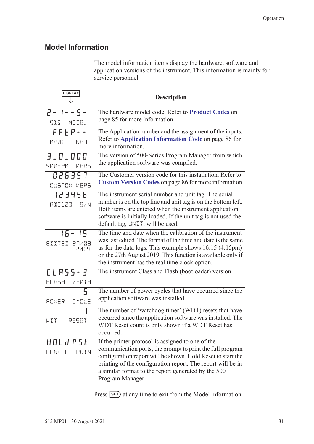# <span id="page-40-1"></span><span id="page-40-0"></span>**Model Information**

The model information items display the hardware, software and application versions of the instrument. This information is mainly for service personnel.

| <b>DISPLAY</b>                    | <b>Description</b>                                                                                                                                                                                                                                                                                                      |
|-----------------------------------|-------------------------------------------------------------------------------------------------------------------------------------------------------------------------------------------------------------------------------------------------------------------------------------------------------------------------|
| $2 - 1 - 5 -$<br>515 MODEL        | The hardware model code. Refer to Product Codes on<br>page 85 for more information.                                                                                                                                                                                                                                     |
| $FFEP - -$<br>MP01 INPUT          | The Application number and the assignment of the inputs.<br>Refer to Application Information Code on page 86 for<br>more information.                                                                                                                                                                                   |
| 3.0.000<br>SØØ-PM VERS            | The version of 500-Series Program Manager from which<br>the application software was compiled.                                                                                                                                                                                                                          |
| 026357<br>CUSTOM VERS             | The Customer version code for this installation. Refer to<br>Custom Version Codes on page 86 for more information.                                                                                                                                                                                                      |
| 123456<br>RBE123 5/N              | The instrument serial number and unit tag. The serial<br>number is on the top line and unit tag is on the bottom left.<br>Both items are entered when the instrument application<br>software is initially loaded. If the unit tag is not used the<br>default tag, UNIT, will be used.                                   |
| $15 - 15$<br>EDITED 27/08<br>2019 | The time and date when the calibration of the instrument<br>was last edited. The format of the time and date is the same<br>as for the data logs. This example shows $16:15(4:15pm)$<br>on the 27th August 2019. This function is available only if<br>the instrument has the real time clock option.                   |
| <b>CLASS-3</b><br>FLRSH V-019     | The instrument Class and Flash (bootloader) version.                                                                                                                                                                                                                                                                    |
| 5.<br>POWER EYELE                 | The number of power cycles that have occurred since the<br>application software was installed.                                                                                                                                                                                                                          |
| RESET<br>WDT                      | The number of 'watchdog timer' (WDT) resets that have<br>occurred since the application software was installed. The<br>WDT Reset count is only shown if a WDT Reset has<br>occurred.                                                                                                                                    |
| HOLd.PSE<br>CONFIG<br>PRINT       | If the printer protocol is assigned to one of the<br>communication ports, the prompt to print the full program<br>configuration report will be shown. Hold Reset to start the<br>printing of the configuration report. The report will be in<br>a similar format to the report generated by the 500<br>Program Manager. |

Press **SET**) at any time to exit from the Model information.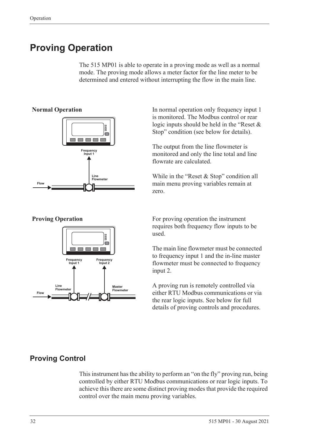# **Proving Operation**

The 515 MP01 is able to operate in a proving mode as well as a normal mode. The proving mode allows a meter factor for the line meter to be determined and entered without interrupting the flow in the main line.







**Normal Operation** In normal operation only frequency input 1 is monitored. The Modbus control or rear logic inputs should be held in the "Reset & Stop" condition (see below for details).

> The output from the line flowmeter is monitored and only the line total and line flowrate are calculated.

> While in the "Reset & Stop" condition all main menu proving variables remain at zero.

**Proving Operation** For proving operation the instrument requires both frequency flow inputs to be used.

> The main line flowmeter must be connected to frequency input 1 and the in-line master flowmeter must be connected to frequency input 2.

> A proving run is remotely controlled via either RTU Modbus communications or via the rear logic inputs. See below for full details of proving controls and procedures.

# **Proving Control**

This instrument has the ability to perform an "on the fly" proving run, being controlled by either RTU Modbus communications or rear logic inputs. To achieve this there are some distinct proving modes that provide the required control over the main menu proving variables.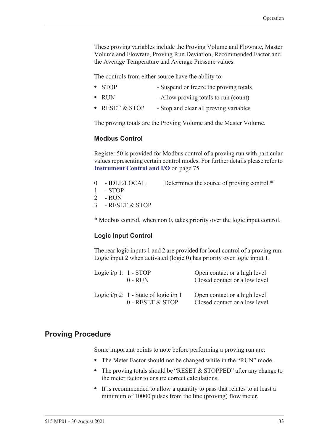These proving variables include the Proving Volume and Flowrate, Master Volume and Flowrate, Proving Run Deviation, Recommended Factor and the Average Temperature and Average Pressure values.

The controls from either source have the ability to:

- **STOP** Suspend or freeze the proving totals
- **•** RUN Allow proving totals to run (count)
- **RESET & STOP** Stop and clear all proving variables

The proving totals are the Proving Volume and the Master Volume.

#### **Modbus Control**

Register 50 is provided for Modbus control of a proving run with particular values representing certain control modes. For further details please refer to **[Instrument Control and I/O](#page-84-0)** on page 75

- 0 IDLE/LOCAL Determines the source of proving control.\*
- 1 STOP
- 2 RUN

3 - RESET & STOP

\* Modbus control, when non 0, takes priority over the logic input control.

#### **Logic Input Control**

The rear logic inputs 1 and 2 are provided for local control of a proving run. Logic input 2 when activated (logic 0) has priority over logic input 1.

| Logic $i/p$ 1: 1 - STOP | $0 - R$ UN                                                      | Open contact or a high level<br>Closed contact or a low level |
|-------------------------|-----------------------------------------------------------------|---------------------------------------------------------------|
|                         | Logic $i/p$ 2: 1 - State of logic $i/p$ 1<br>$0 - RESET & STOP$ | Open contact or a high level<br>Closed contact or a low level |

#### **Proving Procedure**

Some important points to note before performing a proving run are:

- **•** The Meter Factor should not be changed while in the "RUN" mode.
- The proving totals should be "RESET & STOPPED" after any change to the meter factor to ensure correct calculations.
- **•** It is recommended to allow a quantity to pass that relates to at least a minimum of 10000 pulses from the line (proving) flow meter.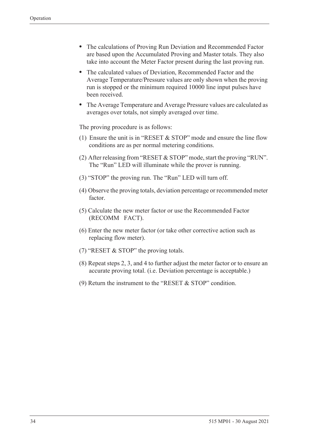- **•** The calculations of Proving Run Deviation and Recommended Factor are based upon the Accumulated Proving and Master totals. They also take into account the Meter Factor present during the last proving run.
- **•** The calculated values of Deviation, Recommended Factor and the Average Temperature/Pressure values are only shown when the proving run is stopped or the minimum required 10000 line input pulses have been received.
- **•** The Average Temperature and Average Pressure values are calculated as averages over totals, not simply averaged over time.

The proving procedure is as follows:

- (1) Ensure the unit is in "RESET & STOP" mode and ensure the line flow conditions are as per normal metering conditions.
- (2) After releasing from "RESET & STOP" mode, start the proving "RUN". The "Run" LED will illuminate while the prover is running.
- (3) "STOP" the proving run. The "Run" LED will turn off.
- (4) Observe the proving totals, deviation percentage or recommended meter factor.
- (5) Calculate the new meter factor or use the Recommended Factor (RECOMM FACT).
- (6) Enter the new meter factor (or take other corrective action such as replacing flow meter).
- (7) "RESET & STOP" the proving totals.
- (8) Repeat steps 2, 3, and 4 to further adjust the meter factor or to ensure an accurate proving total. (i.e. Deviation percentage is acceptable.)
- (9) Return the instrument to the "RESET & STOP" condition.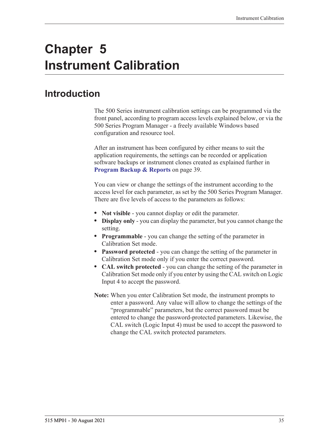# **Chapter 5 Instrument Calibration**

# **Introduction**

The 500 Series instrument calibration settings can be programmed via the front panel, according to program access levels explained below, or via the 500 Series Program Manager - a freely available Windows based configuration and resource tool.

After an instrument has been configured by either means to suit the application requirements, the settings can be recorded or application software backups or instrument clones created as explained further in **[Program Backup & Reports](#page-48-0)** on page 39.

You can view or change the settings of the instrument according to the access level for each parameter, as set by the 500 Series Program Manager. There are five levels of access to the parameters as follows:

- **• Not visible** you cannot display or edit the parameter.
- **• Display only** you can display the parameter, but you cannot change the setting.
- **• Programmable** you can change the setting of the parameter in Calibration Set mode.
- **• Password protected** you can change the setting of the parameter in Calibration Set mode only if you enter the correct password.
- **• CAL switch protected**  you can change the setting of the parameter in Calibration Set mode only if you enter by using the CAL switch on Logic Input 4 to accept the password.
- **Note:** When you enter Calibration Set mode, the instrument prompts to enter a password. Any value will allow to change the settings of the "programmable" parameters, but the correct password must be entered to change the password-protected parameters. Likewise, the CAL switch (Logic Input 4) must be used to accept the password to change the CAL switch protected parameters.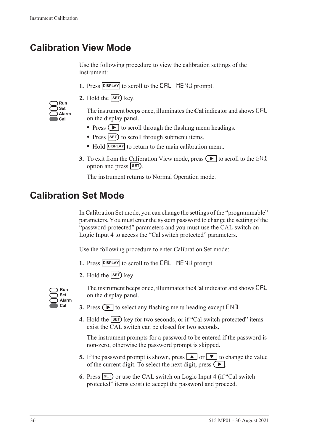# <span id="page-45-0"></span>**Calibration View Mode**

Use the following procedure to view the calibration settings of the instrument:

- 1. Press **DISPLAY** to scroll to the **CAL** MENLI prompt.
- **2.** Hold the  $\overline{\text{SET}}$  key.

| Run   |
|-------|
| Set   |
| Alarm |
| Cal   |

The instrument beeps once, illuminates the **Cal** indicator and shows CAL on the display panel.

- Press  $\left( \blacktriangleright \right)$  to scroll through the flashing menu headings.
- Press **SET** to scroll through submenu items.
- Hold **DISPLAY** to return to the main calibration menu.
- **3.** To exit from the Calibration View mode, press  $\Box$  to scroll to the END option and press **SET**).

The instrument returns to Normal Operation mode.

# **Calibration Set Mode**

In Calibration Set mode, you can change the settings of the "programmable" parameters. You must enter the system password to change the setting of the "password-protected" parameters and you must use the CAL switch on Logic Input 4 to access the "Cal switch protected" parameters.

Use the following procedure to enter Calibration Set mode:

- **1.** Press **DISPLAY** to scroll to the **CAL** MENLI prompt.
- **2.** Hold the  $\overline{\text{SET}}$  key.



The instrument beeps once, illuminates the **Cal** indicator and shows CAL on the display panel.

- **3.** Press  $\left( \blacktriangleright \right)$  to select any flashing menu heading except END.
- **4.** Hold the **SET** key for two seconds, or if "Cal switch protected" items exist the CAL switch can be closed for two seconds.

The instrument prompts for a password to be entered if the password is non-zero, otherwise the password prompt is skipped.

- **5.** If the password prompt is shown, press  $\boxed{\blacktriangle}$  or  $\boxed{\blacktriangledown}$  to change the value of the current digit. To select the next digit, press  $\left( \blacktriangleright \right)$ .
- **6.** Press **SET** or use the CAL switch on Logic Input 4 (if "Cal switch protected" items exist) to accept the password and proceed.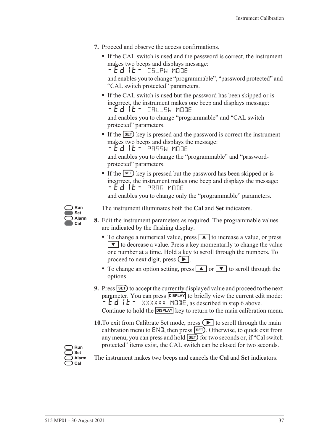- **7.** Proceed and observe the access confirmations.
	- **•** If the CAL switch is used and the password is correct, the instrument makes two beeps and displays message:  $-Ed$  it -  $TS$  pw mode

and enables you to change "programmable", "password protected" and "CAL switch protected" parameters.

**•** If the CAL switch is used but the password has been skipped or is incorrect, the instrument makes one beep and displays message: -EDIT- CAL\_SW MODE

and enables you to change "programmable" and "CAL switch protected" parameters.

• If the **SET**) key is pressed and the password is correct the instrument makes two beeps and displays the message:

 $-Ed$  it - PASSW MODE

and enables you to change the "programmable" and "passwordprotected" parameters.

• If the **SET**) key is pressed but the password has been skipped or is incorrect, the instrument makes one beep and displays the message: -EDIT- PROG MODE

and enables you to change only the "programmable" parameters.



The instrument illuminates both the **Cal** and **Set** indicators.

- **8.** Edit the instrument parameters as required. The programmable values are indicated by the flashing display.
	- To change a numerical value, press **A** to increase a value, or press  $\blacktriangledown$  to decrease a value. Press a key momentarily to change the value one number at a time. Hold a key to scroll through the numbers. To proceed to next digit, press  $( \blacktriangleright ).$
	- To change an option setting, press **A** or  $\bullet$  to scroll through the options.
- **9.** Press **SET** to accept the currently displayed value and proceed to the next parameter. You can press **DISPLAY** to briefly view the current edit mode:  $\div$  E d I E – XXXXXX MODE, as described in step 6 above. Continue to hold the **DISPLAY** key to return to the main calibration menu.
- **10.**To exit from Calibrate Set mode, press  $\left( \blacktriangleright \right)$  to scroll through the main calibration menu to  $ENI$ , then press  $SET$ . Otherwise, to quick exit from any menu, you can press and hold **SET** for two seconds or, if "Cal switch protected" items exist, the CAL switch can be closed for two seconds.

**Run Set Alarm Cal**

The instrument makes two beeps and cancels the **Cal** and **Set** indicators.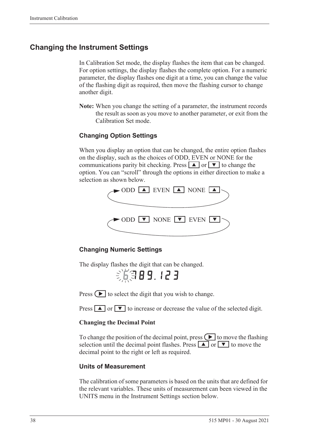### **Changing the Instrument Settings**

In Calibration Set mode, the display flashes the item that can be changed. For option settings, the display flashes the complete option. For a numeric parameter, the display flashes one digit at a time, you can change the value of the flashing digit as required, then move the flashing cursor to change another digit.

**Note:** When you change the setting of a parameter, the instrument records the result as soon as you move to another parameter, or exit from the Calibration Set mode.

### **Changing Option Settings**

When you display an option that can be changed, the entire option flashes on the display, such as the choices of ODD, EVEN or NONE for the communications parity bit checking. Press  $\boxed{\blacktriangle}$  or  $\boxed{\blacktriangledown}$  to change the option. You can "scroll" through the options in either direction to make a selection as shown below.



#### **Changing Numeric Settings**

The display flashes the digit that can be changed.

第第89.123

Press  $\left( \blacktriangleright \right)$  to select the digit that you wish to change.

Press  $\boxed{\blacktriangle}$  or  $\boxed{\blacktriangledown}$  to increase or decrease the value of the selected digit.

#### **Changing the Decimal Point**

To change the position of the decimal point, press  $\Box$  to move the flashing selection until the decimal point flashes. Press  $\boxed{\blacktriangle}$  or  $\boxed{\blacktriangledown}$  to move the decimal point to the right or left as required.

#### **Units of Measurement**

The calibration of some parameters is based on the units that are defined for the relevant variables. These units of measurement can been viewed in the UNITS menu in the Instrument Settings section below.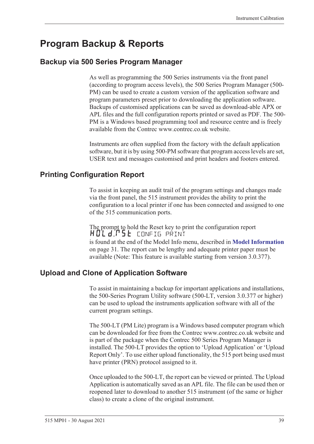# <span id="page-48-0"></span>**Program Backup & Reports**

### **Backup via 500 Series Program Manager**

As well as programming the 500 Series instruments via the front panel (according to program access levels), the 500 Series Program Manager (500- PM) can be used to create a custom version of the application software and program parameters preset prior to downloading the application software. Backups of customised applications can be saved as download-able APX or APL files and the full configuration reports printed or saved as PDF. The 500- PM is a Windows based programming tool and resource centre and is freely available from the Contrec www.contrec.co.uk website.

Instruments are often supplied from the factory with the default application software, but it is by using 500-PM software that program access levels are set, USER text and messages customised and print headers and footers entered.

### **Printing Configuration Report**

To assist in keeping an audit trail of the program settings and changes made via the front panel, the 515 instrument provides the ability to print the configuration to a local printer if one has been connected and assigned to one of the 515 communication ports.

The prompt to hold the Reset key to print the configuration report HOLd:P5E config print is found at the end of the Model Info menu, described in **[Model Information](#page-40-1)** [on page 31](#page-40-1). The report can be lengthy and adequate printer paper must be available (Note: This feature is available starting from version 3.0.377).

### **Upload and Clone of Application Software**

To assist in maintaining a backup for important applications and installations, the 500-Series Program Utility software (500-LT, version 3.0.377 or higher) can be used to upload the instruments application software with all of the current program settings.

The 500-LT (PM Lite) program is a Windows based computer program which can be downloaded for free from the Contrec www.contrec.co.uk website and is part of the package when the Contrec 500 Series Program Manager is installed. The 500-LT provides the option to 'Upload Application' or 'Upload Report Only'. To use either upload functionality, the 515 port being used must have printer (PRN) protocol assigned to it.

Once uploaded to the 500-LT, the report can be viewed or printed. The Upload Application is automatically saved as an APL file. The file can be used then or reopened later to download to another 515 instrument (of the same or higher class) to create a clone of the original instrument.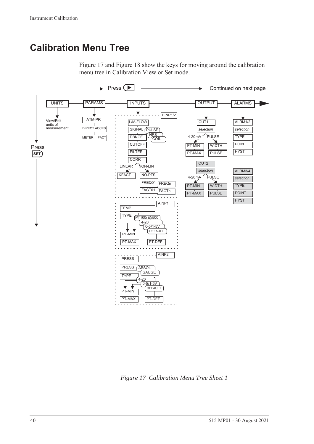# **Calibration Menu Tree**

[Figure 17](#page-49-0) and [Figure 18](#page-50-0) show the keys for moving around the calibration menu tree in Calibration View or Set mode.



<span id="page-49-0"></span>*Figure 17 Calibration Menu Tree Sheet 1*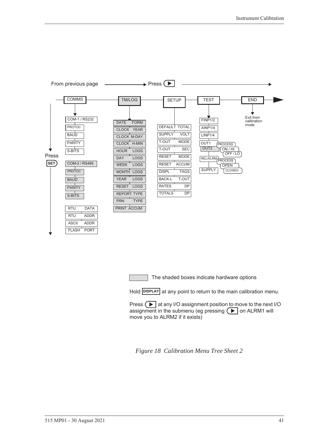

The shaded boxes indicate hardware options

Hold **DISPLAY** at any point to return to the main calibration menu.

Press  $\Box$  at any I/O assignment position to move to the next I/O assignment in the submenu (eg pressing  $\left( \blacktriangleright \right)$  on ALRM1 will move you to ALRM2 if it exists)

<span id="page-50-0"></span>*Figure 18 Calibration Menu Tree Sheet 2*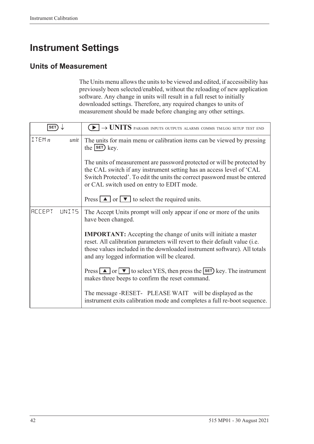# **Instrument Settings**

### **Units of Measurement**

The Units menu allows the units to be viewed and edited, if accessibility has previously been selected/enabled, without the reloading of new application software. Any change in units will result in a full reset to initially downloaded settings. Therefore, any required changes to units of measurement should be made before changing any other settings.

| <b>SET</b>              | $\blacktriangleright$ $\rightarrow$ UNITS params inputs outputs alarms comms tm/log setup test end                                                                                                                                                                              |  |
|-------------------------|---------------------------------------------------------------------------------------------------------------------------------------------------------------------------------------------------------------------------------------------------------------------------------|--|
| ITEMn<br>unit           | The units for main menu or calibration items can be viewed by pressing<br>the $s$ $F$ $k$ ey.                                                                                                                                                                                   |  |
|                         | The units of measurement are password protected or will be protected by<br>the CAL switch if any instrument setting has an access level of 'CAL<br>Switch Protected'. To edit the units the correct password must be entered<br>or CAL switch used on entry to EDIT mode.       |  |
|                         | Press $\boxed{\blacktriangle}$ or $\boxed{\blacktriangledown}$ to select the required units.                                                                                                                                                                                    |  |
| <b>ACCEPT</b><br>LINIT5 | The Accept Units prompt will only appear if one or more of the units<br>have been changed.                                                                                                                                                                                      |  |
|                         | <b>IMPORTANT:</b> Accepting the change of units will initiate a master<br>reset. All calibration parameters will revert to their default value (i.e.<br>those values included in the downloaded instrument software). All totals<br>and any logged information will be cleared. |  |
|                         | Press $\Box$ or $\nabla$ to select YES, then press the <b>SET</b> ) key. The instrument<br>makes three beeps to confirm the reset command.                                                                                                                                      |  |
|                         | The message -RESET- PLEASE WAIT will be displayed as the<br>instrument exits calibration mode and completes a full re-boot sequence.                                                                                                                                            |  |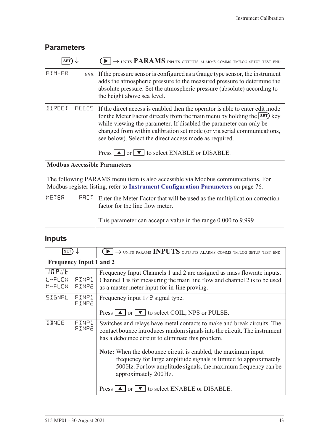# **Parameters**

| <b>SET</b>                          | $\blacktriangleright$ $\rightarrow$ units PARAMS inputs outputs alarms comms tm/log setup test end                                                                                                                                                                                                                                                                                                                           |
|-------------------------------------|------------------------------------------------------------------------------------------------------------------------------------------------------------------------------------------------------------------------------------------------------------------------------------------------------------------------------------------------------------------------------------------------------------------------------|
| ATM-PR<br>unit                      | If the pressure sensor is configured as a Gauge type sensor, the instrument<br>adds the atmospheric pressure to the measured pressure to determine the<br>absolute pressure. Set the atmospheric pressure (absolute) according to<br>the height above sea level.                                                                                                                                                             |
| <b>IIRECT</b><br><b>RECES</b>       | If the direct access is enabled then the operator is able to enter edit mode<br>for the Meter Factor directly from the main menu by holding the SET) key<br>while viewing the parameter. If disabled the parameter can only be<br>changed from within calibration set mode (or via serial communications,<br>see below). Select the direct access mode as required.<br>Press $\Box$ or $\nabla$ to select ENABLE or DISABLE. |
| <b>Modbus Accessible Parameters</b> |                                                                                                                                                                                                                                                                                                                                                                                                                              |
|                                     | The following PARAMS menu item is also accessible via Modbus communications. For<br>Modbus register listing, refer to Instrument Configuration Parameters on page 76.                                                                                                                                                                                                                                                        |
| METER<br>FALT                       | Enter the Meter Factor that will be used as the multiplication correction<br>factor for the line flow meter.                                                                                                                                                                                                                                                                                                                 |
|                                     | This parameter can accept a value in the range 0.000 to 9.999                                                                                                                                                                                                                                                                                                                                                                |

# **Inputs**

| <b>SET</b>                     |                | $\rightarrow$ UNITS PARAMS INPUTS OUTPUTS ALARMS COMMS TM/LOG SETUP TEST END                                                                                                                                                  |
|--------------------------------|----------------|-------------------------------------------------------------------------------------------------------------------------------------------------------------------------------------------------------------------------------|
| <b>Frequency Input 1 and 2</b> |                |                                                                                                                                                                                                                               |
| INPUE<br>L-FLOW<br>M-FLOW      | FINPl<br>FINP2 | Frequency Input Channels 1 and 2 are assigned as mass flowrate inputs.<br>Channel 1 is for measuring the main line flow and channel 2 is to be used<br>as a master meter input for in-line proving.                           |
| SIGNAL                         | FINP1<br>FINP2 | Frequency input $1/\bar{c}$ signal type.<br>Press $\Box$ or $\nabla$ to select COIL, NPS or PULSE.                                                                                                                            |
| <b>JBNCE</b>                   | FINP1<br>FINP2 | Switches and relays have metal contacts to make and break circuits. The<br>contact bounce introduces random signals into the circuit. The instrument<br>has a debounce circuit to eliminate this problem.                     |
|                                |                | Note: When the debounce circuit is enabled, the maximum input<br>frequency for large amplitude signals is limited to approximately<br>500 Hz. For low amplitude signals, the maximum frequency can be<br>approximately 200Hz. |
|                                |                | Press $\Box$ or $\Box$ to select ENABLE or DISABLE.                                                                                                                                                                           |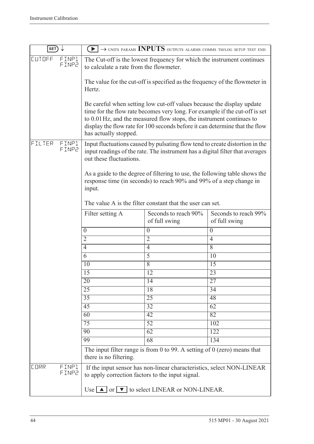| SET)          |                |                                                  | $\blacktriangleright$ $\rightarrow$ units params <b>INPUTS</b> outputs alarms comms tm/log setup test end                                                                                                                                                                                                   |                                       |
|---------------|----------------|--------------------------------------------------|-------------------------------------------------------------------------------------------------------------------------------------------------------------------------------------------------------------------------------------------------------------------------------------------------------------|---------------------------------------|
| <b>CUTOFF</b> | FINP1<br>FINP2 | to calculate a rate from the flowmeter.          | The Cut-off is the lowest frequency for which the instrument continues                                                                                                                                                                                                                                      |                                       |
|               |                | Hertz.                                           | The value for the cut-off is specified as the frequency of the flowmeter in                                                                                                                                                                                                                                 |                                       |
|               |                | has actually stopped.                            | Be careful when setting low cut-off values because the display update<br>time for the flow rate becomes very long. For example if the cut-off is set<br>to 0.01 Hz, and the measured flow stops, the instrument continues to<br>display the flow rate for 100 seconds before it can determine that the flow |                                       |
| FILTER        | FINP1<br>FINP2 | out these fluctuations.                          | Input fluctuations caused by pulsating flow tend to create distortion in the<br>input readings of the rate. The instrument has a digital filter that averages                                                                                                                                               |                                       |
|               |                | input.                                           | As a guide to the degree of filtering to use, the following table shows the<br>response time (in seconds) to reach 90% and 99% of a step change in                                                                                                                                                          |                                       |
|               |                |                                                  | The value A is the filter constant that the user can set.                                                                                                                                                                                                                                                   |                                       |
|               |                | Filter setting A                                 | Seconds to reach 90%<br>of full swing                                                                                                                                                                                                                                                                       | Seconds to reach 99%<br>of full swing |
|               |                | $\boldsymbol{0}$                                 | $\boldsymbol{0}$                                                                                                                                                                                                                                                                                            | $\boldsymbol{0}$                      |
|               |                | $\overline{2}$                                   | $\overline{2}$                                                                                                                                                                                                                                                                                              | $\overline{4}$                        |
|               |                | 4                                                | $\overline{4}$                                                                                                                                                                                                                                                                                              | 8                                     |
|               |                | 6                                                | $\overline{5}$                                                                                                                                                                                                                                                                                              | 10                                    |
|               |                | 10                                               | $\overline{8}$                                                                                                                                                                                                                                                                                              | 15                                    |
|               |                | 15                                               | 12                                                                                                                                                                                                                                                                                                          | 23                                    |
|               |                | 20                                               | 14                                                                                                                                                                                                                                                                                                          | 27                                    |
|               |                | $\overline{25}$                                  | 18                                                                                                                                                                                                                                                                                                          | 34                                    |
|               |                | 35                                               | $\overline{25}$                                                                                                                                                                                                                                                                                             | 48                                    |
|               |                | $\overline{45}$                                  | 32                                                                                                                                                                                                                                                                                                          | 62                                    |
|               |                | $\overline{60}$                                  | $\overline{42}$                                                                                                                                                                                                                                                                                             | 82                                    |
|               |                | $\overline{75}$                                  | $\overline{52}$                                                                                                                                                                                                                                                                                             | 102                                   |
|               |                | 90                                               | 62                                                                                                                                                                                                                                                                                                          | 122                                   |
|               |                | 99                                               | $\overline{68}$                                                                                                                                                                                                                                                                                             | 134                                   |
|               |                | there is no filtering.                           | The input filter range is from 0 to 99. A setting of $0$ (zero) means that                                                                                                                                                                                                                                  |                                       |
| <b>CORR</b>   | FINP1<br>FINP2 | to apply correction factors to the input signal. | If the input sensor has non-linear characteristics, select NON-LINEAR                                                                                                                                                                                                                                       |                                       |
|               |                |                                                  | Use $\Box$ or $\Box$ to select LINEAR or NON-LINEAR.                                                                                                                                                                                                                                                        |                                       |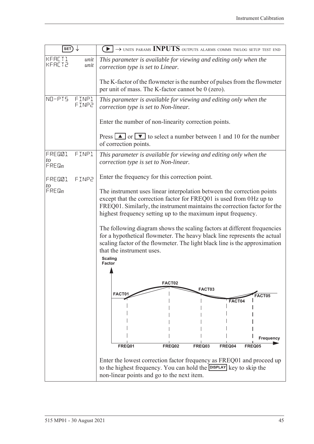| $SET) \downarrow$           |                | $\rightarrow$ UNITS PARAMS INPUTS OUTPUTS ALARMS COMMS TM/LOG SETUP TEST END<br>$\rightarrow$ $\rightarrow$ $\rightarrow$                                                                                                                                                                                                                                              |  |
|-----------------------------|----------------|------------------------------------------------------------------------------------------------------------------------------------------------------------------------------------------------------------------------------------------------------------------------------------------------------------------------------------------------------------------------|--|
| KFACT1<br><b>KFACT2</b>     | unit<br>unit   | This parameter is available for viewing and editing only when the<br>correction type is set to Linear.                                                                                                                                                                                                                                                                 |  |
|                             |                | The K-factor of the flowmeter is the number of pulses from the flowmeter<br>per unit of mass. The K-factor cannot be 0 (zero).                                                                                                                                                                                                                                         |  |
| NO-PIS                      | FINP1<br>FINP2 | This parameter is available for viewing and editing only when the<br>correction type is set to Non-linear.                                                                                                                                                                                                                                                             |  |
|                             |                | Enter the number of non-linearity correction points.                                                                                                                                                                                                                                                                                                                   |  |
|                             |                | Press $\boxed{\blacktriangle}$ or $\boxed{\blacktriangledown}$ to select a number between 1 and 10 for the number<br>of correction points.                                                                                                                                                                                                                             |  |
| FRED01<br>to<br>$F$ REQ $n$ | FINP1          | This parameter is available for viewing and editing only when the<br>correction type is set to Non-linear.                                                                                                                                                                                                                                                             |  |
| FRED01<br>to                | FINP2          | Enter the frequency for this correction point.                                                                                                                                                                                                                                                                                                                         |  |
| $F$ RE $\mathbb{G}_n$       |                | The instrument uses linear interpolation between the correction points<br>except that the correction factor for FREQ01 is used from 0Hz up to<br>FREQ01. Similarly, the instrument maintains the correction factor for the<br>highest frequency setting up to the maximum input frequency.<br>The following diagram shows the scaling factors at different frequencies |  |
|                             |                | for a hypothetical flowmeter. The heavy black line represents the actual<br>scaling factor of the flowmeter. The light black line is the approximation<br>that the instrument uses.                                                                                                                                                                                    |  |
|                             |                | <b>Scaling</b><br><b>Factor</b>                                                                                                                                                                                                                                                                                                                                        |  |
|                             |                | FACT02                                                                                                                                                                                                                                                                                                                                                                 |  |
|                             |                | FACT03<br>FACT01<br>FACT05                                                                                                                                                                                                                                                                                                                                             |  |
|                             |                | FACT04                                                                                                                                                                                                                                                                                                                                                                 |  |
|                             |                |                                                                                                                                                                                                                                                                                                                                                                        |  |
|                             |                |                                                                                                                                                                                                                                                                                                                                                                        |  |
|                             |                | Frequency                                                                                                                                                                                                                                                                                                                                                              |  |
|                             |                | FREQ01<br>FREQ02<br>FREQ03<br>FREQ04<br>FREQ05                                                                                                                                                                                                                                                                                                                         |  |
|                             |                | Enter the lowest correction factor frequency as FREQ01 and proceed up<br>to the highest frequency. You can hold the DISPLAY key to skip the<br>non-linear points and go to the next item.                                                                                                                                                                              |  |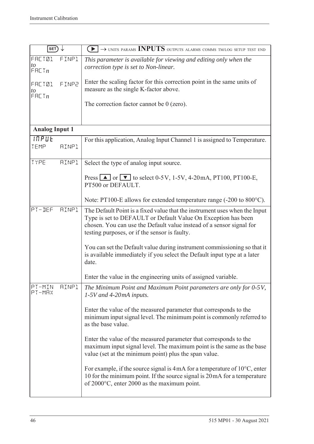| SET                              |              | $\widetilde{\blacktriangleright}$ $\rightarrow$ units params <b>INPUTS</b> outputs alarms comms tmlog setup test end                                                                                                                                                 |
|----------------------------------|--------------|----------------------------------------------------------------------------------------------------------------------------------------------------------------------------------------------------------------------------------------------------------------------|
| <b>FRETØ1</b><br>to<br>F H L T n | FINP1        | This parameter is available for viewing and editing only when the<br>correction type is set to Non-linear.                                                                                                                                                           |
| <b>FRETØ1</b><br>to<br>F H L T n | FINP2        | Enter the scaling factor for this correction point in the same units of<br>measure as the single K-factor above.                                                                                                                                                     |
|                                  |              | The correction factor cannot be $0$ (zero).                                                                                                                                                                                                                          |
| <b>Analog Input 1</b>            |              |                                                                                                                                                                                                                                                                      |
| <b>INPUE</b><br>TEMP             | <b>AINP1</b> | For this application, Analog Input Channel 1 is assigned to Temperature.                                                                                                                                                                                             |
| TYPE                             | <b>AINP1</b> | Select the type of analog input source.                                                                                                                                                                                                                              |
|                                  |              | Press $\boxed{\blacktriangle}$ or $\boxed{\blacktriangledown}$ to select 0-5V, 1-5V, 4-20mA, PT100, PT100-E,<br>PT500 or DEFAULT.                                                                                                                                    |
|                                  |              | Note: PT100-E allows for extended temperature range (-200 to 800°C).                                                                                                                                                                                                 |
| PT-DEF                           | <b>AINP1</b> | The Default Point is a fixed value that the instrument uses when the Input<br>Type is set to DEFAULT or Default Value On Exception has been<br>chosen. You can use the Default value instead of a sensor signal for<br>testing purposes, or if the sensor is faulty. |
|                                  |              | You can set the Default value during instrument commissioning so that it<br>is available immediately if you select the Default input type at a later<br>date.                                                                                                        |
|                                  |              | Enter the value in the engineering units of assigned variable.                                                                                                                                                                                                       |
| PT-MIN<br>$PT-MHX$               | <b>AINP1</b> | The Minimum Point and Maximum Point parameters are only for 0-5V,<br>$1-5V$ and $4-20mA$ inputs.                                                                                                                                                                     |
|                                  |              | Enter the value of the measured parameter that corresponds to the<br>minimum input signal level. The minimum point is commonly referred to<br>as the base value.                                                                                                     |
|                                  |              | Enter the value of the measured parameter that corresponds to the<br>maximum input signal level. The maximum point is the same as the base<br>value (set at the minimum point) plus the span value.                                                                  |
|                                  |              | For example, if the source signal is $4 \text{ mA}$ for a temperature of $10^{\circ}$ C, enter<br>10 for the minimum point. If the source signal is 20mA for a temperature<br>of $2000^{\circ}$ C, enter 2000 as the maximum point.                                  |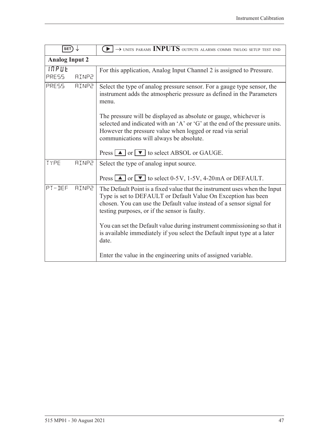| SET)                         |              | $\blacktriangleright$ $\rightarrow$ units params INPUTS outputs alarms comms tm/log setup test end                                                                                                                                                                                                                                                                                                                           |  |
|------------------------------|--------------|------------------------------------------------------------------------------------------------------------------------------------------------------------------------------------------------------------------------------------------------------------------------------------------------------------------------------------------------------------------------------------------------------------------------------|--|
| <b>Analog Input 2</b>        |              |                                                                                                                                                                                                                                                                                                                                                                                                                              |  |
| <b>INPUE</b><br><b>PRESS</b> | <b>AINP2</b> | For this application, Analog Input Channel 2 is assigned to Pressure.                                                                                                                                                                                                                                                                                                                                                        |  |
| PRESS                        | <b>AINP2</b> | Select the type of analog pressure sensor. For a gauge type sensor, the<br>instrument adds the atmospheric pressure as defined in the Parameters<br>menu.                                                                                                                                                                                                                                                                    |  |
|                              |              | The pressure will be displayed as absolute or gauge, whichever is<br>selected and indicated with an 'A' or 'G' at the end of the pressure units.<br>However the pressure value when logged or read via serial<br>communications will always be absolute.                                                                                                                                                                     |  |
|                              |              | Press $\Box$ or $\nabla$ to select ABSOL or GAUGE.                                                                                                                                                                                                                                                                                                                                                                           |  |
| TYPE                         | <b>AINP2</b> | Select the type of analog input source.<br>Press $\Box$ or $\Box$ to select 0-5V, 1-5V, 4-20mA or DEFAULT.                                                                                                                                                                                                                                                                                                                   |  |
| PT-DEF                       | <b>AINP2</b> | The Default Point is a fixed value that the instrument uses when the Input<br>Type is set to DEFAULT or Default Value On Exception has been<br>chosen. You can use the Default value instead of a sensor signal for<br>testing purposes, or if the sensor is faulty.<br>You can set the Default value during instrument commissioning so that it<br>is available immediately if you select the Default input type at a later |  |
|                              |              | date.<br>Enter the value in the engineering units of assigned variable.                                                                                                                                                                                                                                                                                                                                                      |  |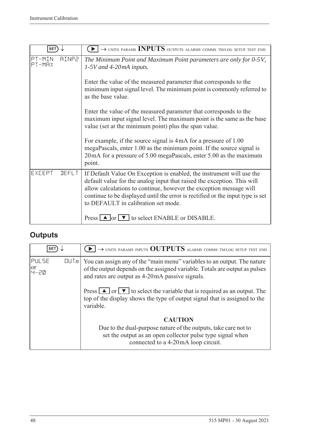| <b>SET</b>                       | $\blacktriangleright$ $\rightarrow$ units params INPUTS outputs alarms comms tm/log setup test end                                                                                                                                                                                                                                              |
|----------------------------------|-------------------------------------------------------------------------------------------------------------------------------------------------------------------------------------------------------------------------------------------------------------------------------------------------------------------------------------------------|
| PT-MIN<br><b>AINP2</b><br>PT-MAX | The Minimum Point and Maximum Point parameters are only for 0-5V,<br>$1-5V$ and 4-20mA inputs.                                                                                                                                                                                                                                                  |
|                                  | Enter the value of the measured parameter that corresponds to the<br>minimum input signal level. The minimum point is commonly referred to<br>as the base value.                                                                                                                                                                                |
|                                  | Enter the value of the measured parameter that corresponds to the<br>maximum input signal level. The maximum point is the same as the base<br>value (set at the minimum point) plus the span value.                                                                                                                                             |
|                                  | For example, if the source signal is 4mA for a pressure of 1.00<br>megaPascals, enter 1.00 as the minimum point. If the source signal is<br>20 mA for a pressure of 5.00 megaPascals, enter 5.00 as the maximum<br>point.                                                                                                                       |
| EXCEPT<br><b>DEFLT</b>           | If Default Value On Exception is enabled, the instrument will use the<br>default value for the analog input that raised the exception. This will<br>allow calculations to continue, however the exception message will<br>continue to be displayed until the error is rectified or the input type is set<br>to DEFAULT in calibration set mode. |
|                                  | Press $\Box$ or $\nabla$ to select ENABLE or DISABLE.                                                                                                                                                                                                                                                                                           |

# **Outputs**

| <b>SET</b>                                    | $\rightarrow$ units params inputs OUTPUTS alarms comms tm/log setup test end                                                                                                                                |
|-----------------------------------------------|-------------------------------------------------------------------------------------------------------------------------------------------------------------------------------------------------------------|
| <b>PULSE</b><br>$[[] \cup [n]$<br>or<br> 4-근M | You can assign any of the "main menu" variables to an output. The nature<br>of the output depends on the assigned variable. Totals are output as pulses<br>and rates are output as 4-20 mA passive signals. |
|                                               | Press $\Box$ or $\nabla$ to select the variable that is required as an output. The<br>top of the display shows the type of output signal that is assigned to the<br>variable.                               |
|                                               | <b>CAUTION</b><br>Due to the dual-purpose nature of the outputs, take care not to<br>set the output as an open collector pulse type signal when<br>connected to a 4-20mA loop circuit.                      |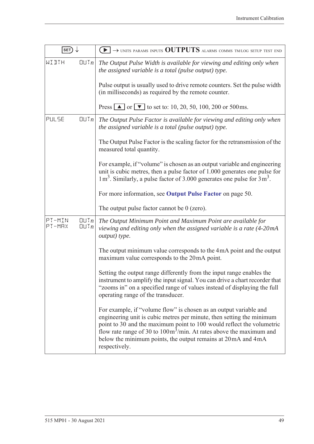| SET)             |              | $\blacktriangleright$ $\rightarrow$ units params inputs <b>OUTPUTS</b> alarms comms tm/log setup test end                                                                                                                                                                                                                                                                                     |
|------------------|--------------|-----------------------------------------------------------------------------------------------------------------------------------------------------------------------------------------------------------------------------------------------------------------------------------------------------------------------------------------------------------------------------------------------|
| WIJTH            | QUTn         | The Output Pulse Width is available for viewing and editing only when<br>the assigned variable is a total (pulse output) type.                                                                                                                                                                                                                                                                |
|                  |              | Pulse output is usually used to drive remote counters. Set the pulse width<br>(in milliseconds) as required by the remote counter.                                                                                                                                                                                                                                                            |
|                  |              | Press $\boxed{\triangle}$ or $\boxed{\triangledown}$ to set to: 10, 20, 50, 100, 200 or 500 ms.                                                                                                                                                                                                                                                                                               |
| PULSE            | QUTn         | The Output Pulse Factor is available for viewing and editing only when<br>the assigned variable is a total (pulse output) type.                                                                                                                                                                                                                                                               |
|                  |              | The Output Pulse Factor is the scaling factor for the retransmission of the<br>measured total quantity.                                                                                                                                                                                                                                                                                       |
|                  |              | For example, if "volume" is chosen as an output variable and engineering<br>unit is cubic metres, then a pulse factor of 1.000 generates one pulse for<br>$1 m3$ . Similarly, a pulse factor of 3.000 generates one pulse for $3 m3$ .                                                                                                                                                        |
|                  |              | For more information, see Output Pulse Factor on page 50.                                                                                                                                                                                                                                                                                                                                     |
|                  |              | The output pulse factor cannot be $0$ (zero).                                                                                                                                                                                                                                                                                                                                                 |
| PT-MIN<br>PT-MRX | QUTn<br>QUTn | The Output Minimum Point and Maximum Point are available for<br>viewing and editing only when the assigned variable is a rate (4-20mA<br>output) type.                                                                                                                                                                                                                                        |
|                  |              | The output minimum value corresponds to the 4mA point and the output<br>maximum value corresponds to the 20mA point.                                                                                                                                                                                                                                                                          |
|                  |              | Setting the output range differently from the input range enables the<br>instrument to amplify the input signal. You can drive a chart recorder that<br>"zooms in" on a specified range of values instead of displaying the full<br>operating range of the transducer.                                                                                                                        |
|                  |              | For example, if "volume flow" is chosen as an output variable and<br>engineering unit is cubic metres per minute, then setting the minimum<br>point to 30 and the maximum point to 100 would reflect the volumetric<br>flow rate range of 30 to $100 \text{m}^3/\text{min}$ . At rates above the maximum and<br>below the minimum points, the output remains at 20mA and 4mA<br>respectively. |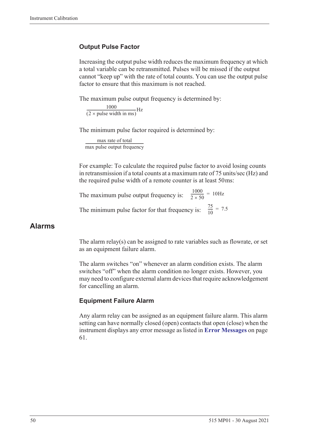#### <span id="page-59-0"></span>**Output Pulse Factor**

Increasing the output pulse width reduces the maximum frequency at which a total variable can be retransmitted. Pulses will be missed if the output cannot "keep up" with the rate of total counts. You can use the output pulse factor to ensure that this maximum is not reached.

The maximum pulse output frequency is determined by:

 $\frac{1000}{(2 \times \text{pulse width in ms})} \text{Hz}$ 

The minimum pulse factor required is determined by:

max rate of total max pulse output frequency ------------------------------------------------------------------

For example: To calculate the required pulse factor to avoid losing counts in retransmission if a total counts at a maximum rate of 75 units/sec (Hz) and the required pulse width of a remote counter is at least 50 ms:

The maximum pulse output frequency is:  $\frac{1000}{2 \times 50}$  = 10Hz The minimum pulse factor for that frequency is:  $\frac{75}{10}$  $\frac{73}{10}$  = 7.5

#### **Alarms**

The alarm relay(s) can be assigned to rate variables such as flowrate, or set as an equipment failure alarm.

The alarm switches "on" whenever an alarm condition exists. The alarm switches "off" when the alarm condition no longer exists. However, you may need to configure external alarm devices that require acknowledgement for cancelling an alarm.

#### **Equipment Failure Alarm**

Any alarm relay can be assigned as an equipment failure alarm. This alarm setting can have normally closed (open) contacts that open (close) when the instrument displays any error message as listed in **[Error Messages](#page-70-0)** on page [61](#page-70-0).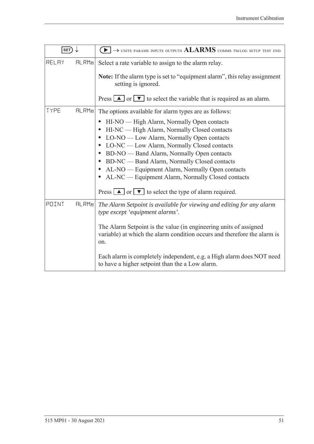| SET)  |       | $\rightarrow$ units params inputs outputs $ALARMS$ comms tm/log setup test end                                                                       |
|-------|-------|------------------------------------------------------------------------------------------------------------------------------------------------------|
| RELAY | HLRMn | Select a rate variable to assign to the alarm relay.                                                                                                 |
|       |       | Note: If the alarm type is set to "equipment alarm", this relay assignment<br>setting is ignored.                                                    |
|       |       | Press $\boxed{\blacktriangle}$ or $\boxed{\blacktriangledown}$ to select the variable that is required as an alarm.                                  |
| TYPE  | HLRMn | The options available for alarm types are as follows:                                                                                                |
|       |       | HI-NO — High Alarm, Normally Open contacts<br>$\bullet$                                                                                              |
|       |       | HI-NC — High Alarm, Normally Closed contacts<br>$\bullet$                                                                                            |
|       |       | LO-NO — Low Alarm, Normally Open contacts<br>$\bullet$                                                                                               |
|       |       | LO-NC — Low Alarm, Normally Closed contacts                                                                                                          |
|       |       | BD-NO — Band Alarm, Normally Open contacts                                                                                                           |
|       |       | BD-NC — Band Alarm, Normally Closed contacts<br>$\bullet$                                                                                            |
|       |       | AL-NO — Equipment Alarm, Normally Open contacts                                                                                                      |
|       |       | AL-NC — Equipment Alarm, Normally Closed contacts                                                                                                    |
|       |       | Press $\Box$ or $\nabla$ to select the type of alarm required.                                                                                       |
| POINT | HLRMn | The Alarm Setpoint is available for viewing and editing for any alarm<br>type except 'equipment alarms'.                                             |
|       |       | The Alarm Setpoint is the value (in engineering units of assigned<br>variable) at which the alarm condition occurs and therefore the alarm is<br>on. |
|       |       | Each alarm is completely independent, e.g. a High alarm does NOT need<br>to have a higher setpoint than the a Low alarm.                             |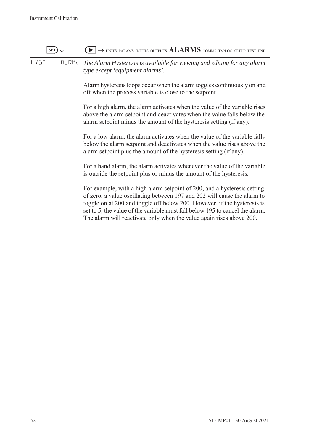| SET                  | $\rightarrow$ units params inputs outputs $ALARMS$ comms tm/log setup test end                                                                                                                                                                                                                                                                                                           |
|----------------------|------------------------------------------------------------------------------------------------------------------------------------------------------------------------------------------------------------------------------------------------------------------------------------------------------------------------------------------------------------------------------------------|
| <b>HY5T</b><br>FLRMn | The Alarm Hysteresis is available for viewing and editing for any alarm<br>type except 'equipment alarms'.                                                                                                                                                                                                                                                                               |
|                      | Alarm hysteresis loops occur when the alarm toggles continuously on and<br>off when the process variable is close to the setpoint.                                                                                                                                                                                                                                                       |
|                      | For a high alarm, the alarm activates when the value of the variable rises<br>above the alarm setpoint and deactivates when the value falls below the<br>alarm setpoint minus the amount of the hysteresis setting (if any).                                                                                                                                                             |
|                      | For a low alarm, the alarm activates when the value of the variable falls<br>below the alarm setpoint and deactivates when the value rises above the<br>alarm setpoint plus the amount of the hysteresis setting (if any).                                                                                                                                                               |
|                      | For a band alarm, the alarm activates whenever the value of the variable<br>is outside the setpoint plus or minus the amount of the hysteresis.                                                                                                                                                                                                                                          |
|                      | For example, with a high alarm setpoint of 200, and a hysteresis setting<br>of zero, a value oscillating between 197 and 202 will cause the alarm to<br>toggle on at 200 and toggle off below 200. However, if the hysteresis is<br>set to 5, the value of the variable must fall below 195 to cancel the alarm.<br>The alarm will reactivate only when the value again rises above 200. |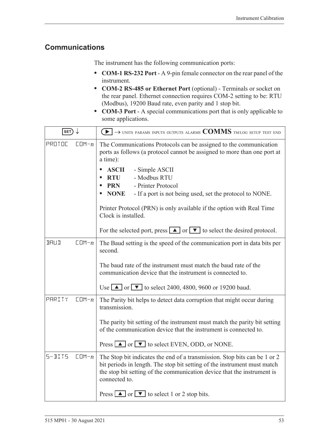### **Communications**

The instrument has the following communication ports:

- **• COM-1 RS-232 Port** A 9-pin female connector on the rear panel of the instrument.
- **• COM-2 RS-485 or Ethernet Port** (optional) Terminals or socket on the rear panel. Ethernet connection requires COM-2 setting to be: RTU (Modbus), 19200 Baud rate, even parity and 1 stop bit.
- **• COM-3 Port** A special communications port that is only applicable to some applications.

| $\ket{\texttt{SET}} \downarrow$ |           | $\textcolor{blue}{\blacktriangleright} \rightarrow$ units params inputs outputs alarms $\textcolor{blue}{\mathbf{COMMS}}$ tmlog setup test end                                                                                                    |
|---------------------------------|-----------|---------------------------------------------------------------------------------------------------------------------------------------------------------------------------------------------------------------------------------------------------|
| PROTOC                          | $CDM - n$ | The Communications Protocols can be assigned to the communication<br>ports as follows (a protocol cannot be assigned to more than one port at<br>a time):                                                                                         |
|                                 |           | <b>ASCII</b><br>- Simple ASCII<br>- Modbus RTU<br><b>RTU</b>                                                                                                                                                                                      |
|                                 |           | - Printer Protocol<br><b>PRN</b>                                                                                                                                                                                                                  |
|                                 |           | <b>NONE</b><br>- If a port is not being used, set the protocol to NONE.                                                                                                                                                                           |
|                                 |           | Printer Protocol (PRN) is only available if the option with Real Time<br>Clock is installed.                                                                                                                                                      |
|                                 |           | For the selected port, press $\boxed{\blacktriangle}$ or $\boxed{\blacktriangledown}$ to select the desired protocol.                                                                                                                             |
| <b>BRUD</b>                     | $CDM - n$ | The Baud setting is the speed of the communication port in data bits per<br>second.                                                                                                                                                               |
|                                 |           | The baud rate of the instrument must match the baud rate of the<br>communication device that the instrument is connected to.                                                                                                                      |
|                                 |           | Use $\blacksquare$ or $\blacksquare$ to select 2400, 4800, 9600 or 19200 baud.                                                                                                                                                                    |
| PARITY                          | $CDM - n$ | The Parity bit helps to detect data corruption that might occur during<br>transmission.                                                                                                                                                           |
|                                 |           | The parity bit setting of the instrument must match the parity bit setting<br>of the communication device that the instrument is connected to.                                                                                                    |
|                                 |           | Press $\Box$ or $\nabla$ to select EVEN, ODD, or NONE.                                                                                                                                                                                            |
| $5 - B1T5$                      | $CDM - n$ | The Stop bit indicates the end of a transmission. Stop bits can be 1 or 2<br>bit periods in length. The stop bit setting of the instrument must match<br>the stop bit setting of the communication device that the instrument is<br>connected to. |
|                                 |           | Press $\boxed{\blacktriangle}$ or $\boxed{\blacktriangledown}$ to select 1 or 2 stop bits.                                                                                                                                                        |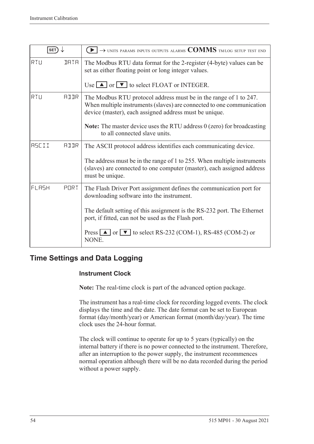| SET)         |             | $\rightarrow$ units params inputs outputs alarms $\text{COMMS}$ tm/log setup test end                                                                                                                |
|--------------|-------------|------------------------------------------------------------------------------------------------------------------------------------------------------------------------------------------------------|
| RTU          | <b>IRTR</b> | The Modbus RTU data format for the 2-register (4-byte) values can be<br>set as either floating point or long integer values.                                                                         |
|              |             | Use $\Box$ or $\nabla$ to select FLOAT or INTEGER.                                                                                                                                                   |
| RTU          | AIIR        | The Modbus RTU protocol address must be in the range of 1 to 247.<br>When multiple instruments (slaves) are connected to one communication<br>device (master), each assigned address must be unique. |
|              |             | <b>Note:</b> The master device uses the RTU address $0$ (zero) for broadcasting<br>to all connected slave units.                                                                                     |
| <b>RSCII</b> | <b>ATTR</b> | The ASCII protocol address identifies each communicating device.                                                                                                                                     |
|              |             | The address must be in the range of 1 to 255. When multiple instruments<br>(slaves) are connected to one computer (master), each assigned address<br>must be unique.                                 |
| FLASH        | PORT        | The Flash Driver Port assignment defines the communication port for<br>downloading software into the instrument.                                                                                     |
|              |             | The default setting of this assignment is the RS-232 port. The Ethernet<br>port, if fitted, can not be used as the Flash port.                                                                       |
|              |             | Press $\Box$ or $\nabla$ to select RS-232 (COM-1), RS-485 (COM-2) or<br>NONE.                                                                                                                        |

# **Time Settings and Data Logging**

#### **Instrument Clock**

**Note:** The real-time clock is part of the advanced option package.

The instrument has a real-time clock for recording logged events. The clock displays the time and the date. The date format can be set to European format (day/month/year) or American format (month/day/year). The time clock uses the 24-hour format.

The clock will continue to operate for up to 5 years (typically) on the internal battery if there is no power connected to the instrument. Therefore, after an interruption to the power supply, the instrument recommences normal operation although there will be no data recorded during the period without a power supply.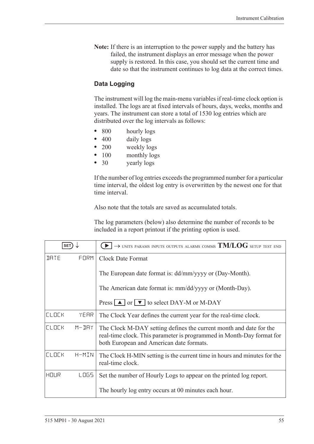**Note:** If there is an interruption to the power supply and the battery has failed, the instrument displays an error message when the power supply is restored. In this case, you should set the current time and date so that the instrument continues to log data at the correct times.

#### **Data Logging**

The instrument will log the main-menu variables if real-time clock option is installed. The logs are at fixed intervals of hours, days, weeks, months and years. The instrument can store a total of 1530 log entries which are distributed over the log intervals as follows:

- **•** 800 hourly logs
- 400 daily logs
- **•** 200 weekly logs
- 100 monthly logs
- **•** 30 yearly logs

If the number of log entries exceeds the programmed number for a particular time interval, the oldest log entry is overwritten by the newest one for that time interval.

Also note that the totals are saved as accumulated totals.

The log parameters (below) also determine the number of records to be included in a report printout if the printing option is used.

| <b>SET</b>   |           | $\rightarrow$ units params inputs outputs alarms comms $\mathrm{TM/LOG}$ setup test end                                                                                                 |
|--------------|-----------|-----------------------------------------------------------------------------------------------------------------------------------------------------------------------------------------|
| <b>JRTE</b>  | FORM      | Clock Date Format                                                                                                                                                                       |
|              |           | The European date format is: dd/mm/yyyy or (Day-Month).                                                                                                                                 |
|              |           | The American date format is: mm/dd/yyyy or (Month-Day).                                                                                                                                 |
|              |           | Press $\boxed{\blacktriangle}$ or $\boxed{\blacktriangledown}$ to select DAY-M or M-DAY                                                                                                 |
| <b>CLOCK</b> | YEAR      | The Clock Year defines the current year for the real-time clock.                                                                                                                        |
| <b>CLOCK</b> | $M - JHY$ | The Clock M-DAY setting defines the current month and date for the<br>real-time clock. This parameter is programmed in Month-Day format for<br>both European and American date formats. |
| <b>CLOCK</b> | H-MIN     | The Clock H-MIN setting is the current time in hours and minutes for the<br>real-time clock.                                                                                            |
| HOUR         | LOGS.     | Set the number of Hourly Logs to appear on the printed log report.                                                                                                                      |
|              |           | The hourly log entry occurs at 00 minutes each hour.                                                                                                                                    |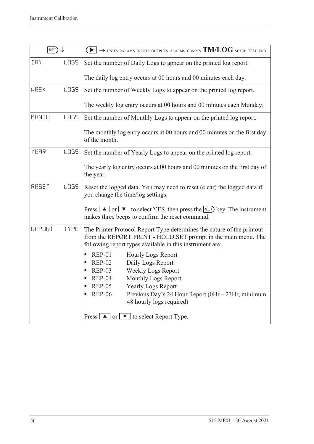| SET)         |             | $\rightarrow$ units params inputs outputs alarms comms $TM/LOG$ setup test end                                                                                                                                                                                                                              |
|--------------|-------------|-------------------------------------------------------------------------------------------------------------------------------------------------------------------------------------------------------------------------------------------------------------------------------------------------------------|
| <b>IRY</b>   | LOG5        | Set the number of Daily Logs to appear on the printed log report.                                                                                                                                                                                                                                           |
|              |             | The daily log entry occurs at 00 hours and 00 minutes each day.                                                                                                                                                                                                                                             |
| MEEK         | <b>LOGS</b> | Set the number of Weekly Logs to appear on the printed log report.                                                                                                                                                                                                                                          |
|              |             | The weekly log entry occurs at 00 hours and 00 minutes each Monday.                                                                                                                                                                                                                                         |
| <b>MONTH</b> | LO65        | Set the number of Monthly Logs to appear on the printed log report.                                                                                                                                                                                                                                         |
|              |             | The monthly log entry occurs at 00 hours and 00 minutes on the first day<br>of the month.                                                                                                                                                                                                                   |
| YEAR         | LO65        | Set the number of Yearly Logs to appear on the printed log report.                                                                                                                                                                                                                                          |
|              |             | The yearly log entry occurs at 00 hours and 00 minutes on the first day of<br>the year.                                                                                                                                                                                                                     |
| RESET        | <b>LOGS</b> | Reset the logged data. You may need to reset (clear) the logged data if<br>you change the time/log settings.                                                                                                                                                                                                |
|              |             | Press $\Box$ or $\nabla$ to select YES, then press the <b>SET</b> ) key. The instrument<br>makes three beeps to confirm the reset command.                                                                                                                                                                  |
| REPORT       | TYPE        | The Printer Protocol Report Type determines the nature of the printout<br>from the REPORT PRINT - HOLD.SET prompt in the main menu. The<br>following report types available in this instrument are:                                                                                                         |
|              |             | <b>REP-01</b><br><b>Hourly Logs Report</b><br>Daily Logs Report<br><b>REP-02</b><br>Weekly Logs Report<br><b>REP-03</b><br>$REP-04$<br>Monthly Logs Report<br><b>REP-05</b><br><b>Yearly Logs Report</b><br><b>REP-06</b><br>Previous Day's 24 Hour Report (0Hr - 23Hr, minimum<br>48 hourly logs required) |
|              |             | Press $\boxed{\blacktriangle}$ or $\boxed{\blacktriangledown}$ to select Report Type.                                                                                                                                                                                                                       |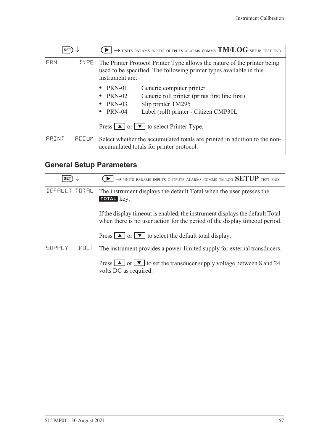| <b>SET</b> |                   | $\rightarrow$ units params inputs outputs alarms comms $\mathrm{TM/LOG}$ setup test end                                                                            |
|------------|-------------------|--------------------------------------------------------------------------------------------------------------------------------------------------------------------|
| PRN        | TYPE <sup>1</sup> | The Printer Protocol Printer Type allows the nature of the printer being<br>used to be specified. The following printer types available in this<br>instrument are: |
|            |                   | <b>PRN-01</b><br>Generic computer printer                                                                                                                          |
|            |                   | <b>PRN-02</b><br>Generic roll printer (prints first line first)                                                                                                    |
|            |                   | Slip printer TM295<br><b>PRN-03</b><br>$\bullet$                                                                                                                   |
|            |                   | <b>PRN-04</b><br>Label (roll) printer - Citizen CMP30L<br>٠                                                                                                        |
|            |                   | Press $\boxed{\blacktriangle}$ or $\boxed{\blacktriangledown}$ to select Printer Type.                                                                             |
| PRINT      | <b>REEUM</b>      | Select whether the accumulated totals are printed in addition to the non-<br>accumulated totals for printer protocol.                                              |

# <span id="page-66-0"></span>**General Setup Parameters**

| <b>SET</b>                   | $\rightarrow$ units params inputs outputs alarms comms tm/log SETUP test end                                                                                 |
|------------------------------|--------------------------------------------------------------------------------------------------------------------------------------------------------------|
| DEFAULT TOTAL                | The instrument displays the default Total when the user presses the<br>TOTAL key.                                                                            |
|                              | If the display time out is enabled, the instrument displays the default Total<br>when there is no user action for the period of the display time out period. |
|                              | Press $\Box$ or $\Box$ to select the default total display.                                                                                                  |
| <b>SUPPLY</b><br><b>VOLT</b> | The instrument provides a power-limited supply for external transducers.                                                                                     |
|                              | Press $\boxed{\blacktriangle}$ or $\boxed{\blacktriangledown}$ to set the transducer supply voltage between 8 and 24<br>volts DC as required.                |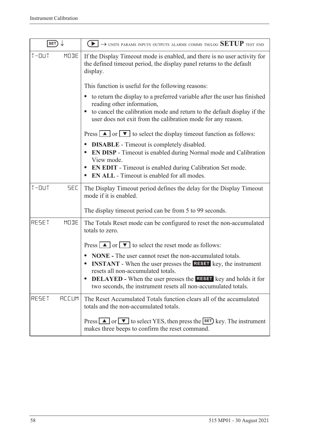| SET)                    | $\rightarrow$ units params inputs outputs alarms comms tm/log SETUP test end                                                                                                         |
|-------------------------|--------------------------------------------------------------------------------------------------------------------------------------------------------------------------------------|
| $T - 11T$<br>MODE       | If the Display Timeout mode is enabled, and there is no user activity for<br>the defined timeout period, the display panel returns to the default<br>display.                        |
|                         | This function is useful for the following reasons:                                                                                                                                   |
|                         | to return the display to a preferred variable after the user has finished<br>$\bullet$<br>reading other information,                                                                 |
|                         | to cancel the calibration mode and return to the default display if the<br>$\bullet$<br>user does not exit from the calibration mode for any reason.                                 |
|                         | Press $\Box$ or $\nabla$ to select the display timeout function as follows:                                                                                                          |
|                         | <b>DISABLE</b> - Timeout is completely disabled.<br>$\bullet$<br><b>EN DISP</b> - Timeout is enabled during Normal mode and Calibration<br>View mode.                                |
|                         | <b>EN EDIT</b> - Timeout is enabled during Calibration Set mode.<br>$\bullet$<br><b>EN ALL</b> - Timeout is enabled for all modes.                                                   |
| $T - 11T$<br><b>SEC</b> | The Display Timeout period defines the delay for the Display Timeout<br>mode if it is enabled.                                                                                       |
|                         | The display timeout period can be from 5 to 99 seconds.                                                                                                                              |
| MODE<br>RESET           | The Totals Reset mode can be configured to reset the non-accumulated<br>totals to zero.                                                                                              |
|                         | Press $\boxed{\blacktriangle}$ or $\boxed{\blacktriangledown}$ to select the reset mode as follows:                                                                                  |
|                         | <b>NONE</b> - The user cannot reset the non-accumulated totals.<br><b>INSTANT</b> - When the user presses the <b>RESET</b> key, the instrument<br>resets all non-accumulated totals. |
|                         | <b>DELAYED</b> - When the user presses the <b>RESET</b> key and holds it for<br>two seconds, the instrument resets all non-accumulated totals.                                       |
| RESET<br><b>REEUM</b>   | The Reset Accumulated Totals function clears all of the accumulated<br>totals and the non-accumulated totals.                                                                        |
|                         | Press $\Box$ or $\nabla$ to select YES, then press the SET key. The instrument<br>makes three beeps to confirm the reset command.                                                    |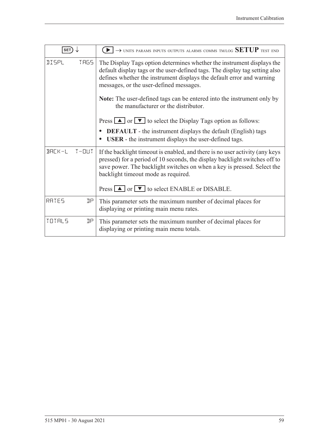| <b>SET</b>   |      | $\rightarrow$ units params inputs outputs alarms comms tm/log SETUP test end                                                                                                                                                                                                                                                                                                                       |
|--------------|------|----------------------------------------------------------------------------------------------------------------------------------------------------------------------------------------------------------------------------------------------------------------------------------------------------------------------------------------------------------------------------------------------------|
| <b>IISPL</b> | TRG5 | The Display Tags option determines whether the instrument displays the<br>default display tags or the user-defined tags. The display tag setting also<br>defines whether the instrument displays the default error and warning<br>messages, or the user-defined messages.<br><b>Note:</b> The user-defined tags can be entered into the instrument only by<br>the manufacturer or the distributor. |
|              |      | Press $\Box$ or $\nabla$ to select the Display Tags option as follows:<br><b>DEFAULT</b> - the instrument displays the default (English) tags<br><b>USER</b> - the instrument displays the user-defined tags.                                                                                                                                                                                      |
| BACK-L T-OUT |      | If the backlight timeout is enabled, and there is no user activity (any keys<br>pressed) for a period of 10 seconds, the display backlight switches off to<br>save power. The backlight switches on when a key is pressed. Select the<br>backlight timeout mode as required.<br>Press $\Box$ or $\nabla$ to select ENABLE or DISABLE.                                                              |
| RATES        | ηp   | This parameter sets the maximum number of decimal places for<br>displaying or printing main menu rates.                                                                                                                                                                                                                                                                                            |
| TOTALS       | ηp   | This parameter sets the maximum number of decimal places for<br>displaying or printing main menu totals.                                                                                                                                                                                                                                                                                           |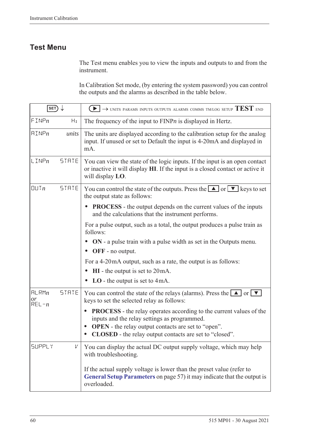# **Test Menu**

The Test menu enables you to view the inputs and outputs to and from the instrument.

In Calibration Set mode, (by entering the system password) you can control the outputs and the alarms as described in the table below.

| SET)                     |              | $\rightarrow$ units params inputs outputs alarms comms tm/log setup $\mathrm{TEST}$ end                                                                                                                                                                                                           |
|--------------------------|--------------|---------------------------------------------------------------------------------------------------------------------------------------------------------------------------------------------------------------------------------------------------------------------------------------------------|
| FINPn                    | Hz           | The frequency of the input to $FINPn$ is displayed in Hertz.                                                                                                                                                                                                                                      |
| $\text{HIMP}_n$          | units        | The units are displayed according to the calibration setup for the analog<br>input. If unused or set to Default the input is 4-20mA and displayed in<br>mA.                                                                                                                                       |
| $L$ INP $n$              | STATE        | You can view the state of the logic inputs. If the input is an open contact<br>or inactive it will display HI. If the input is a closed contact or active it<br>will display LO.                                                                                                                  |
| [[]] In                  | <b>STRTE</b> | You can control the state of the outputs. Press the $\Box$ or $\neg$ keys to set<br>the output state as follows:                                                                                                                                                                                  |
|                          |              | <b>PROCESS</b> - the output depends on the current values of the inputs<br>and the calculations that the instrument performs.                                                                                                                                                                     |
|                          |              | For a pulse output, such as a total, the output produces a pulse train as<br>follows:                                                                                                                                                                                                             |
|                          |              | ON - a pulse train with a pulse width as set in the Outputs menu.<br>OFF - no output.                                                                                                                                                                                                             |
|                          |              | For a 4-20 mA output, such as a rate, the output is as follows:                                                                                                                                                                                                                                   |
|                          |              | $HI$ - the output is set to $20mA$ .                                                                                                                                                                                                                                                              |
|                          |              | $LO$ - the output is set to 4mA.                                                                                                                                                                                                                                                                  |
| HLRMn<br>or<br>$REL - n$ | <b>STATE</b> | You can control the state of the relays (alarms). Press the $\Box$ or $\nabla$<br>keys to set the selected relay as follows:                                                                                                                                                                      |
|                          |              | <b>PROCESS</b> - the relay operates according to the current values of the<br>$\bullet$<br>inputs and the relay settings as programmed.<br><b>OPEN</b> - the relay output contacts are set to "open".<br>$\bullet$<br><b>CLOSED</b> - the relay output contacts are set to "closed".<br>$\bullet$ |
| <b>SUPPLY</b>            | V            | You can display the actual DC output supply voltage, which may help<br>with troubleshooting.                                                                                                                                                                                                      |
|                          |              | If the actual supply voltage is lower than the preset value (refer to<br>General Setup Parameters on page 57) it may indicate that the output is<br>overloaded.                                                                                                                                   |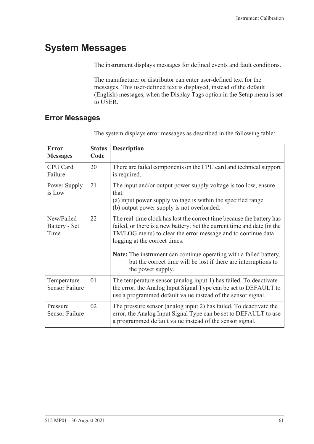# **System Messages**

The instrument displays messages for defined events and fault conditions.

The manufacturer or distributor can enter user-defined text for the messages. This user-defined text is displayed, instead of the default (English) messages, when the Display Tags option in the Setup menu is set to USER.

### <span id="page-70-0"></span>**Error Messages**

| <b>Error</b><br><b>Messages</b>      | <b>Status</b><br>Code | <b>Description</b>                                                                                                                                                                                                                                                                                                       |
|--------------------------------------|-----------------------|--------------------------------------------------------------------------------------------------------------------------------------------------------------------------------------------------------------------------------------------------------------------------------------------------------------------------|
| CPU Card<br>Failure                  | 20                    | There are failed components on the CPU card and technical support<br>is required.                                                                                                                                                                                                                                        |
| Power Supply<br>is Low               | 21                    | The input and/or output power supply voltage is too low, ensure<br>that:<br>(a) input power supply voltage is within the specified range<br>(b) output power supply is not overloaded.                                                                                                                                   |
| New/Failed<br>Battery - Set<br>Time  | 22                    | The real-time clock has lost the correct time because the battery has<br>failed, or there is a new battery. Set the current time and date (in the<br>TM/LOG menu) to clear the error message and to continue data<br>logging at the correct times.<br>Note: The instrument can continue operating with a failed battery, |
|                                      |                       | but the correct time will be lost if there are interruptions to<br>the power supply.                                                                                                                                                                                                                                     |
| Temperature<br><b>Sensor Failure</b> | 01                    | The temperature sensor (analog input 1) has failed. To deactivate<br>the error, the Analog Input Signal Type can be set to DEFAULT to<br>use a programmed default value instead of the sensor signal.                                                                                                                    |
| Pressure<br><b>Sensor Failure</b>    | 02                    | The pressure sensor (analog input 2) has failed. To deactivate the<br>error, the Analog Input Signal Type can be set to DEFAULT to use<br>a programmed default value instead of the sensor signal.                                                                                                                       |

The system displays error messages as described in the following table: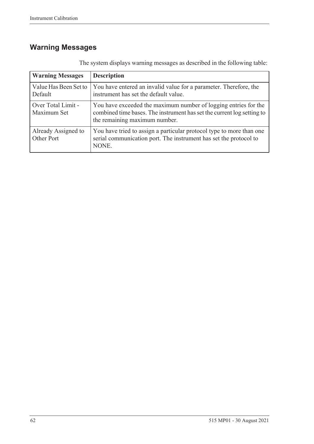# **Warning Messages**

| <b>Warning Messages</b>           | <b>Description</b>                                                                                                                                                         |
|-----------------------------------|----------------------------------------------------------------------------------------------------------------------------------------------------------------------------|
| Value Has Been Set to<br>Default  | You have entered an invalid value for a parameter. Therefore, the<br>instrument has set the default value.                                                                 |
| Over Total Limit -<br>Maximum Set | You have exceeded the maximum number of logging entries for the<br>combined time bases. The instrument has set the current log setting to<br>the remaining maximum number. |
| Already Assigned to<br>Other Port | You have tried to assign a particular protocol type to more than one<br>serial communication port. The instrument has set the protocol to<br>NONE.                         |

The system displays warning messages as described in the following table: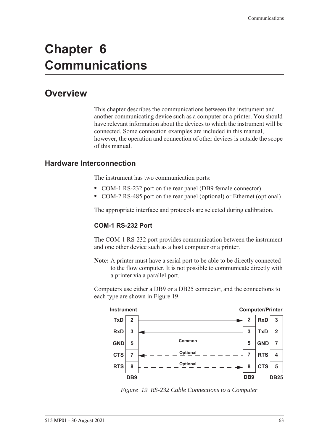# **Chapter 6 Communications**

# **Overview**

<span id="page-72-2"></span>This chapter describes the communications between the instrument and another communicating device such as a computer or a printer. You should have relevant information about the devices to which the instrument will be connected. Some connection examples are included in this manual, however, the operation and connection of other devices is outside the scope of this manual.

### **Hardware Interconnection**

<span id="page-72-3"></span>The instrument has two communication ports:

- **•** COM-1 RS-232 port on the rear panel (DB9 female connector)
- **•** COM-2 RS-485 port on the rear panel (optional) or Ethernet (optional)

The appropriate interface and protocols are selected during calibration.

#### <span id="page-72-1"></span>**COM-1 RS-232 Port**

The COM-1 RS-232 port provides communication between the instrument and one other device such as a host computer or a printer.

**Note:** A printer must have a serial port to be able to be directly connected to the flow computer. It is not possible to communicate directly with a printer via a parallel port.

Computers use either a DB9 or a DB25 connector, and the connections to each type are shown in [Figure 19.](#page-72-0)



<span id="page-72-0"></span>*Figure 19 RS-232 Cable Connections to a Computer*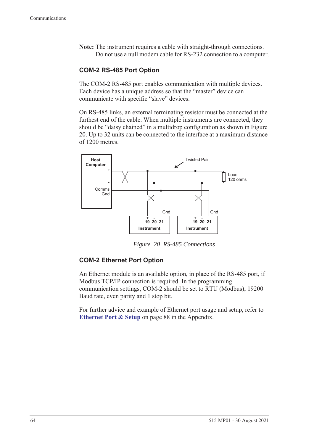**Note:** The instrument requires a cable with straight-through connections. Do not use a null modem cable for RS-232 connection to a computer.

#### <span id="page-73-1"></span>**COM-2 RS-485 Port Option**

The COM-2 RS-485 port enables communication with multiple devices. Each device has a unique address so that the "master" device can communicate with specific "slave" devices.

On RS-485 links, an external terminating resistor must be connected at the furthest end of the cable. When multiple instruments are connected, they should be "daisy chained" in a multidrop configuration as shown in Figure [20](#page-73-0). Up to 32 units can be connected to the interface at a maximum distance of 1200 metres.



<span id="page-73-2"></span>*Figure 20 RS-485 Connections*

#### <span id="page-73-0"></span>**COM-2 Ethernet Port Option**

An Ethernet module is an available option, in place of the RS-485 port, if Modbus TCP/IP connection is required. In the programming communication settings, COM-2 should be set to RTU (Modbus), 19200 Baud rate, even parity and 1 stop bit.

For further advice and example of Ethernet port usage and setup, refer to **[Ethernet Port & Setup](#page-97-0)** on page 88 in the Appendix.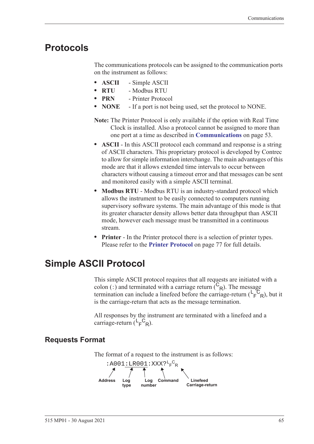# **Protocols**

<span id="page-74-1"></span>The communications protocols can be assigned to the communication ports on the instrument as follows:

- **• ASCII** Simple ASCII
- **• RTU** Modbus RTU
- **• PRN** Printer Protocol
- **• NONE** If a port is not being used, set the protocol to NONE.
- **Note:** The Printer Protocol is only available if the option with Real Time Clock is installed. Also a protocol cannot be assigned to more than one port at a time as described in **[Communications](#page-62-0)** on page 53.
- **• ASCII** In this ASCII protocol each command and response is a string of ASCII characters. This proprietary protocol is developed by Contrec to allow for simple information interchange. The main advantages of this mode are that it allows extended time intervals to occur between characters without causing a timeout error and that messages can be sent and monitored easily with a simple ASCII terminal.
- **• Modbus RTU** Modbus RTU is an industry-standard protocol which allows the instrument to be easily connected to computers running supervisory software systems. The main advantage of this mode is that its greater character density allows better data throughput than ASCII mode, however each message must be transmitted in a continuous stream.
- <span id="page-74-0"></span>**• Printer** - In the Printer protocol there is a selection of printer types. Please refer to the **[Printer Protocol](#page-86-0)** on page 77 for full details.

# **Simple ASCII Protocol**

This simple ASCII protocol requires that all requests are initiated with a colon (:) and terminated with a carriage return  $\binom{C_R}{R}$ . The message termination can include a linefeed before the carriage-return  $(\mathsf{L}_\mathsf{F}^\mathsf{C}_{\mathsf{R}})$ , but it is the carriage-return that acts as the message termination.

<span id="page-74-2"></span>All responses by the instrument are terminated with a linefeed and a carriage-return  $(L_F^C_R)$ .

# **Requests Format**

The format of a request to the instrument is as follows:

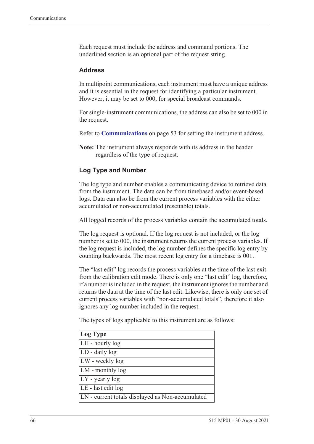Each request must include the address and command portions. The underlined section is an optional part of the request string.

#### <span id="page-75-0"></span>**Address**

In multipoint communications, each instrument must have a unique address and it is essential in the request for identifying a particular instrument. However, it may be set to 000, for special broadcast commands.

For single-instrument communications, the address can also be set to 000 in the request.

Refer to **[Communications](#page-62-0)** on page 53 for setting the instrument address.

**Note:** The instrument always responds with its address in the header regardless of the type of request.

#### **Log Type and Number**

The log type and number enables a communicating device to retrieve data from the instrument. The data can be from timebased and/or event-based logs. Data can also be from the current process variables with the either accumulated or non-accumulated (resettable) totals.

All logged records of the process variables contain the accumulated totals.

The log request is optional. If the log request is not included, or the log number is set to 000, the instrument returns the current process variables. If the log request is included, the log number defines the specific log entry by counting backwards. The most recent log entry for a timebase is 001.

The "last edit" log records the process variables at the time of the last exit from the calibration edit mode. There is only one "last edit" log, therefore, if a number is included in the request, the instrument ignores the number and returns the data at the time of the last edit. Likewise, there is only one set of current process variables with "non-accumulated totals", therefore it also ignores any log number included in the request.

The types of logs applicable to this instrument are as follows:

| Log Type                                         |
|--------------------------------------------------|
| LH - hourly log                                  |
| LD - daily log                                   |
| LW - weekly log                                  |
| LM - monthly log                                 |
| $LY$ - yearly log                                |
| LE - last edit log                               |
| LN - current totals displayed as Non-accumulated |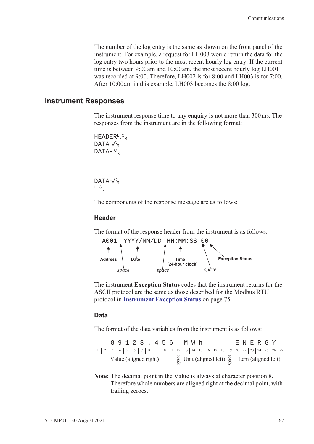The number of the log entry is the same as shown on the front panel of the instrument. For example, a request for LH003 would return the data for the log entry two hours prior to the most recent hourly log entry. If the current time is between 9:00 am and 10:00 am, the most recent hourly log LH001 was recorded at 9:00. Therefore, LH002 is for 8:00 and LH003 is for 7:00. After 10:00 am in this example, LH003 becomes the 8:00 log.

#### **Instrument Responses**

<span id="page-76-1"></span>The instrument response time to any enquiry is not more than 300 ms. The responses from the instrument are in the following format:

```
HEADER<sup>L</sup>F<sup>C</sup>R
DATA<sup>L</sup>F<sup>C</sup>R
DATA<sup>L</sup>F<sup>C</sup>R
.
.
.
DATA<sup>L</sup>F<sup>C</sup>R
L_F^CR
```
The components of the response message are as follows:

#### **Header**

The format of the response header from the instrument is as follows:



<span id="page-76-0"></span>The instrument **Exception Status** codes that the instrument returns for the ASCII protocol are the same as those described for the Modbus RTU protocol in **[Instrument Exception Status](#page-84-0)** on page 75.

#### **Data**

The format of the data variables from the instrument is as follows:

|                       |  |  |  |  | 89123.456 |  |                                                                                                                                                               |  |  | MW h |  |  |  |  | E N E R G Y |  |  |
|-----------------------|--|--|--|--|-----------|--|---------------------------------------------------------------------------------------------------------------------------------------------------------------|--|--|------|--|--|--|--|-------------|--|--|
|                       |  |  |  |  |           |  |                                                                                                                                                               |  |  |      |  |  |  |  |             |  |  |
| Value (aligned right) |  |  |  |  |           |  | $\begin{bmatrix} \frac{8}{9} \\ \frac{8}{9} \end{bmatrix}$ Unit (aligned left) $\begin{bmatrix} \frac{8}{9} \\ \frac{8}{9} \end{bmatrix}$ Item (aligned left) |  |  |      |  |  |  |  |             |  |  |

**Note:** The decimal point in the Value is always at character position 8. Therefore whole numbers are aligned right at the decimal point, with trailing zeroes.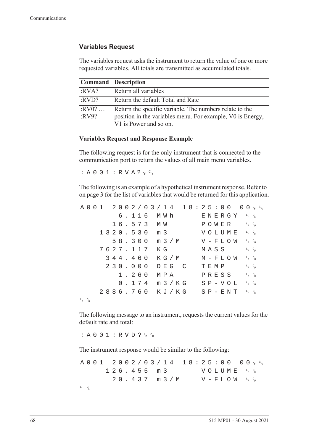#### **Variables Request**

The variables request asks the instrument to return the value of one or more requested variables. All totals are transmitted as accumulated totals.

|                  | <b>Command</b> Description                                                                                                                      |
|------------------|-------------------------------------------------------------------------------------------------------------------------------------------------|
| :RVA?            | Return all variables                                                                                                                            |
| :RVD?            | Return the default Total and Rate                                                                                                               |
| $:RV0?$<br>:RV9? | Return the specific variable. The numbers relate to the<br>position in the variables menu. For example, V0 is Energy,<br>V1 is Power and so on. |

#### **Variables Request and Response Example**

The following request is for the only instrument that is connected to the communication port to return the values of all main menu variables.

:  $A 0 0 1 : R V A ? \frac{c}{r} c_R$ 

The following is an example of a hypothetical instrument response. Refer to [on page 3](#page-12-0) for the list of variables that would be returned for this application.

|             |  |  |  |  |         |  |                  |  |       | $A\;0\;0\;1\;2\;0\;0\;2\;/\;0\;3\;/\;1\;4\;1\;8:2\;5:0\;0\;0\;0\;{}^{\phantom{1}}\!\!\!1^{\phantom{1}}\!\!\!\!8^{\phantom{1}}\!\!\!8^{\phantom{1}}\!\!\!8^{\phantom{1}}\!\!\!8^{\phantom{1}}\!\!\!8^{\phantom{1}}\!\!\!8^{\phantom{1}}\!\!\!8^{\phantom{1}}\!\!\!8^{\phantom{1}}\!\!\!8^{\phantom{1}}\!\!\!8^{\phantom{1}}\!\!\!8^{\phantom{1}}\!\!\!8$ |  |         |  |                                    |  |                                   |  |
|-------------|--|--|--|--|---------|--|------------------|--|-------|---------------------------------------------------------------------------------------------------------------------------------------------------------------------------------------------------------------------------------------------------------------------------------------------------------------------------------------------------------|--|---------|--|------------------------------------|--|-----------------------------------|--|
|             |  |  |  |  |         |  | 6.116 MWh        |  |       | $E \text{ } N \text{ } E \text{ } R \text{ } G \text{ } Y \quad \downarrow \quad c_R$                                                                                                                                                                                                                                                                   |  |         |  |                                    |  |                                   |  |
|             |  |  |  |  |         |  | 16.573 MW        |  |       |                                                                                                                                                                                                                                                                                                                                                         |  |         |  | POWER                              |  | $L_F$ $C_R$                       |  |
|             |  |  |  |  |         |  | 1320.530 m 3     |  |       |                                                                                                                                                                                                                                                                                                                                                         |  |         |  | VOLUME <sup>L</sup> <sup>C</sup> R |  |                                   |  |
|             |  |  |  |  |         |  |                  |  |       | 58.300 m 3 / M V - F L O W                                                                                                                                                                                                                                                                                                                              |  |         |  |                                    |  | $L_{F}$ $C_{R}$                   |  |
|             |  |  |  |  |         |  | 7627.117 KG      |  |       |                                                                                                                                                                                                                                                                                                                                                         |  | MASS    |  |                                    |  | $L_F$ $C_R$                       |  |
|             |  |  |  |  | 344.460 |  |                  |  |       | K G / M                                                                                                                                                                                                                                                                                                                                                 |  |         |  | M – F L O W                        |  | $L_{F}$ $C_{R}$                   |  |
|             |  |  |  |  | 230.000 |  |                  |  | DEG C |                                                                                                                                                                                                                                                                                                                                                         |  | T E M P |  |                                    |  | $L_{F}$ $C_{R}$                   |  |
|             |  |  |  |  | 1.260   |  | МРА              |  |       |                                                                                                                                                                                                                                                                                                                                                         |  |         |  | PRESS                              |  | $L_F$ $C_R$                       |  |
|             |  |  |  |  |         |  | $0.174$ m $3/KG$ |  |       |                                                                                                                                                                                                                                                                                                                                                         |  |         |  | $S P - V O L$                      |  | $L_{F}$ $C_{R}$                   |  |
|             |  |  |  |  |         |  |                  |  |       | 2886.760 KJ/KG                                                                                                                                                                                                                                                                                                                                          |  |         |  | $S$ $P$ – $E$ $N$ $T$              |  | $L$ <sub>F</sub> $C$ <sub>R</sub> |  |
| $L_F$ $C_R$ |  |  |  |  |         |  |                  |  |       |                                                                                                                                                                                                                                                                                                                                                         |  |         |  |                                    |  |                                   |  |

The following message to an instrument, requests the current values for the default rate and total:

: A 0 0 1 : R V D ?  $L_F$   $C_R$ 

The instrument response would be similar to the following:

A001 2002/03/14 18:25:00  $F$   $\circ$ <sub>R</sub>  $126.455 m3$ <sup>F</sup> <sup>C</sup> R  $20.437$  m  $3/M$  $F$   $\circ$ <sub>R</sub> L <sup>F</sup> <sup>C</sup> R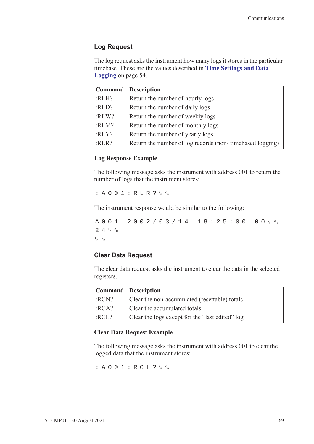#### **Log Request**

The log request asks the instrument how many logs it stores in the particular timebase. These are the values described in **[Time Settings and Data](#page-63-0)  Logging** [on page 54](#page-63-0).

|       | Command Description                                      |
|-------|----------------------------------------------------------|
| :RLH? | Return the number of hourly logs                         |
| :RLD? | Return the number of daily logs                          |
| :RLW? | Return the number of weekly logs                         |
| :RLM? | Return the number of monthly logs                        |
| :RLY? | Return the number of yearly logs                         |
| :RLR? | Return the number of log records (non-timebased logging) |

#### **Log Response Example**

The following message asks the instrument with address 001 to return the number of logs that the instrument stores:

 $: A 0 0 1 : R L R ? \nmid R$ 

The instrument response would be similar to the following:

A001 2002/03/14 18:25:00  $F$   $\circ$ R  $24r$ <sub>F</sub>  $c_R$ L <sup>F</sup> <sup>C</sup> R

#### **Clear Data Request**

The clear data request asks the instrument to clear the data in the selected registers.

| Command Description |                                                 |
|---------------------|-------------------------------------------------|
| :RCN?               | Clear the non-accumulated (resettable) totals   |
| :RCA?               | Clear the accumulated totals                    |
| :RCL?               | Clear the logs except for the "last edited" log |

#### **Clear Data Request Example**

The following message asks the instrument with address 001 to clear the logged data that the instrument stores:

: A 0 0 1 : R C L ?  $L_F$   $c_R$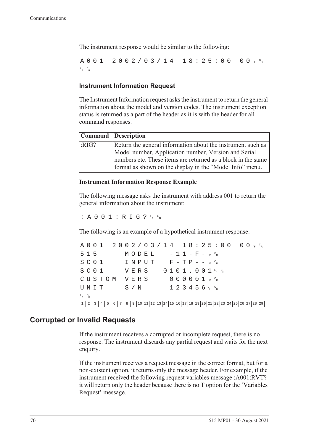The instrument response would be similar to the following:

A001 2002/03/14 18:25:00  $F$   $\circ$ <sub>R</sub> L <sup>F</sup> <sup>C</sup> R

#### **Instrument Information Request**

The Instrument Information request asks the instrument to return the general information about the model and version codes. The instrument exception status is returned as a part of the header as it is with the header for all command responses.

|      | Command Description                                                                                                      |
|------|--------------------------------------------------------------------------------------------------------------------------|
| RIG? | Return the general information about the instrument such as                                                              |
|      | Model number, Application number, Version and Serial                                                                     |
|      | numbers etc. These items are returned as a block in the same<br>format as shown on the display in the "Model Info" menu. |

#### **Instrument Information Response Example**

The following message asks the instrument with address 001 to return the general information about the instrument:

: A 0 0 1 : R I G ?  $L_F$   $C_R$ 

The following is an example of a hypothetical instrument response:

A001 2002/03/14 18:25:00 <sup>F</sup> <sup>C</sup> R  $515$   $MODEL$   $-11-F-F_{R}^{c}$  $S$  C O  $1$  I N P U T F - T P - - <sup>L</sup><sub>F</sub> <sup>C</sup>R  $S$  C O  $1$  V E R S O  $1$  O  $1$  J  $1$  , O  $0$   $1$   $1$   $1$   $6$   $8$ CUSTOM VERS 000001<sup>t</sup>F<sup>c</sup>r  $\texttt{UNIT}$  S/N 123456<sup>L</sup>F <sup>C</sup>R L <sup>F</sup> <sup>C</sup> R 1 2 3 4 5 6 7 8 9 10 11 12 13 14 15 16 17 18 19 20 21 22 23 24 25 26 27 28 29

#### **Corrupted or Invalid Requests**

If the instrument receives a corrupted or incomplete request, there is no response. The instrument discards any partial request and waits for the next enquiry.

If the instrument receives a request message in the correct format, but for a non-existent option, it returns only the message header. For example, if the instrument received the following request variables message :A001:RVT? it will return only the header because there is no T option for the 'Variables Request' message.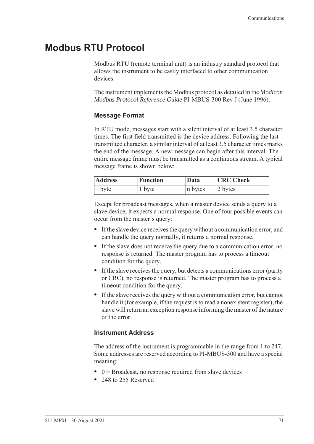# **Modbus RTU Protocol**

<span id="page-80-0"></span>Modbus RTU (remote terminal unit) is an industry standard protocol that allows the instrument to be easily interfaced to other communication devices.

The instrument implements the Modbus protocol as detailed in the *Modicon Modbus Protocol Reference Guide* PI-MBUS-300 Rev J (June 1996).

#### **Message Format**

In RTU mode, messages start with a silent interval of at least 3.5 character times. The first field transmitted is the device address. Following the last transmitted character, a similar interval of at least 3.5 character times marks the end of the message. A new message can begin after this interval. The entire message frame must be transmitted as a continuous stream. A typical message frame is shown below:

| <b>Address</b> | <b>Function</b> | Data    | <b>CRC</b> Check |  |  |  |  |
|----------------|-----------------|---------|------------------|--|--|--|--|
| $ 1$ byte      | 1 byte          | n bytes | 2 bytes          |  |  |  |  |

Except for broadcast messages, when a master device sends a query to a slave device, it expects a normal response. One of four possible events can occur from the master's query:

- **•** If the slave device receives the query without a communication error, and can handle the query normally, it returns a normal response.
- **•** If the slave does not receive the query due to a communication error, no response is returned. The master program has to process a timeout condition for the query.
- **•** If the slave receives the query, but detects a communications error (parity or CRC), no response is returned. The master program has to process a timeout condition for the query.
- **•** If the slave receives the query without a communication error, but cannot handle it (for example, if the request is to read a nonexistent register), the slave will return an exception response informing the master of the nature of the error.

#### **Instrument Address**

The address of the instrument is programmable in the range from 1 to 247. Some addresses are reserved according to PI-MBUS-300 and have a special meaning:

- 0 = Broadcast, no response required from slave devices
- **•** 248 to 255 Reserved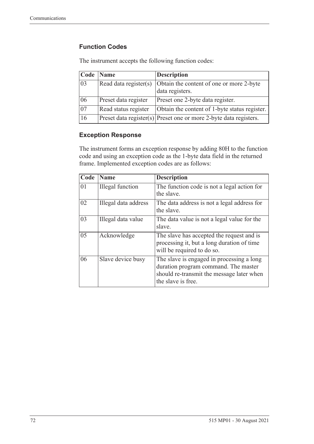### **Function Codes**

| Code            | <b>Name</b>           | <b>Description</b>                                                    |
|-----------------|-----------------------|-----------------------------------------------------------------------|
| 03              | Read data register(s) | Obtain the content of one or more 2-byte<br>data registers.           |
| 06              | Preset data register  | Preset one 2-byte data register.                                      |
| $\overline{07}$ | Read status register  | Obtain the content of 1-byte status register.                         |
| 16              |                       | $ $ Preset data register(s) Preset one or more 2-byte data registers. |

The instrument accepts the following function codes:

#### **Exception Response**

The instrument forms an exception response by adding 80H to the function code and using an exception code as the 1-byte data field in the returned frame. Implemented exception codes are as follows:

| Code | Name                    | <b>Description</b>                                                                                                                                   |
|------|-------------------------|------------------------------------------------------------------------------------------------------------------------------------------------------|
| 01   | <b>Illegal</b> function | The function code is not a legal action for<br>the slave.                                                                                            |
| 02   | Illegal data address    | The data address is not a legal address for<br>the slave.                                                                                            |
| 03   | Illegal data value      | The data value is not a legal value for the<br>slave.                                                                                                |
| 05   | Acknowledge             | The slave has accepted the request and is<br>processing it, but a long duration of time<br>will be required to do so.                                |
| 06   | Slave device busy       | The slave is engaged in processing a long<br>duration program command. The master<br>should re-transmit the message later when<br>the slave is free. |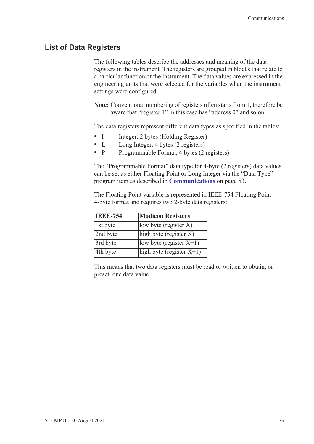# **List of Data Registers**

The following tables describe the addresses and meaning of the data registers in the instrument. The registers are grouped in blocks that relate to a particular function of the instrument. The data values are expressed in the engineering units that were selected for the variables when the instrument settings were configured.

**Note:** Conventional numbering of registers often starts from 1, therefore be aware that "register 1" in this case has "address 0" and so on.

The data registers represent different data types as specified in the tables:

- I Integer, 2 bytes (Holding Register)
- L Long Integer, 4 bytes (2 registers)
- P Programmable Format, 4 bytes (2 registers)

The "Programmable Format" data type for 4-byte (2 registers) data values can be set as either Floating Point or Long Integer via the "Data Type" program item as described in **[Communications](#page-62-0)** on page 53.

The Floating Point variable is represented in IEEE-754 Floating Point 4-byte format and requires two 2-byte data registers:

| <b>IEEE-754</b> | <b>Modicon Registers</b>                       |
|-----------------|------------------------------------------------|
| 1st byte        | low byte (register $X$ )                       |
| 2nd byte        | $\left  \text{high byte (register X)} \right $ |
| 3rd byte        | low byte (register $X+1$ )                     |
| 4th byte        | high byte (register $X+1$ )                    |

This means that two data registers must be read or written to obtain, or preset, one data value.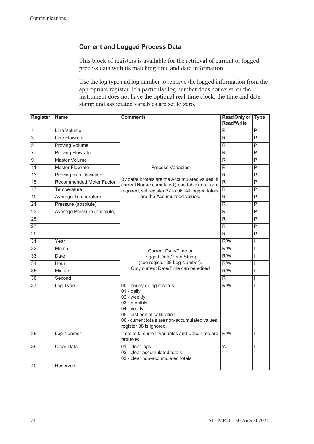### **Current and Logged Process Data**

This block of registers is available for the retrieval of current or logged process data with its matching time and date information.

Use the log type and log number to retrieve the logged information from the appropriate register. If a particular log number does not exist, or the instrument does not have the optional real-time clock, the time and date stamp and associated variables are set to zero.

| <b>Register</b> | <b>Name</b>                  | <b>Comments</b>                                                                                                                                                                                       | <b>Read Only or</b><br><b>Read/Write</b> | <b>Type</b>             |
|-----------------|------------------------------|-------------------------------------------------------------------------------------------------------------------------------------------------------------------------------------------------------|------------------------------------------|-------------------------|
| $\overline{1}$  | Line Volume                  |                                                                                                                                                                                                       | R                                        | P                       |
| $\overline{3}$  | Line Flowrate                |                                                                                                                                                                                                       | R                                        | P                       |
| 5               | <b>Proving Volume</b>        |                                                                                                                                                                                                       | R                                        | $\overline{\mathsf{P}}$ |
| 7               | <b>Proving Flowrate</b>      |                                                                                                                                                                                                       | R.                                       | P                       |
| $\overline{9}$  | Master Volume                |                                                                                                                                                                                                       | R                                        | P                       |
| $\overline{11}$ | <b>Master Flowrate</b>       | <b>Process Variables</b>                                                                                                                                                                              | $\overline{\mathsf{R}}$                  | $\overline{\mathsf{P}}$ |
| $\overline{13}$ | <b>Proving Run Deviation</b> |                                                                                                                                                                                                       | $\overline{\mathsf{R}}$                  | $\overline{P}$          |
| $\overline{15}$ | Recommended Meter Factor     | By default totals are the Accumulated values. If<br>current Non-accumulated (resettable) totals are                                                                                                   | $\overline{\mathsf{R}}$                  | $\overline{P}$          |
| $\overline{17}$ | Temperature                  | required, set register 37 to 06. All logged totals                                                                                                                                                    | $\overline{\mathsf{R}}$                  | P                       |
| 19              | Average Temperature          | are the Accumulated values.                                                                                                                                                                           | R                                        | $\overline{P}$          |
| $\overline{21}$ | Pressure (absolute)          |                                                                                                                                                                                                       | $\overline{\mathsf{R}}$                  | P                       |
| $\overline{23}$ | Average Pressure (absolute)  |                                                                                                                                                                                                       | R.                                       | P                       |
| $\overline{25}$ |                              |                                                                                                                                                                                                       | R                                        | P                       |
| 27              |                              |                                                                                                                                                                                                       | R                                        | P                       |
| 29              |                              |                                                                                                                                                                                                       | R.                                       | $\overline{P}$          |
| 31              | Year                         |                                                                                                                                                                                                       | R/W                                      | T                       |
| $\overline{32}$ | <b>Month</b>                 | Current Date/Time or                                                                                                                                                                                  | $\overline{R/W}$                         | L                       |
| $\overline{33}$ | Date                         | Logged Date/Time Stamp                                                                                                                                                                                | $\overline{R/W}$                         | T                       |
| $\overline{34}$ | Hour                         | (see register 38 Log Number).                                                                                                                                                                         | $\overline{R/W}$                         | T                       |
| $\overline{35}$ | Minute                       | Only current Date/Time can be edited                                                                                                                                                                  | $\overline{R/W}$                         | T                       |
| $\overline{36}$ | Second                       |                                                                                                                                                                                                       | $\overline{\mathsf{R}}$                  | $\mathsf{I}$            |
| $\overline{37}$ | Log Type                     | 00 - hourly or log records<br>01 - daily<br>02 - weekly<br>03 - monthly<br>04 - yearly<br>05 - last edit of calibration<br>06 - current totals are non-accumulated values,<br>register 38 is ignored. | R/W                                      | I                       |
| 38              | Log Number                   | If set to 0, current variables and Date/Time are<br>retrieved                                                                                                                                         | R/W                                      | L                       |
| 39              | <b>Clear Data</b>            | 01 - clear logs<br>02 - clear accumulated totals<br>03 - clear non-accumulated totals                                                                                                                 | $\overline{\mathsf{w}}$                  | T                       |
| 40              | Reserved                     |                                                                                                                                                                                                       |                                          |                         |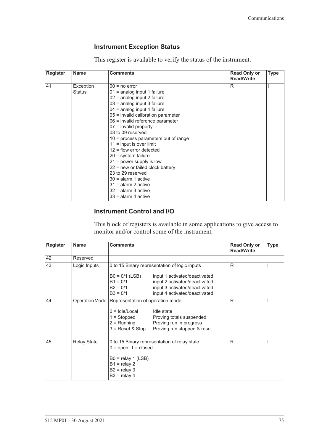### <span id="page-84-1"></span><span id="page-84-0"></span>**Instrument Exception Status**

This register is available to verify the status of the instrument.

| <b>Register</b> | <b>Name</b> | <b>Comments</b>                        | <b>Read Only or</b><br><b>Read/Write</b> | <b>Type</b> |
|-----------------|-------------|----------------------------------------|------------------------------------------|-------------|
| 41              | Exception   | $00 = no error$                        | R                                        |             |
|                 | Status      | $01$ = analog input 1 failure          |                                          |             |
|                 |             | 02 = analog input 2 failure            |                                          |             |
|                 |             | 03 = analog input 3 failure            |                                          |             |
|                 |             | $04$ = analog input 4 failure          |                                          |             |
|                 |             | 05 = invalid calibration parameter     |                                          |             |
|                 |             | 06 = invalid reference parameter       |                                          |             |
|                 |             | $07$ = invalid property                |                                          |             |
|                 |             | 08 to 09 reserved                      |                                          |             |
|                 |             | $10$ = process parameters out of range |                                          |             |
|                 |             | $11 =$ input is over limit             |                                          |             |
|                 |             | $12$ = flow error detected             |                                          |             |
|                 |             | $20 =$ system failure                  |                                          |             |
|                 |             | $21$ = power supply is low             |                                          |             |
|                 |             | $22$ = new or failed clock battery     |                                          |             |
|                 |             | 23 to 29 reserved                      |                                          |             |
|                 |             | $30 =$ alarm 1 active                  |                                          |             |
|                 |             | $31$ = alarm 2 active                  |                                          |             |
|                 |             | $32$ = alarm 3 active                  |                                          |             |
|                 |             | $33$ = alarm 4 active                  |                                          |             |

#### **Instrument Control and I/O**

This block of registers is available in some applications to give access to monitor and/or control some of the instrument.

| <b>Register</b> | <b>Name</b>        | <b>Comments</b>                                                                                                               |                                                                                                                                  | <b>Read Only or</b><br><b>Read/Write</b> | <b>Type</b> |
|-----------------|--------------------|-------------------------------------------------------------------------------------------------------------------------------|----------------------------------------------------------------------------------------------------------------------------------|------------------------------------------|-------------|
| 42              | Reserved           |                                                                                                                               |                                                                                                                                  |                                          |             |
| 43              | Logic Inputs       |                                                                                                                               | 0 to 15 Binary representation of logic inputs                                                                                    | R                                        |             |
|                 |                    | $B0 = 0/1$ (LSB)<br>$B1 = 0/1$<br>$B2 = 0/1$<br>$B3 = 0/1$                                                                    | input 1 activated/deactivated<br>input 2 activated/deactivated<br>input 3 activated/deactivated<br>input 4 activated/deactivated |                                          |             |
| 44              |                    | Operation Mode   Representation of operation mode<br>$0 =$ Idle/Local<br>$1 =$ Stopped<br>$2 =$ Running<br>$3$ = Reset & Stop | Idle state<br>Proving totals suspended<br>Proving run in progress<br>Proving run stopped & reset                                 | R                                        |             |
| 45              | <b>Relay State</b> | $0 =$ open; $1 =$ closed.<br>$B0 =$ relay 1 (LSB)<br>$B1 =$ relay 2<br>$B2 =$ relay 3<br>$B3 =$ relay 4                       | 0 to 15 Binary representation of relay state.                                                                                    | R                                        |             |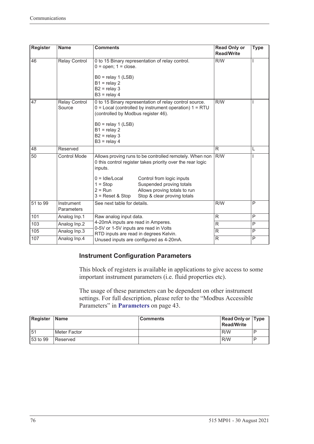| <b>Register</b> | <b>Name</b>                     | <b>Comments</b>                                                                                                                                                                                                                                                                                                               | <b>Read Only or</b><br><b>Read/Write</b> | <b>Type</b> |
|-----------------|---------------------------------|-------------------------------------------------------------------------------------------------------------------------------------------------------------------------------------------------------------------------------------------------------------------------------------------------------------------------------|------------------------------------------|-------------|
| 46              | <b>Relay Control</b>            | 0 to 15 Binary representation of relay control.<br>$0 =$ open; $1 =$ close.<br>$B0 =$ relay 1 (LSB)<br>$B1 =$ relay 2<br>$B2 =$ relay 3<br>$B3 =$ relay 4                                                                                                                                                                     | R/W                                      |             |
| 47              | <b>Relay Control</b><br>Source  | 0 to 15 Binary representation of relay control source.<br>$0 =$ Local (controlled by instrument operation) $1 = RTU$<br>(controlled by Modbus register 46).<br>$B0 =$ relay 1 (LSB)<br>$B1 =$ relay 2<br>$B2 =$ relay 3<br>$B3 =$ relay 4                                                                                     | R/W                                      |             |
| 48              | Reserved                        |                                                                                                                                                                                                                                                                                                                               | R.                                       | L           |
| 50              | <b>Control Mode</b>             | Allows proving runs to be controlled remotely. When non<br>0 this control register takes priority over the rear logic<br>inputs.<br>$0 =$ Idle/Local<br>Control from logic inputs<br>Suspended proving totals<br>$1 = Stop$<br>$2 = Run$<br>Allows proving totals to run<br>Stop & clear proving totals<br>$3$ = Reset & Stop | R/W                                      |             |
| 51 to 99        | Instrument<br><b>Parameters</b> | See next table for details.                                                                                                                                                                                                                                                                                                   | R/W                                      | P           |
| 101             | Analog Inp.1                    | Raw analog input data.                                                                                                                                                                                                                                                                                                        | R                                        | P           |
| 103             | Analog Inp.2                    | 4-20mA inputs are read in Amperes.                                                                                                                                                                                                                                                                                            | $\mathsf{R}$                             | P           |
| 105             | Analog Inp.3                    | 0-5V or 1-5V inputs are read in Volts<br>RTD inputs are read in degrees Kelvin.                                                                                                                                                                                                                                               | $\mathsf{R}$                             | P           |
| 107             | Analog Inp.4                    | Unused inputs are configured as 4-20mA.                                                                                                                                                                                                                                                                                       | R                                        | P           |

### **Instrument Configuration Parameters**

This block of registers is available in applications to give access to some important instrument parameters (i.e. fluid properties etc).

The usage of these parameters can be dependent on other instrument settings. For full description, please refer to the "Modbus Accessible Parameters" in **[Parameters](#page-52-0)** on page 43.

| Register   Name |                | Comments | <b>Read Only or Type</b><br>Read/Write |  |
|-----------------|----------------|----------|----------------------------------------|--|
| 51              | l Meter Factor |          | R/W                                    |  |
| 53 to 99        | l Reserved     |          | R/W                                    |  |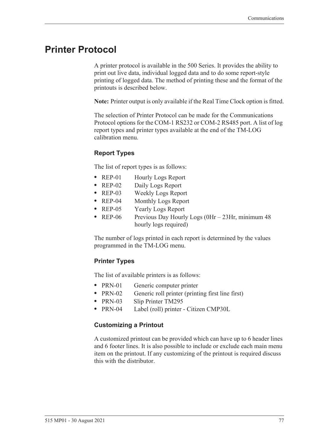# <span id="page-86-0"></span>**Printer Protocol**

<span id="page-86-2"></span>A printer protocol is available in the 500 Series. It provides the ability to print out live data, individual logged data and to do some report-style printing of logged data. The method of printing these and the format of the printouts is described below.

**Note:** Printer output is only available if the Real Time Clock option is fitted.

The selection of Printer Protocol can be made for the Communications Protocol options for the COM-1 RS232 or COM-2 RS485 port. A list of log report types and printer types available at the end of the TM-LOG calibration menu.

#### <span id="page-86-3"></span>**Report Types**

The list of report types is as follows:

- REP-01 Hourly Logs Report
- **•** REP-02 Daily Logs Report
- **•** REP-03 Weekly Logs Report
- **•** REP-04 Monthly Logs Report
- **•** REP-05 Yearly Logs Report
- REP-06 Previous Day Hourly Logs (0Hr 23Hr, minimum 48 hourly logs required)

The number of logs printed in each report is determined by the values programmed in the TM-LOG menu.

#### <span id="page-86-4"></span>**Printer Types**

The list of available printers is as follows:

- PRN-01 Generic computer printer
- PRN-02 Generic roll printer (printing first line first)
- **•** PRN-03 Slip Printer TM295
- **•** PRN-04 Label (roll) printer Citizen CMP30L

#### <span id="page-86-1"></span>**Customizing a Printout**

A customized printout can be provided which can have up to 6 header lines and 6 footer lines. It is also possible to include or exclude each main menu item on the printout. If any customizing of the printout is required discuss this with the distributor.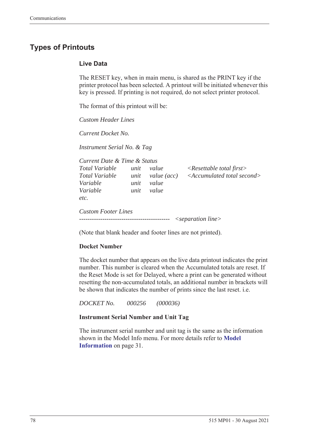# <span id="page-87-1"></span>**Types of Printouts**

#### <span id="page-87-0"></span>**Live Data**

The RESET key, when in main menu, is shared as the PRINT key if the printer protocol has been selected. A printout will be initiated whenever this key is pressed. If printing is not required, do not select printer protocol.

The format of this printout will be:

*Custom Header Lines*

*Current Docket No.* 

*Instrument Serial No. & Tag*

| Current Date & Time & Status                 |                      |                               |                                                                                   |
|----------------------------------------------|----------------------|-------------------------------|-----------------------------------------------------------------------------------|
| Total Variable<br>Total Variable<br>Variable | unit<br>unit<br>unit | value<br>value (acc)<br>value | $\langle$ Resettable total first $\rangle$<br>$\leq$ Accumulated total second $>$ |
| Variable<br>etc.                             | unit                 | value                         |                                                                                   |
| <b>Custom Footer Lines</b>                   |                      |                               | $\leq$ separation line $>$                                                        |

(Note that blank header and footer lines are not printed).

#### **Docket Number**

The docket number that appears on the live data printout indicates the print number. This number is cleared when the Accumulated totals are reset. If the Reset Mode is set for Delayed, where a print can be generated without resetting the non-accumulated totals, an additional number in brackets will be shown that indicates the number of prints since the last reset. i.e.

*DOCKET No. 000256 (000036)*

#### **Instrument Serial Number and Unit Tag**

The instrument serial number and unit tag is the same as the information shown in the Model Info menu. For more details refer to **[Model](#page-40-0)  [Information](#page-40-0)** on page 31.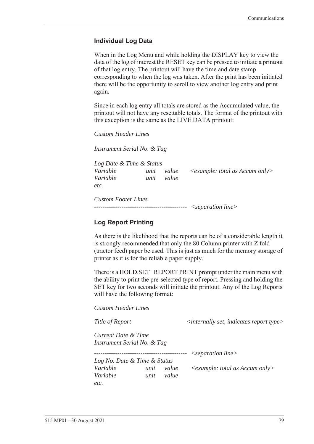#### <span id="page-88-0"></span>**Individual Log Data**

When in the Log Menu and while holding the DISPLAY key to view the data of the log of interest the RESET key can be pressed to initiate a printout of that log entry. The printout will have the time and date stamp corresponding to when the log was taken. After the print has been initiated there will be the opportunity to scroll to view another log entry and print again.

Since in each log entry all totals are stored as the Accumulated value, the printout will not have any resettable totals. The format of the printout with this exception is the same as the LIVE DATA printout:

*Custom Header Lines*

*Instrument Serial No. & Tag*

*Log Date & Time & Status Variable unit value <example: total as Accum only> Variable unit value etc.*

*Custom Footer Lines -------------------------------------------- <separation line>*

#### <span id="page-88-1"></span>**Log Report Printing**

As there is the likelihood that the reports can be of a considerable length it is strongly recommended that only the 80 Column printer with Z fold (tractor feed) paper be used. This is just as much for the memory storage of printer as it is for the reliable paper supply.

There is a HOLD.SET REPORT PRINT prompt under the main menu with the ability to print the pre-selected type of report. Pressing and holding the SET key for two seconds will initiate the printout. Any of the Log Reports will have the following format:

*Custom Header Lines*

*Title of Report*  $\langle$  *internally set, indicates report type>* 

*Current Date & Time Instrument Serial No. & Tag*

*-------------------------------------------- <separation line>*

*Log No. Date & Time & Status Variable unit value <example: total as Accum only> Variable unit value etc.*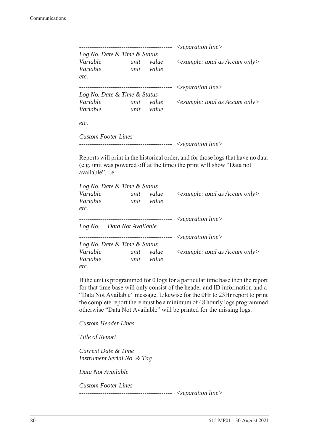|                              |      |           | $\leq$ separation line $>$              |
|------------------------------|------|-----------|-----------------------------------------|
| Log No. Date & Time & Status |      |           |                                         |
| Variable                     | unit | value     | $\leq$ example: total as Accum only $>$ |
| Variable                     | unit | value     |                                         |
| etc.                         |      |           |                                         |
|                              |      | --------- | $\leq$ separation line $>$              |
| Log No. Date & Time & Status |      |           |                                         |
| Variable                     | unit | value     | $\leq$ example: total as Accum only $>$ |
| Variable                     | unit | value     |                                         |
| etc.                         |      |           |                                         |
| <b>Custom Footer Lines</b>   |      |           |                                         |

```
-------------------------------------------- <separation line>
```
Reports will print in the historical order, and for those logs that have no data (e.g. unit was powered off at the time) the print will show "Data not available", i.e.

| Log No. Date & Time & Status |      |           |                                                  |
|------------------------------|------|-----------|--------------------------------------------------|
| Variable                     | unit | value     | $\langle$ example: total as Accum only $\rangle$ |
| Variable                     | unit | value     |                                                  |
| etc.                         |      |           |                                                  |
|                              |      |           | $\leq$ separation line $>$                       |
| Log No. Data Not Available   |      |           |                                                  |
|                              |      | --------- | $\leq$ separation line $>$                       |
| Log No. Date & Time & Status |      |           |                                                  |
| Variable                     | unit | value     | $\leq$ example: total as Accum only $>$          |
| Variable                     | unit | value     |                                                  |
| etc.                         |      |           |                                                  |

If the unit is programmed for 0 logs for a particular time base then the report for that time base will only consist of the header and ID information and a "Data Not Available" message. Likewise for the 0Hr to 23Hr report to print the complete report there must be a minimum of 48 hourly logs programmed otherwise "Data Not Available" will be printed for the missing logs.

*Custom Header Lines*

*Title of Report*

*Current Date & Time Instrument Serial No. & Tag*

*Data Not Available*

*Custom Footer Lines* 

*-------------------------------------------- <separation line>*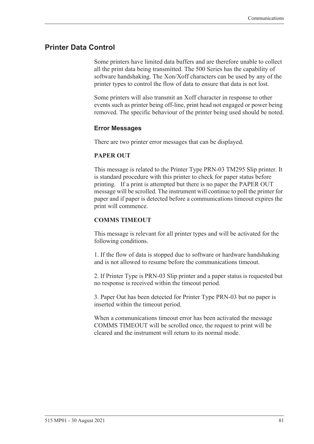#### <span id="page-90-0"></span>**Printer Data Control**

Some printers have limited data buffers and are therefore unable to collect all the print data being transmitted. The 500 Series has the capability of software handshaking. The Xon/Xoff characters can be used by any of the printer types to control the flow of data to ensure that data is not lost.

Some printers will also transmit an Xoff character in response to other events such as printer being off-line, print head not engaged or power being removed. The specific behaviour of the printer being used should be noted.

#### <span id="page-90-1"></span>**Error Messages**

There are two printer error messages that can be displayed.

#### **PAPER OUT**

This message is related to the Printer Type PRN-03 TM295 Slip printer. It is standard procedure with this printer to check for paper status before printing. If a print is attempted but there is no paper the PAPER OUT message will be scrolled. The instrument will continue to poll the printer for paper and if paper is detected before a communications timeout expires the print will commence.

#### **COMMS TIMEOUT**

This message is relevant for all printer types and will be activated for the following conditions.

1. If the flow of data is stopped due to software or hardware handshaking and is not allowed to resume before the communications timeout.

2. If Printer Type is PRN-03 Slip printer and a paper status is requested but no response is received within the timeout period.

3. Paper Out has been detected for Printer Type PRN-03 but no paper is inserted within the timeout period.

When a communications timeout error has been activated the message COMMS TIMEOUT will be scrolled once, the request to print will be cleared and the instrument will return to its normal mode.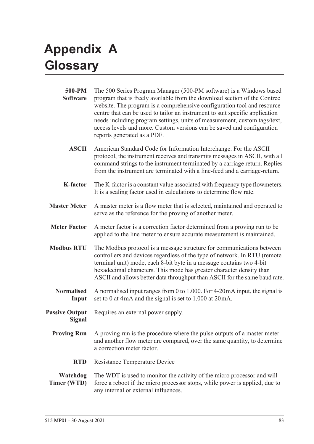# <span id="page-92-1"></span>**Appendix A Glossary**

<span id="page-92-0"></span>

| 500-PM<br><b>Software</b>       | The 500 Series Program Manager (500-PM software) is a Windows based<br>program that is freely available from the download section of the Contrec<br>website. The program is a comprehensive configuration tool and resource<br>centre that can be used to tailor an instrument to suit specific application<br>needs including program settings, units of measurement, custom tags/text,<br>access levels and more. Custom versions can be saved and configuration<br>reports generated as a PDF. |
|---------------------------------|---------------------------------------------------------------------------------------------------------------------------------------------------------------------------------------------------------------------------------------------------------------------------------------------------------------------------------------------------------------------------------------------------------------------------------------------------------------------------------------------------|
| <b>ASCII</b>                    | American Standard Code for Information Interchange. For the ASCII<br>protocol, the instrument receives and transmits messages in ASCII, with all<br>command strings to the instrument terminated by a carriage return. Replies<br>from the instrument are terminated with a line-feed and a carriage-return.                                                                                                                                                                                      |
| <b>K-factor</b>                 | The K-factor is a constant value associated with frequency type flowmeters.<br>It is a scaling factor used in calculations to determine flow rate.                                                                                                                                                                                                                                                                                                                                                |
| <b>Master Meter</b>             | A master meter is a flow meter that is selected, maintained and operated to<br>serve as the reference for the proving of another meter.                                                                                                                                                                                                                                                                                                                                                           |
| <b>Meter Factor</b>             | A meter factor is a correction factor determined from a proving run to be<br>applied to the line meter to ensure accurate measurement is maintained.                                                                                                                                                                                                                                                                                                                                              |
| <b>Modbus RTU</b>               | The Modbus protocol is a message structure for communications between<br>controllers and devices regardless of the type of network. In RTU (remote<br>terminal unit) mode, each 8-bit byte in a message contains two 4-bit<br>hexadecimal characters. This mode has greater character density than<br>ASCII and allows better data throughput than ASCII for the same baud rate.                                                                                                                  |
| <b>Normalised</b><br>Input      | A normalised input ranges from 0 to 1.000. For 4-20 mA input, the signal is<br>set to 0 at 4mA and the signal is set to 1.000 at 20mA.                                                                                                                                                                                                                                                                                                                                                            |
| <b>Passive Output</b><br>Signal | Requires an external power supply.                                                                                                                                                                                                                                                                                                                                                                                                                                                                |
| <b>Proving Run</b>              | A proving run is the procedure where the pulse outputs of a master meter<br>and another flow meter are compared, over the same quantity, to determine<br>a correction meter factor.                                                                                                                                                                                                                                                                                                               |
| <b>RTD</b>                      | <b>Resistance Temperature Device</b>                                                                                                                                                                                                                                                                                                                                                                                                                                                              |
| Watchdog<br><b>Timer (WTD)</b>  | The WDT is used to monitor the activity of the micro processor and will<br>force a reboot if the micro processor stops, while power is applied, due to<br>any internal or external influences.                                                                                                                                                                                                                                                                                                    |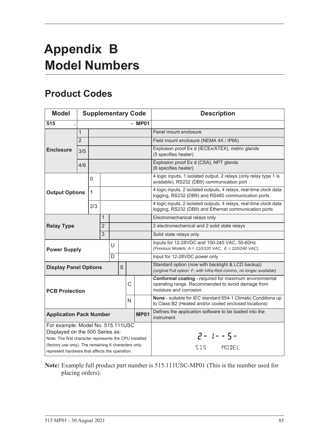# <span id="page-94-1"></span>**Appendix B Model Numbers**

# <span id="page-94-0"></span>**Product Codes**

| <b>Model</b>                                                                                                                                                                          |                |              |                |             |                                                                                                                        |   | <b>Supplementary Code</b>                                                                                                   | <b>Description</b>                                                                                                                     |
|---------------------------------------------------------------------------------------------------------------------------------------------------------------------------------------|----------------|--------------|----------------|-------------|------------------------------------------------------------------------------------------------------------------------|---|-----------------------------------------------------------------------------------------------------------------------------|----------------------------------------------------------------------------------------------------------------------------------------|
| 515                                                                                                                                                                                   |                |              |                |             |                                                                                                                        |   | - MP01                                                                                                                      |                                                                                                                                        |
|                                                                                                                                                                                       | $\mathbf{1}$   |              |                |             |                                                                                                                        |   |                                                                                                                             | Panel mount enclosure                                                                                                                  |
|                                                                                                                                                                                       | $\overline{2}$ |              |                |             |                                                                                                                        |   |                                                                                                                             | Field mount enclosure (NEMA 4X / IP66)                                                                                                 |
| <b>Enclosure</b>                                                                                                                                                                      | 3/5            |              |                |             |                                                                                                                        |   |                                                                                                                             | Explosion proof Ex d (IECEx/ATEX), metric glands<br>(5 specifies heater)                                                               |
|                                                                                                                                                                                       | 4/6            |              |                |             |                                                                                                                        |   |                                                                                                                             | Explosion proof Ex d (CSA), NPT glands<br>(6 specifies heater)                                                                         |
|                                                                                                                                                                                       |                | 0            |                |             |                                                                                                                        |   |                                                                                                                             | 4 logic inputs, 1 isolated output, 2 relays (only relay type 1 is<br>available), RS232 (DB9) communication port                        |
| <b>Output Options</b>                                                                                                                                                                 |                | $\mathbf{1}$ |                |             |                                                                                                                        |   |                                                                                                                             | 4 logic inputs, 2 isolated outputs, 4 relays, real-time clock data<br>logging, RS232 (DB9) and RS485 communication ports               |
| 2/3                                                                                                                                                                                   |                |              |                |             |                                                                                                                        |   | 4 logic inputs, 2 isolated outputs, 4 relays, real-time clock data<br>logging, RS232 (DB9) and Ethernet communication ports |                                                                                                                                        |
|                                                                                                                                                                                       |                |              | 1              |             |                                                                                                                        |   |                                                                                                                             | Electromechanical relays only                                                                                                          |
| <b>Relay Type</b>                                                                                                                                                                     |                |              | $\overline{2}$ |             |                                                                                                                        |   |                                                                                                                             | 2 electromechanical and 2 solid state relays                                                                                           |
|                                                                                                                                                                                       |                |              | 3              |             |                                                                                                                        |   |                                                                                                                             | Solid state relays only                                                                                                                |
| <b>Power Supply</b>                                                                                                                                                                   |                |              |                | U           |                                                                                                                        |   |                                                                                                                             | Inputs for 12-28VDC and 100-240 VAC, 50-60Hz<br>(Previous Models: $A = 110/120$ VAC, $E = 220/240$ VAC)                                |
|                                                                                                                                                                                       |                |              |                | D           |                                                                                                                        |   |                                                                                                                             | Input for 12-28VDC power only                                                                                                          |
| <b>Display Panel Options</b>                                                                                                                                                          |                |              |                |             | S                                                                                                                      |   |                                                                                                                             | Standard option (now with backlight & LCD backup)<br>(original Full option: F, with Infra-Red comms, no longer available)              |
| <b>PCB Protection</b>                                                                                                                                                                 |                |              |                |             |                                                                                                                        | C |                                                                                                                             | Conformal coating - required for maximum environmental<br>operating range. Recommended to avoid damage from<br>moisture and corrosion. |
| N                                                                                                                                                                                     |                |              |                |             | None - suitable for IEC standard 654-1 Climatic Conditions up<br>to Class B2 (Heated and/or cooled enclosed locations) |   |                                                                                                                             |                                                                                                                                        |
| <b>Application Pack Number</b>                                                                                                                                                        |                |              |                | <b>MP01</b> | Defines the application software to be loaded into the<br>instrument                                                   |   |                                                                                                                             |                                                                                                                                        |
| For example: Model No. 515.111USC<br>Displayed on the 500 Series as:<br>Note: The first character represents the CPU installed<br>(factory use only). The remaining 6 characters only |                |              |                |             |                                                                                                                        |   |                                                                                                                             | $2 - 1 - 5 -$<br>SIS MODEL                                                                                                             |
| represent hardware that affects the operation.                                                                                                                                        |                |              |                |             |                                                                                                                        |   |                                                                                                                             |                                                                                                                                        |

**Note:** Example full product part number is 515.111USC-MP01 (This is the number used for placing orders).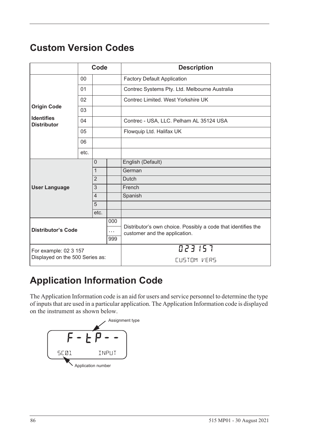# <span id="page-95-1"></span>**Custom Version Codes**

|                                         |      | Code           |                               | <b>Description</b>                                            |
|-----------------------------------------|------|----------------|-------------------------------|---------------------------------------------------------------|
|                                         | 00   |                |                               | <b>Factory Default Application</b>                            |
|                                         | 01   |                |                               | Contrec Systems Pty. Ltd. Melbourne Australia                 |
|                                         | 02   |                |                               | Contrec Limited. West Yorkshire UK                            |
| <b>Origin Code</b>                      | 03   |                |                               |                                                               |
| <b>Identifies</b><br><b>Distributor</b> | 04   |                |                               | Contrec - USA, LLC. Pelham AL 35124 USA                       |
|                                         | 05   |                |                               | Flowquip Ltd. Halifax UK                                      |
|                                         | 06   |                |                               |                                                               |
|                                         | etc. |                |                               |                                                               |
|                                         |      | $\Omega$       |                               | English (Default)                                             |
|                                         |      | $\mathbf{1}$   |                               | German                                                        |
|                                         |      | $\overline{2}$ |                               | <b>Dutch</b>                                                  |
| <b>User Language</b>                    |      | 3              |                               | French                                                        |
|                                         |      | $\overline{4}$ |                               | Spanish                                                       |
|                                         |      | 5              |                               |                                                               |
|                                         |      | etc.           |                               |                                                               |
|                                         |      |                | 000                           | Distributor's own choice. Possibly a code that identifies the |
| <b>Distributor's Code</b>               |      | $\cdots$       | customer and the application. |                                                               |
| 999                                     |      |                |                               |                                                               |
| For example: 02 3 157                   |      |                |                               | 023157                                                        |
| Displayed on the 500 Series as:         |      |                |                               | CUSTOM VERS                                                   |

# **Application Information Code**

The Application Information code is an aid for users and service personnel to determine the type of inputs that are used in a particular application. The Application Information code is displayed on the instrument as shown below.

<span id="page-95-0"></span>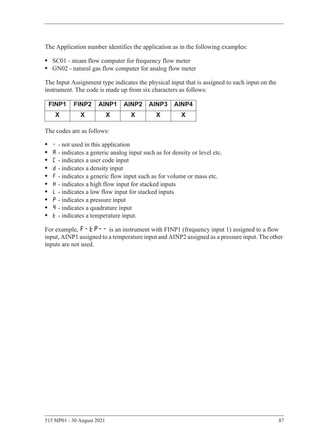The Application number identifies the application as in the following examples:

- **•** SC01 steam flow computer for frequency flow meter
- **•** GN02 natural gas flow computer for analog flow meter

The Input Assignment type indicates the physical input that is assigned to each input on the instrument. The code is made up from six characters as follows:

| FINP1   FINP2   AINP1   AINP2   AINP3   AINP4 |  |  |  |
|-----------------------------------------------|--|--|--|
|                                               |  |  |  |

The codes are as follows:

- - not used in this application
- **A** indicates a generic analog input such as for density or level etc.
- **•** C indicates a user code input
- d indicates a density input
- **•** F indicates a generic flow input such as for volume or mass etc.
- H indicates a high flow input for stacked inputs
- **•** L indicates a low flow input for stacked inputs
- **•** P indicates a pressure input
- **q** indicates a quadrature input
- *k* indicates a temperature input.

For example,  $F - F - i$  is an instrument with FINP1 (frequency input 1) assigned to a flow input, AINP1 assigned to a temperature input and AINP2 assigned as a pressure input. The other inputs are not used.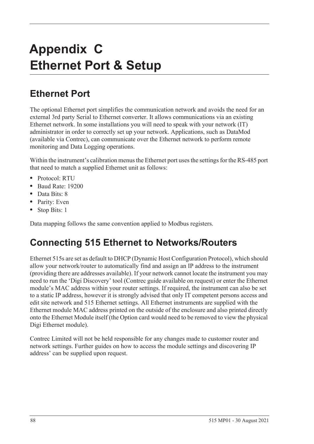# <span id="page-97-0"></span>**Appendix C Ethernet Port & Setup**

# **Ethernet Port**

The optional Ethernet port simplifies the communication network and avoids the need for an external 3rd party Serial to Ethernet converter. It allows communications via an existing Ethernet network. In some installations you will need to speak with your network (IT) administrator in order to correctly set up your network. Applications, such as DataMod (available via Contrec), can communicate over the Ethernet network to perform remote monitoring and Data Logging operations.

Within the instrument's calibration menus the Ethernet port uses the settings for the RS-485 port that need to match a supplied Ethernet unit as follows:

- **•** Protocol: RTU
- **•** Baud Rate: 19200
- **•** Data Bits: 8
- **•** Parity: Even
- **•** Stop Bits: 1

Data mapping follows the same convention applied to Modbus registers.

# **Connecting 515 Ethernet to Networks/Routers**

Ethernet 515s are set as default to DHCP (Dynamic Host Configuration Protocol), which should allow your network/router to automatically find and assign an IP address to the instrument (providing there are addresses available). If your network cannot locate the instrument you may need to run the 'Digi Discovery' tool (Contrec guide available on request) or enter the Ethernet module's MAC address within your router settings. If required, the instrument can also be set to a static IP address, however it is strongly advised that only IT competent persons access and edit site network and 515 Ethernet settings. All Ethernet instruments are supplied with the Ethernet module MAC address printed on the outside of the enclosure and also printed directly onto the Ethernet Module itself (the Option card would need to be removed to view the physical Digi Ethernet module).

Contrec Limited will not be held responsible for any changes made to customer router and network settings. Further guides on how to access the module settings and discovering IP address' can be supplied upon request.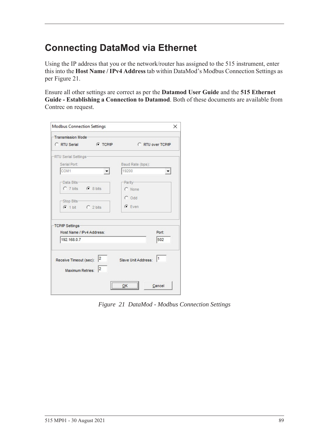# **Connecting DataMod via Ethernet**

Using the IP address that you or the network/router has assigned to the 515 instrument, enter this into the **Host Name / IPv4 Address** tab within DataMod's Modbus Connection Settings as per [Figure 21.](#page-98-0)

Ensure all other settings are correct as per the **Datamod User Guide** and the **515 Ethernet Guide - Establishing a Connection to Datamod**. Both of these documents are available from Contrec on request.

| Transmission Mode-                                   |                 |                           |                      |
|------------------------------------------------------|-----------------|---------------------------|----------------------|
| C RTU Serial                                         | <b>C</b> TCP/IP | C RTU over TCP/IP         |                      |
| -RTU Serial Settings-                                |                 |                           |                      |
| Serial Port:                                         |                 | Baud Rate (bps):          |                      |
| COM1                                                 |                 | 19200                     | $\blacktriangledown$ |
| -Data Bits-                                          |                 | -Parity-                  |                      |
| C 7 bits C 8 bits                                    |                 | C None                    |                      |
|                                                      |                 | $C$ Odd                   |                      |
| -Stop Bits-                                          |                 | $G$ Even                  |                      |
| $C$ 1 bit $C$ 2 bits                                 |                 |                           |                      |
| TCP/IP Settings                                      |                 |                           |                      |
| Host Name / IPv4 Address:                            |                 |                           | Port:                |
| 192.168.0.7                                          |                 |                           | 502                  |
| Receive Timeout (sec): $\vert^2$<br>Maximum Retries: | 2               | 11<br>Slave Unit Address: |                      |
|                                                      |                 | ,                         |                      |

<span id="page-98-0"></span>*Figure 21 DataMod - Modbus Connection Settings*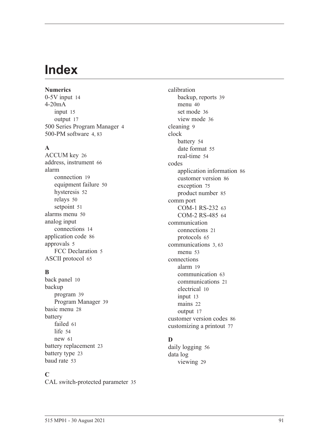# **Index**

**Numerics** 0-5V inpu[t 14](#page-23-0) 4-20mA input [15](#page-24-0) output [17](#page-26-0) 500 Series Program Manage[r 4](#page-13-0) 500-PM software [4,](#page-13-0) [83](#page-92-0)

#### **A**

ACCUM ke[y 26](#page-35-0) address, instrumen[t 66](#page-75-0) alarm connection [19](#page-28-0) equipment failur[e 50](#page-59-0) hysteresi[s 52](#page-61-0) relays [50](#page-59-1) setpoin[t 51](#page-60-0) alarms menu [50](#page-59-2) analog input connection[s 14](#page-23-1) application cod[e 86](#page-95-0) approvals [5](#page-14-0) FCC Declaration [5](#page-14-1) ASCII protoco[l 65](#page-74-0)

#### **B**

back panel [10](#page-19-0) backup program [39](#page-48-0) Program Manage[r 39](#page-48-1) basic men[u 28](#page-37-0) battery faile[d 61](#page-70-0) lif[e 54](#page-63-1) ne[w 61](#page-70-0) battery replacemen[t 23](#page-32-0) battery typ[e 23](#page-32-1) baud rat[e 53](#page-62-1)

#### **C**

CAL switch-protected parameter [35](#page-44-0)

calibration backup, reports [39](#page-48-0) menu [40](#page-49-0) set mode [36](#page-45-0) view mode [36](#page-45-1) cleaning [9](#page-18-0) clock batter[y 54](#page-63-1) date format [55](#page-64-0) real-tim[e 54](#page-63-2) codes application information [86](#page-95-0) customer versio[n 86](#page-95-1) exception [75](#page-84-1) product numbe[r 85](#page-94-0) comm port COM-1 RS-232 [63](#page-72-1) COM-2 RS-485 [64](#page-73-1) communication connection[s 21](#page-30-0) protocols [65](#page-74-1) communication[s 3,](#page-12-1) [63](#page-72-2) menu [53](#page-62-2) connections alar[m 19](#page-28-0) communication [63](#page-72-3) communication[s 21](#page-30-0) electrical [10](#page-19-1) input [13](#page-22-0) mains [22](#page-31-0) output [17](#page-26-1) customer version codes [86](#page-95-1) customizing a printout [77](#page-86-1)

# **D**

daily logging [56](#page-65-0) data log viewing [29](#page-38-0)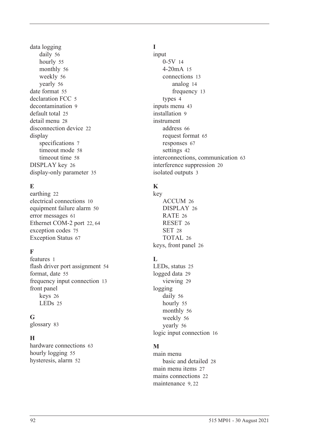data logging daily [56](#page-65-0) hourl[y 55](#page-64-1) monthly [56](#page-65-1) weekl[y 56](#page-65-2) yearly [56](#page-65-3) date format [55](#page-64-0) declaration FCC [5](#page-14-1) decontamination [9](#page-18-0) default tota[l 25](#page-34-0) detail men[u 28](#page-37-0) disconnection device [22](#page-31-1) display specifications [7](#page-16-0) timeout mod[e 58](#page-67-0) timeout time [58](#page-67-1) DISPLAY key [26](#page-35-1) display-only parameter [35](#page-44-1)

# **E**

earthin[g 22](#page-31-2) electrical connections [10](#page-19-1) equipment failure alarm [50](#page-59-0) error message[s 61](#page-70-1) Ethernet COM-2 por[t 22,](#page-31-3) [64](#page-73-2) exception codes [75](#page-84-1) Exception Status [67](#page-76-0)

# **F**

features [1](#page-10-0) flash driver port assignmen[t 54](#page-63-3) format, date [55](#page-64-0) frequency input connection [13](#page-22-1) front panel keys [26](#page-35-2) LEDs [25](#page-34-1)

# **G**

glossary [83](#page-92-1)

# **H**

hardware connections [63](#page-72-3) hourly logging [55](#page-64-1) hysteresis, alar[m 52](#page-61-0)

# **I**

input 0-5[V 14](#page-23-0) 4-20mA [15](#page-24-0) connections [13](#page-22-0) analog [14](#page-23-1) frequency [13](#page-22-1) types [4](#page-13-1) inputs menu [43](#page-52-1) installation [9](#page-18-1) instrument address [66](#page-75-0) request forma[t 65](#page-74-2) response[s 67](#page-76-1) setting[s 42](#page-51-0) interconnections, communication [63](#page-72-3) interference suppression [20](#page-29-0) isolated output[s 3](#page-12-2)

# **K**

key ACCUM [26](#page-35-0) DISPLA[Y 26](#page-35-1) RATE [26](#page-35-3) RESE[T 26](#page-35-4) SET [28](#page-37-1) TOTAL [26](#page-35-5) keys, front panel [26](#page-35-2)

# $\mathbf{L}$

LEDs, status [25](#page-34-1) logged dat[a 29](#page-38-0) viewin[g 29](#page-38-1) logging daily [56](#page-65-0) hourly [55](#page-64-1) monthly [56](#page-65-1) weekl[y 56](#page-65-2) yearly [56](#page-65-3) logic input connection [16](#page-25-0)

# **M**

main menu basic and detailed [28](#page-37-0) main menu item[s 27](#page-36-0) mains connections [22](#page-31-0) maintenanc[e 9,](#page-18-1) [22](#page-31-4)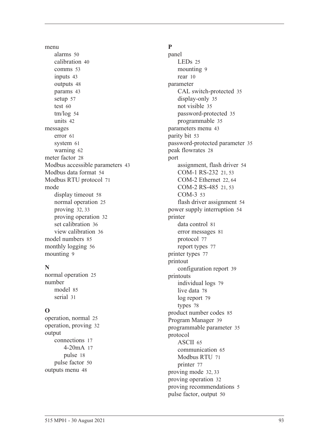menu alarm[s 50](#page-59-2) calibratio[n 40](#page-49-0) comms [53](#page-62-2) input[s 43](#page-52-1) output[s 48](#page-57-0) params [43](#page-52-2) setu[p 57](#page-66-0) test [60](#page-69-0) tm/lo[g 54](#page-63-4) unit[s 42](#page-51-1) messages erro[r 61](#page-70-1) syste[m 61](#page-70-2) warnin[g 62](#page-71-0) meter facto[r 28](#page-37-2) Modbus accessible parameters [43](#page-52-3) Modbus data forma[t 54](#page-63-5) Modbus RTU protoco[l 71](#page-80-0) mode display timeou[t 58](#page-67-0) normal operatio[n 25](#page-34-2) provin[g 32,](#page-41-0) [33](#page-42-0) proving operation [32](#page-41-1) set calibration [36](#page-45-0) view calibration [36](#page-45-1) model number[s 85](#page-94-1) monthly logging [56](#page-65-1) mountin[g 9](#page-18-2)

# **N**

normal operatio[n 25](#page-34-2) number mode[l 85](#page-94-1) seria[l 31](#page-40-1)

# **O**

operation, norma[l 25](#page-34-2) operation, proving [32](#page-41-1) output connection[s 17](#page-26-1) 4-20m[A 17](#page-26-0) puls[e 18](#page-27-0) pulse facto[r 50](#page-59-3) outputs men[u 48](#page-57-0)

# **P**

panel LEDs [25](#page-34-1) mounting [9](#page-18-2) rear [10](#page-19-0) parameter CAL switch-protected [35](#page-44-0) display-only [35](#page-44-1) not visibl[e 35](#page-44-2) password-protected [35](#page-44-3) programmable [35](#page-44-4) parameters men[u 43](#page-52-2) parity bit [53](#page-62-3) password-protected parameter [35](#page-44-3) peak flowrate[s 28](#page-37-3) port assignment, flash driver [54](#page-63-3) COM-1 RS-232 [21,](#page-30-1) [53](#page-62-4) COM-2 Ethernet [22,](#page-31-3) [64](#page-73-2) COM-2 RS-485 [21,](#page-30-2) [53](#page-62-5) COM-[3 53](#page-62-6) flash driver assignment [54](#page-63-3) power supply interruption [54](#page-63-1) printer data control [81](#page-90-0) error messages [81](#page-90-1) protocol [77](#page-86-2) report types [77](#page-86-3) printer type[s 77](#page-86-4) printout configuration repor[t 39](#page-48-2) printouts individual logs [79](#page-88-0) live data [78](#page-87-0) log report [79](#page-88-1) type[s 78](#page-87-1) product number codes [85](#page-94-0) Program Manager [39](#page-48-1) programmable parameter [35](#page-44-4) protocol ASCI[I 65](#page-74-0) communication [65](#page-74-1) Modbus RT[U 71](#page-80-0) printer [77](#page-86-2) proving mode [32,](#page-41-0) [33](#page-42-0) proving operation [32](#page-41-1) proving recommendations [5](#page-14-2) pulse factor, output [50](#page-59-3)